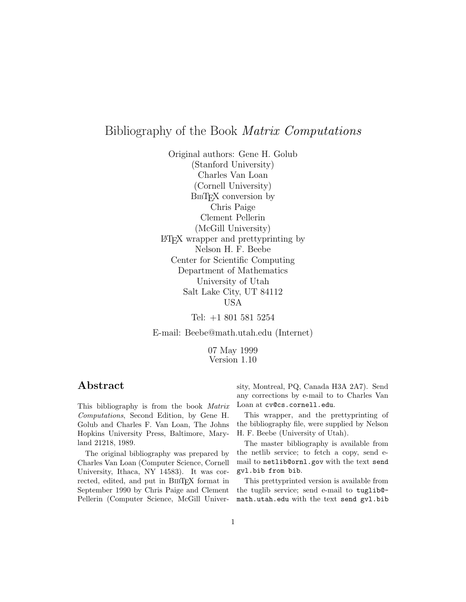# Bibliography of the Book Matrix Computations

Original authors: Gene H. Golub (Stanford University) Charles Van Loan (Cornell University) B<sub>IB</sub>T<sub>E</sub>X conversion by Chris Paige Clement Pellerin (McGill University) LATEX wrapper and prettyprinting by Nelson H. F. Beebe Center for Scientific Computing Department of Mathematics University of Utah Salt Lake City, UT 84112 USA

Tel: +1 801 581 5254

E-mail: Beebe@math.utah.edu (Internet)

07 May 1999 Version 1.10

# **Abstract**

This bibliography is from the book Matrix Computations, Second Edition, by Gene H. Golub and Charles F. Van Loan, The Johns Hopkins University Press, Baltimore, Maryland 21218, 1989.

The original bibliography was prepared by Charles Van Loan (Computer Science, Cornell University, Ithaca, NY 14583). It was corrected, edited, and put in BIBT<sub>EX</sub> format in September 1990 by Chris Paige and Clement Pellerin (Computer Science, McGill University, Montreal, PQ, Canada H3A 2A7). Send any corrections by e-mail to to Charles Van Loan at cv@cs.cornell.edu.

This wrapper, and the prettyprinting of the bibliography file, were supplied by Nelson H. F. Beebe (University of Utah).

The master bibliography is available from the netlib service; to fetch a copy, send email to netlib@ornl.gov with the text send gvl.bib from bib.

This prettyprinted version is available from the tuglib service; send e-mail to tuglib@ math.utah.edu with the text send gvl.bib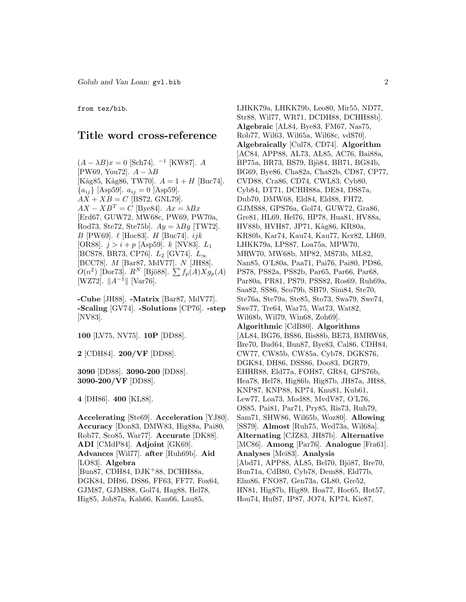from tex/bib.

### **Title word cross-reference**

 $(A - \lambda B)x = 0$  [Sch74]. <sup>-1</sup> [KW87]. A [PW69, You72].  $A - \lambda B$ [Kåg85, Kåg86, TW70].  $A = 1 + H$  [Buc74].  ${a_{ij}}$  [Asp59].  $a_{ij} = 0$  [Asp59].  $AX + XB = C$  [BS72, GNL79].  $AX - XB<sup>T</sup> = C$  [Bye84].  $Ax = \lambda Bx$ [Erd67, GUW72, MW68c, PW69, PW70a, Rod73, Ste72, Ste75b].  $Ay = \lambda By$  [TW72].  $B$  [PW69].  $\ell$  [Hoc83]. H [Buc74]. ijk [OR88].  $j > i + p$  [Asp59]. k [NV83].  $L_1$ [BCS78, BR73, CP76].  $L_2$  [GV74].  $L_{\infty}$ [BCC78]. M [Bar87, MdV77]. N [JH88].  $O(n^2)$  [Dor73].  $R^N$  [Bjö88].  $\sum f_p(A)Xg_p(A)$  $[WZ72]$ .  $||A^{-1}||$   $[Var76]$ .

**-Cube** [JH88]. **-Matrix** [Bar87, MdV77]. **-Scaling** [GV74]. **-Solutions** [CP76]. **-step** [NV83].

**100** [LV75, NV75]. **10P** [DD88].

**2** [CDH84]. **200/VF** [DD88].

**3090** [DD88]. **3090-200** [DD88]. **3090-200/VF** [DD88].

**4** [DH86]. **400** [KL88].

**Accelerating** [Ste69]. **Acceleration** [YJ80]. **Accuracy** [Don83, DMW83, Hig88a, Pai80, Rob77, Sco85, War77]. **Accurate** [DK88]. **ADI** [CMdP84]. **Adjoint** [GK69]. **Advances** [Wil77]. **after** [Ruh69b]. **Aid** [LO83]. **Algebra** [Bun87, CDH84, DJK<sup>+</sup>88, DCHH88a, DGK84, DH86, DS86, FF63, FF77, Fox64, GJM87, GJMS88, Gol74, Hag88, Hel78, Hig85, Joh87a, Kah66, Kan66, Lau85,

LHKK79a, LHKK79b, Leo80, Mir55, ND77, Str88, Wil77, WR71, DCDH88, DCHH88b]. **Algebraic** [AL84, Bye83, FM67, Nas75, Rob77, Wil63, Wil65a, Wil68c, vdS70]. **Algebraically** [Cul78, CD74]. **Algorithm** [AC84, APP88, AL73, AL85, AC76, Bai88a, BP75a, BR73, BS79, Bjö84, BB71, BG84b, BG69, Bye86, Cha82a, Cha82b, CD87, CP77, CVD88, Cra86, CD74, CWL83, Cyb80, Cyb84, DT71, DCHH88a, DE84, DS87a, Dub70, DMW68, Eld84, Eld88, FH72, GJMS88, GPS76a, Gol74, GUW72, Gra86, Gre81, HL69, Hel76, HP78, Hua81, HV88a, HV88b, HVH87, JP71, Kåg86, KR80a, KR80b, Kar74, Kau74, Kau77, Ker82, LH69, LHKK79a, LPS87, Loa75a, MPW70, MRW70, MW68b, MP82, MS73b, ML82, Nan85, O'L80a, Paa71, Pai76, Pai80, PD86, PS78, PS82a, PS82b, Par65, Par66, Par68, Par80a, PR81, PS79, PSS82, Ros69, Ruh69a, Saa82, SS86, Sco79b, SB79, Sim84, Ste70, Ste76a, Ste79a, Ste85, Sto73, Swa79, Swe74, Swe77, Tre64, War75, Wat73, Wat82, Wil68b, Wil79, Win68, Zoh69]. **Algorithmic** [CdB80]. **Algorithms** [AL84, BG76, BS86, Bis88b, BE73, BMRW68, Bre70, Bud64, Bun87, Bye83, Cal86, CDH84, CW77, CW85b, CW85a, Cyb78, DGKS76, DGK84, DH86, DSS86, Doo83, DGR79, EHHR88, Eld77a, FOH87, GR84, GPS76b, Hea78, Hel78, Hig86b, Hig87b, JH87a, JH88, KNP87, KNP88, KP74, Knu81, Kub61, Lew77, Loa73, Mod88, MvdV87, O'L76, OS85, Pai81, Par71, Pry85, Ris73, Ruh79, Sam71, SHW86, Wil65b, Woz80]. **Allowing** [SS79]. **Almost** [Ruh75, Wed73a, Wil68a]. **Alternating** [CJZ83, JH87b]. **Alternative** [MC86]. **Among** [Par76]. **Analogue** [Fra61]. **Analyses** [Mei83]. **Analysis** [Abd71, APP88, AL85, Bel70, Bjö87, Bre70, Bun71a, CdB80, Cyb78, Dem88, Eld77b, Elm86, FNO87, Gen73a, GL80, Gre52, HN81, Hig87b, Hig89, Hoa77, Hoc65, Hot57, Hou74, Huf87, IP87, JO74, KP74, Kie87,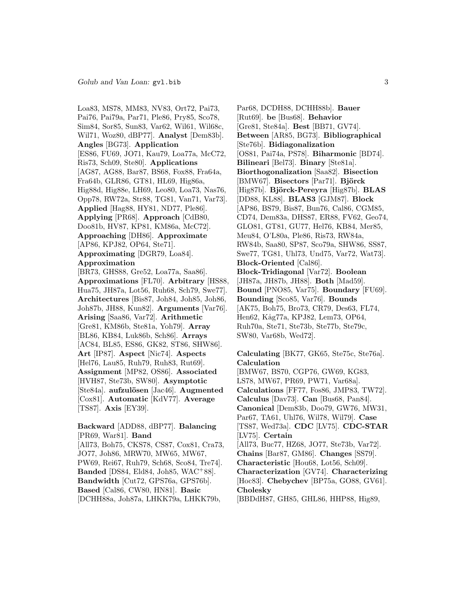Loa83, MS78, MM83, NV83, Ort72, Pai73, Pai76, Pai79a, Par71, Ple86, Pry85, Sco78, Sim84, Sor85, Sun83, Var62, Wil61, Wil68c, Wil71, Woz80, dBP77]. **Analyst** [Dem83b]. **Angles** [BG73]. **Application** [ES86, FU69, JO71, Kau79, Loa77a, McC72, Ris73, Sch09, Ste80]. **Applications** [AG87, AG88, Bar87, BS68, Fox88, Fra64a, Fra64b, GLR86, GT81, HL69, Hig86a, Hig88d, Hig88e, LH69, Leo80, Loa73, Nas76, Opp78, RW72a, Str88, TG81, Van71, Var73]. **Applied** [Hag88, HY81, ND77, Ple86]. **Applying** [PR68]. **Approach** [CdB80, Doo81b, HV87, KP81, KM86a, McC72]. **Approaching** [DH86]. **Approximate** [AP86, KPJ82, OP64, Ste71]. **Approximating** [DGR79, Loa84]. **Approximation** [BR73, GHS88, Gre52, Loa77a, Saa86]. **Approximations** [FL70]. **Arbitrary** [HS88, Hua75, JH87a, Lot56, Ruh68, Sch79, Swe77]. **Architectures** [Bis87, Joh84, Joh85, Joh86, Joh87b, JH88, Kun82]. **Arguments** [Var76]. **Arising** [Saa86, Var72]. **Arithmetic** [Gre81, KM86b, Ste81a, Yoh79]. **Array** [BL86, KB84, Luk86b, Sch86]. **Arrays** [AC84, BL85, ES86, GK82, ST86, SHW86]. **Art** [IP87]. **Aspect** [Nic74]. **Aspects** [Hel76, Lau85, Ruh79, Ruh83, Rut69]. **Assignment** [MP82, OS86]. **Associated** [HVH87, Ste73b, SW80]. **Asymptotic** [Ste84a]. **aufzul¨osen** [Jac46]. **Augmented** [Cox81]. **Automatic** [KdV77]. **Average** [TS87]. **Axis** [EY39].

**Backward** [ADD88, dBP77]. **Balancing** [PR69, War81]. **Band** [All73, Boh75, CKS78, CS87, Cox81, Cra73, JO77, Joh86, MRW70, MW65, MW67, PW69, Rei67, Ruh79, Sch68, Sco84, Tre74]. **Banded** [DS84, Eld84, Joh85, WAC<sup>+</sup>88]. **Bandwidth** [Cut72, GPS76a, GPS76b]. **Based** [Cal86, CW80, HN81]. **Basic** [DCHH88a, Joh87a, LHKK79a, LHKK79b,

Par68, DCDH88, DCHH88b]. **Bauer** [Rut69]. **be** [Bus68]. **Behavior** [Gre81, Ste84a]. **Best** [BB71, GV74]. **Between** [AR85, BG73]. **Bibliographical** [Ste76b]. **Bidiagonalization** [OS81, Pai74a, PS78]. **Biharmonic** [BD74]. **Bilineari** [Bel73]. **Binary** [Ste81a]. **Biorthogonalization** [Saa82]. **Bisection** [BMW67]. **Bisectors** [Par71]. **Björck** [Hig87b]. **Bj¨orck-Pereyra** [Hig87b]. **BLAS** [DD88, KL88]. **BLAS3** [GJM87]. **Block** [AP86, BS79, Bis87, Bun76, Cal86, CGM85, CD74, Dem83a, DHS87, ER88, FV62, Geo74, GLO81, GT81, GU77, Hel76, KB84, Mer85, Meu84, O'L80a, Ple86, Ris73, RW84a, RW84b, Saa80, SP87, Sco79a, SHW86, SS87, Swe77, TG81, Uhl73, Und75, Var72, Wat73]. **Block-Oriented** [Cal86]. **Block-Tridiagonal** [Var72]. **Boolean** [JH87a, JH87b, JH88]. **Both** [Mad59]. **Bound** [PNO85, Var75]. **Boundary** [FU69]. **Bounding** [Sco85, Var76]. **Bounds** [AK75, Boh75, Bro73, CR79, Des63, FL74, Hen62, Kåg77a, KPJ82, Lem73, OP64, Ruh70a, Ste71, Ste73b, Ste77b, Ste79c, SW80, Var68b, Wed72].

**Calculating** [BK77, GK65, Ste75c, Ste76a]. **Calculation** [BMW67, BS70, CGP76, GW69, KG83, LS78, MW67, PR69, PW71, Var68a]. **Calculations** [FF77, Fos86, JMP83, TW72]. **Calculus** [Dav73]. **Can** [Bus68, Pan84]. **Canonical** [Dem83b, Doo79, GW76, MW31, Par67, TA61, Uhl76, Wil78, Wil79]. **Case** [TS87, Wed73a]. **CDC** [LV75]. **CDC-STAR** [LV75]. **Certain** [All73, Buc77, HZ68, JO77, Ste73b, Var72]. **Chains** [Bar87, GM86]. **Changes** [SS79]. **Characteristic** [Hou68, Lot56, Sch09]. **Characterization** [GV74]. **Characterizing** [Hoc83]. **Chebychev** [BP75a, GO88, GV61]. **Cholesky**

[BBDdH87, GH85, GHL86, HHP88, Hig89,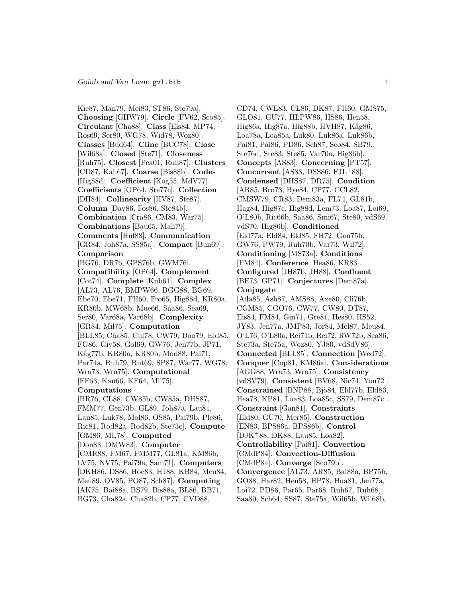Kie87, Man79, Mei83, ST86, Ste79a]. **Choosing** [GHW79]. **Circle** [FV62, Sco85]. **Circulant** [Cha88]. **Class** [Eis84, MP74, Ros69, Ser80, WG78, Wid78, Woz80]. **Classes** [Bud64]. **Cline** [BCC78]. **Close** [Wil68a]. **Closed** [Ste71]. **Closeness** [Ruh75]. **Closest** [Pea01, Ruh87]. **Clusters** [CD87, Kah67]. **Coarse** [Bis88b]. **Codes** [Hig88d]. **Coefficient** [Kog55, MdV77]. **Coefficients** [OP64, Ste77c]. **Collection** [DH84]. **Collinearity** [HV87, Ste87]. **Column** [Dav86, Fos86, Ste84b]. **Combination** [Cra86, CM83, War75]. **Combinations** [Bau65, Mah79]. **Comments** [Huf88]. **Communication** [GR84, Joh87a, SS85a]. **Compact** [Bun69]. **Comparison** [BG76, DR76, GPS76b, GWM76]. **Compatibility** [OP64]. **Complement** [Cot74]. **Complete** [Kub61]. **Complex** [AL73, AL76, BMPW66, BGG88, BG69, Ebe70, Ebe71, FH60, Fro65, Hig88d, KR80a, KR80b, MW68b, Mue66, Saa86, Sea69, Ser80, Var68a, Var68b]. **Complexity** [GR84, Mil75]. **Computation** [BLL85, Cha85, Cul78, CW79, Doo79, Eld85, FG86, Giv58, Gol69, GW76, Jen77b, JP71, Kåg77b, KR80a, KR80b, Mod88, Pai71, Par74a, Ruh79, Rut69, SP87, War77, WG78, Wra73, Wra75]. **Computational** [FF63, Kan66, KF64, Mil75]. **Computations** [BR76, CL88, CW85b, CW85a, DHS87, FMM77, Gen73b, GL89, Joh87a, Lau81, Lau85, Luk78, Mol86, OS85, Pai79b, Ple86, Ric81, Rod82a, Rod82b, Ste73c]. **Compute** [GM86, ML78]. **Computed** [Don83, DMW83]. **Computer** [CMR88, FM67, FMM77, GL81a, KM86b, LV75, NV75, Pai79a, Sam71]. **Computers** [DKH86, DS86, Hoc83, HJ88, KB84, Meu84, Meu89, OV85, PO87, Sch87]. **Computing** [AK75, Bai88a, BS79, Bis88a, BL86, BB71, BG73, Cha82a, Cha82b, CP77, CVD88,

CD74, CWL83, CL86, DK87, FH60, GMS75, GLO81, GU77, HLPW86, HS86, Hen58, Hig86a, Hig87a, Hig88b, HVH87, Kåg86, Loa78a, Loa85a, Luk80, Luk86a, Luk86b, Pai81, Pai86, PD86, Sch87, Sco84, SB79, Ste76d, Ste83, Ste85, Var70a, Hig86b]. **Concepts** [AS83]. **Concerning** [PT57]. **Concurrent** [AS83, DSS86, FJL+88]. **Condensed** [DHS87, DR75]. **Condition** [AR85, Bro73, Bye84, CP77, CCL82, CMSW79, CR83, Dem83a, FL74, GL81b, Hag84, Hig87c, Hig88d, Lem73, Loa87, Loi69, O'L80b, Ric66b, Saa86, Smi67, Ste80, vdS69, vdS70, Hig86b]. **Conditioned** [Eld77a, Eld84, Eld85, FH72, Gau75b, GW76, PW79, Ruh70b, Var73, Wil72]. **Conditioning** [MS73a]. **Conditions** [FM84]. **Conference** [Hea86, KR83]. **Configured** [JH87b, JH88]. **Confluent** [BE73, GP71]. **Conjectures** [Dem87a]. **Conjugate** [Ada85, Ash87, AMS88, Axe80, Cli76b, CGM85, CGO76, CW77, CW80, DT87, Eis84, FM84, Gin71, Gre81, Hes80, HS52, JY83, Jen77a, JMP83, Jor84, Mel87, Meu84, O'L76, O'L80a, Rei71b, Rei72, RW72b, Sea86, Ste73a, Ste75a, Woz80, YJ80, vdSdV86]. **Connected** [BLL85]. **Connection** [Wed72]. **Conquer** [Cup81, KM86a]. **Considerations** [AGG88, Wra73, Wra75]. **Consistency** [vdSV79]. **Consistent** [BV68, Nic74, You72]. Constrained<sup>[BNP88, Bjö84, Eld77b, Eld83,</sup> Hea78, KP81, Loa83, Loa85c, SS79, Dem87c]. **Constraint** [Gan81]. **Constraints** [Eld80, GU70, Mer85]. **Construction** [EN83, BPS86a, BPS86b]. **Control** [DJK<sup>+</sup>88, DK88, Lau85, Loa82]. **Controllability** [Pai81]. **Convection** [CMdP84]. **Convection-Diffusion** [CMdP84]. **Converge** [Sco79b]. **Convergence** [AL73, AR85, Bai88a, BP75b, GO88, Har82, Hen58, HP78, Hua81, Jen77a, Loi72, PD86, Par65, Par68, Ruh67, Ruh68, Saa80, Sch64, SS87, Ste75a, Wil65b, Wil68b,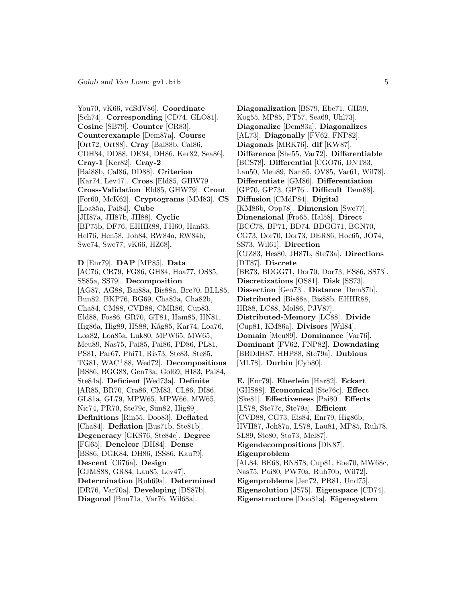You70, vK66, vdSdV86]. **Coordinate** [Sch74]. **Corresponding** [CD74, GLO81]. **Cosine** [SB79]. **Counter** [CR83]. **Counterexample** [Dem87a]. **Course** [Ort72, Ort88]. **Cray** [Bai88b, Cal86, CDH84, DD88, DE84, DH86, Ker82, Sea86]. **Cray-1** [Ker82]. **Cray-2** [Bai88b, Cal86, DD88]. **Criterion** [Kar74, Lev47]. **Cross** [Eld85, GHW79]. **Cross-Validation** [Eld85, GHW79]. **Crout** [For60, McK62]. **Cryptograms** [MM83]. **CS** [Loa85a, Pai84]. **Cube** [JH87a, JH87b, JH88]. **Cyclic** [BP75b, DF76, EHHR88, FH60, Han63, Hel76, Hen58, Joh84, RW84a, RW84b, Swe74, Swe77, vK66, HZ68].

**D** [Enr79]. **DAP** [MP85]. **Data** [AC76, CR79, FG86, GH84, Hoa77, OS85, SS85a, SS79]. **Decomposition** [AG87, AG88, Bai88a, Bis88a, Bre70, BLL85, Bun82, BKP76, BG69, Cha82a, Cha82b, Cha84, CM88, CVD88, CMR86, Cup83, Eld88, Fos86, GR70, GT81, Ham85, HN81, Hig86a, Hig89, HS88, Kåg85, Kar74, Loa76, Loa82, Loa85a, Luk80, MPW65, MW65, Meu89, Nas75, Pai85, Pai86, PD86, PL81, PS81, Par67, Phi71, Ris73, Ste83, Ste85, TG81, WAC<sup>+</sup>88, Wed72]. **Decompositions** [BS86, BGG88, Gen73a, Gol69, HI83, Pai84, Ste84a]. **Deficient** [Wed73a]. **Definite** [AR85, BR70, Cra86, CM83, CL86, DI86, GL81a, GL79, MPW65, MPW66, MW65, Nic74, PR70, Ste79c, Sun82, Hig89]. **Definitions** [Rin55, Doo83]. **Deflated** [Cha84]. **Deflation** [Bus71b, Ste81b]. **Degeneracy** [GKS76, Ste84c]. **Degree** [FG65]. **Denelcor** [DH84]. **Dense** [BS86, DGK84, DH86, ISS86, Kau79]. **Descent** [Cli76a]. **Design** [GJMS88, GR84, Lau85, Lev47]. **Determination** [Ruh69a]. **Determined** [DR76, Var70a]. **Developing** [DS87b]. **Diagonal** [Bun71a, Var76, Wil68a].

**Diagonalization** [BS79, Ebe71, GH59, Kog55, MP85, PT57, Sea69, Uhl73]. **Diagonalize** [Dem83a]. **Diagonalizes** [AL73]. **Diagonally** [FV62, FNP82]. **Diagonals** [MRK76]. **dif** [KW87]. **Difference** [She55, Var72]. **Differentiable** [BCS78]. **Differential** [CGO76, DNT83, Lan50, Meu89, Nan85, OV85, Var61, Wil78]. **Differentiate** [GM86]. **Differentiation** [GP70, GP73, GP76]. **Difficult** [Dem88]. **Diffusion** [CMdP84]. **Digital** [KM86b, Opp78]. **Dimension** [Swe77]. **Dimensional** [Fro65, Hal58]. **Direct** [BCC78, BP71, BD74, BDGG71, BGN70, CG73, Dor70, Dor73, DER86, Hoc65, JO74, SS73, Wil61]. **Direction** [CJZ83, Hes80, JH87b, Ste73a]. **Directions** [DT87]. **Discrete** [BR73, BDGG71, Dor70, Dor73, ES86, SS73]. **Discretizations** [OS81]. **Disk** [SS73]. **Dissection** [Geo73]. **Distance** [Dem87b]. **Distributed** [Bis88a, Bis88b, EHHR88, HR88, LC88, Mol86, PJV87]. **Distributed-Memory** [LC88]. **Divide** [Cup81, KM86a]. **Divisors** [Wil84]. **Domain** [Meu89]. **Dominance** [Var76]. **Dominant** [FV62, FNP82]. **Downdating** [BBDdH87, HHP88, Ste79a]. **Dubious** [ML78]. **Durbin** [Cyb80].

**E.** [Enr79]. **Eberlein** [Har82]. **Eckart** [GHS88]. **Economical** [Ste76c]. **Effect** [Ske81]. **Effectiveness** [Pai80]. **Effects** [LS78, Ste77c, Ste79a]. **Efficient** [CVD88, CG73, Eis84, Enr79, Hig86b, HVH87, Joh87a, LS78, Lau81, MP85, Ruh78, SL89, Ste80, Sto73, Mel87]. **Eigendecompositions** [DK87]. **Eigenproblem** [AL84, BE68, BNS78, Cup81, Ebe70, MW68c, Nas75, Pai80, PW70a, Ruh70b, Wil72]. **Eigenproblems** [Jen72, PR81, Und75]. **Eigensolution** [JS75]. **Eigenspace** [CD74]. **Eigenstructure** [Doo81a]. **Eigensystem**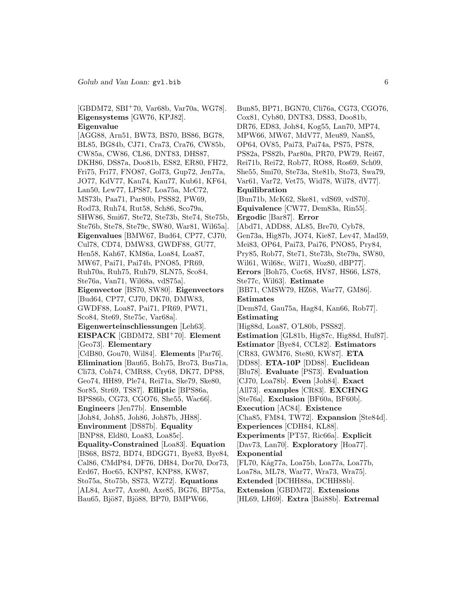[GBDM72, SBI<sup>+</sup>70, Var68b, Var70a, WG78]. **Eigensystems** [GW76, KPJ82]. **Eigenvalue** [AGG88, Arn51, BW73, BS70, BS86, BG78, BL85, BG84b, CJ71, Cra73, Cra76, CW85b, CW85a, CW86, CL86, DNT83, DHS87, DKH86, DS87a, Doo81b, ES82, ER80, FH72, Fri75, Fri77, FNO87, Gol73, Gup72, Jen77a, JO77, KdV77, Kau74, Kau77, Kub61, KF64, Lan50, Lew77, LPS87, Loa75a, McC72, MS73b, Paa71, Par80b, PSS82, PW69, Rod73, Ruh74, Rut58, Sch86, Sco79a, SHW86, Smi67, Ste72, Ste73b, Ste74, Ste75b, Ste76b, Ste78, Ste79c, SW80, War81, Wil65a]. **Eigenvalues** [BMW67, Bud64, CP77, CJ70, Cul78, CD74, DMW83, GWDF88, GU77, Hen58, Kah67, KM86a, Loa84, Loa87, MW67, Pai71, Pai74b, PNO85, PR69, Ruh70a, Ruh75, Ruh79, SLN75, Sco84, Ste76a, Van71, Wil68a, vdS75a]. **Eigenvector** [BS70, SW80]. **Eigenvectors** [Bud64, CP77, CJ70, DK70, DMW83, GWDF88, Loa87, Pai71, PR69, PW71, Sco84, Ste69, Ste75c, Var68a]. **Eigenwerteinschliessungen** [Leh63]. **EISPACK** [GBDM72, SBI<sup>+</sup>70]. **Element** [Geo73]. **Elementary** [CdB80, Gou70, Wil84]. **Elements** [Par76]. **Elimination** [Bau65, Boh75, Bro73, Bus71a, Cli73, Coh74, CMR88, Cry68, DK77, DP88, Geo74, HH89, Ple74, Rei71a, Ske79, Ske80, Sor85, Str69, TS87]. **Elliptic** [BPS86a, BPS86b, CG73, CGO76, She55, Wac66]. **Engineers** [Jen77b]. **Ensemble** [Joh84, Joh85, Joh86, Joh87b, JH88]. **Environment** [DS87b]. **Equality** [BNP88, Eld80, Loa83, Loa85c]. **Equality-Constrained** [Loa83]. **Equation** [BS68, BS72, BD74, BDGG71, Bye83, Bye84, Cal86, CMdP84, DF76, DH84, Dor70, Dor73, Erd67, Hoc65, KNP87, KNP88, KW87, Sto75a, Sto75b, SS73, WZ72]. **Equations** [AL84, Axe77, Axe80, Axe85, BG76, BP75a,

Bau65, Bjö87, Bjö88, BP70, BMPW66,

Bun85, BP71, BGN70, Cli76a, CG73, CGO76, Cox81, Cyb80, DNT83, DS83, Doo81b, DR76, ED83, Joh84, Kog55, Lan70, MP74, MPW66, MW67, MdV77, Meu89, Nan85, OP64, OV85, Pai73, Pai74a, PS75, PS78, PS82a, PS82b, Par80a, PR70, PW79, Rei67, Rei71b, Rei72, Rob77, RO88, Ros69, Sch09, She55, Smi70, Ste73a, Ste81b, Sto73, Swa79, Var61, Var72, Vet75, Wid78, Wil78, dV77]. **Equilibration** [Bun71b, McK62, Ske81, vdS69, vdS70]. **Equivalence** [CW77, Dem83a, Rin55]. **Ergodic** [Bar87]. **Error** [Abd71, ADD88, AL85, Bre70, Cyb78, Gen73a, Hig87b, JO74, Kie87, Lev47, Mad59, Mei83, OP64, Pai73, Pai76, PNO85, Pry84, Pry85, Rob77, Ste71, Ste73b, Ste79a, SW80, Wil61, Wil68c, Wil71, Woz80, dBP77]. **Errors** [Boh75, Coc68, HV87, HS66, LS78, Ste77c, Wil63]. **Estimate** [BB71, CMSW79, HZ68, War77, GM86]. **Estimates** [Dem87d, Gau75a, Hag84, Kan66, Rob77]. **Estimating** [Hig88d, Loa87, O'L80b, PSS82]. **Estimation** [GL81b, Hig87c, Hig88d, Huf87]. **Estimator** [Bye84, CCL82]. **Estimators** [CR83, GWM76, Ste80, KW87]. **ETA** [DD88]. **ETA-10P** [DD88]. **Euclidean** [Blu78]. **Evaluate** [PS73]. **Evaluation** [CJ70, Loa78b]. **Even** [Joh84]. **Exact** [All73]. **examples** [CR83]. **EXCHNG** [Ste76a]. **Exclusion** [BF60a, BF60b]. **Execution** [AC84]. **Existence** [Cha85, FM84, TW72]. **Expansion** [Ste84d]. **Experiences** [CDH84, KL88]. **Experiments** [PT57, Ric66a]. **Explicit** [Dav73, Lan70]. **Exploratory** [Hoa77]. **Exponential** [FL70, K˚ag77a, Loa75b, Loa77a, Loa77b, Loa78a, ML78, War77, Wra73, Wra75]. **Extended** [DCHH88a, DCHH88b]. **Extension** [GBDM72]. **Extensions** [HL69, LH69]. **Extra** [Bai88b]. **Extremal**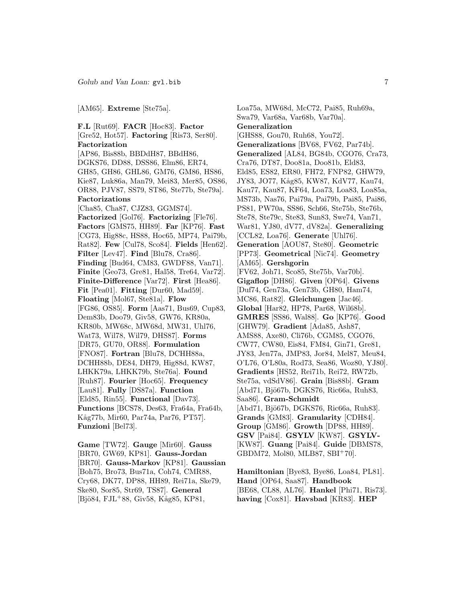[AM65]. **Extreme** [Ste75a].

**F.L** [Rut69]. **FACR** [Hoc83]. **Factor** [Gre52, Hot57]. **Factoring** [Ris73, Ser80]. **Factorization** [AP86, Bis88b, BBDdH87, BBdH86, DGKS76, DD88, DSS86, Elm86, ER74, GH85, GH86, GHL86, GM76, GM86, HS86, Kie87, Luk86a, Man79, Mei83, Mer85, OS86, OR88, PJV87, SS79, ST86, Ste77b, Ste79a]. **Factorizations** [Cha85, Cha87, CJZ83, GGMS74]. **Factorized** [Gol76]. **Factorizing** [Fle76]. **Factors** [GMS75, HH89]. **Far** [KP76]. **Fast** [CG73, Hig88c, HS88, Hoc65, MP74, Pai79b, Rat82]. **Few** [Cul78, Sco84]. **Fields** [Hen62]. **Filter** [Lev47]. **Find** [Blu78, Cra86]. **Finding** [Bud64, CM83, GWDF88, Van71]. **Finite** [Geo73, Gre81, Hal58, Tre64, Var72]. **Finite-Difference** [Var72]. **First** [Hea86]. **Fit** [Pea01]. **Fitting** [Dur60, Mad59]. **Floating** [Mol67, Ste81a]. **Flow** [FG86, OS85]. **Form** [Aas71, Bus69, Cup83, Dem83b, Doo79, Giv58, GW76, KR80a, KR80b, MW68c, MW68d, MW31, Uhl76, Wat73, Wil78, Wil79, DHS87]. **Forms** [DR75, GU70, OR88]. **Formulation** [FNO87]. **Fortran** [Blu78, DCHH88a, DCHH88b, DE84, DH79, Hig88d, KW87, LHKK79a, LHKK79b, Ste76a]. **Found** [Ruh87]. **Fourier** [Hoc65]. **Frequency** [Lau81]. **Fully** [DS87a]. **Function** [Eld85, Rin55]. **Functional** [Dav73]. **Functions** [BCS78, Des63, Fra64a, Fra64b, Kåg77b, Mir60, Par74a, Par76, PT57]. **Funzioni** [Bel73].

**Game** [TW72]. **Gauge** [Mir60]. **Gauss** [BR70, GW69, KP81]. **Gauss-Jordan** [BR70]. **Gauss-Markov** [KP81]. **Gaussian** [Boh75, Bro73, Bus71a, Coh74, CMR88, Cry68, DK77, DP88, HH89, Rei71a, Ske79, Ske80, Sor85, Str69, TS87]. **General** [Bjö84, FJL<sup>+</sup>88, Giv58, Kåg85, KP81,

Loa75a, MW68d, McC72, Pai85, Ruh69a, Swa79, Var68a, Var68b, Var70a]. **Generalization** [GHS88, Gou70, Ruh68, You72]. **Generalizations** [BV68, FV62, Par74b]. **Generalized** [AL84, BG84b, CGO76, Cra73, Cra76, DT87, Doo81a, Doo81b, Eld83, Eld85, ES82, ER80, FH72, FNP82, GHW79, JY83, JO77, Kåg85, KW87, KdV77, Kau74, Kau77, Kau87, KF64, Loa73, Loa83, Loa85a, MS73b, Nas76, Pai79a, Pai79b, Pai85, Pai86, PS81, PW70a, SS86, Sch66, Ste75b, Ste76b, Ste78, Ste79c, Ste83, Sun83, Swe74, Van71, War81, YJ80, dV77, dV82a]. **Generalizing** [CCL82, Loa76]. **Generate** [Uhl76]. **Generation** [AOU87, Ste80]. **Geometric** [PP73]. **Geometrical** [Nic74]. **Geometry** [AM65]. **Gershgorin** [FV62, Joh71, Sco85, Ste75b, Var70b]. **Gigaflop** [DH86]. **Given** [OP64]. **Givens** [Duf74, Gen73a, Gen73b, GH80, Ham74, MC86, Rat82]. **Gleichungen** [Jac46]. **Global** [Har82, HP78, Par68, Wil68b]. **GMRES** [SS86, Wal88]. **Go** [KP76]. **Good** [GHW79]. **Gradient** [Ada85, Ash87, AMS88, Axe80, Cli76b, CGM85, CGO76, CW77, CW80, Eis84, FM84, Gin71, Gre81, JY83, Jen77a, JMP83, Jor84, Mel87, Meu84, O'L76, O'L80a, Rod73, Sea86, Woz80, YJ80]. **Gradients** [HS52, Rei71b, Rei72, RW72b, Ste75a, vdSdV86]. **Grain** [Bis88b]. **Gram** [Abd71, Bjö67b, DGKS76, Ric66a, Ruh83, Saa86]. **Gram-Schmidt** [Abd71, Bjö67b, DGKS76, Ric66a, Ruh83]. **Grands** [GM83]. **Granularity** [CDH84]. **Group** [GM86]. **Growth** [DP88, HH89]. **GSV** [Pai84]. **GSYLV** [KW87]. **GSYLV-** [KW87]. **Guang** [Pai84]. **Guide** [DBMS78, GBDM72, Mol80, MLB87, SBI<sup>+</sup>70].

**Hamiltonian** [Bye83, Bye86, Loa84, PL81]. **Hand** [OP64, Saa87]. **Handbook** [BE68, CL88, AL76]. **Hankel** [Phi71, Ris73]. **having** [Cox81]. **Havsbad** [KR83]. **HEP**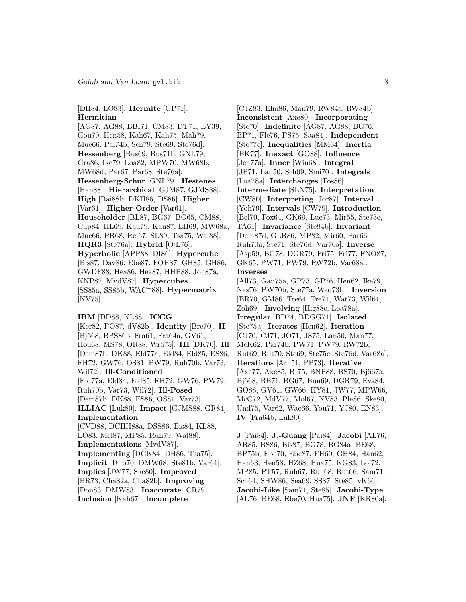#### [DH84, LO83]. **Hermite** [GP71]. **Hermitian**

[AG87, AG88, BBI71, CM83, DT71, EY39, Gou70, Hen58, Kah67, Kah75, Mah79, Mue66, Pai74b, Sch79, Ste69, Ste76d]. **Hessenberg** [Bus69, Bus71b, GNL79, Gra86, Ike79, Loa82, MPW70, MW68b, MW68d, Par67, Par68, Ste76a]. **Hessenberg-Schur** [GNL79]. **Hestenes** [Han88]. **Hierarchical** [GJM87, GJMS88]. **High** [Bai88b, DKH86, DS86]. **Higher** [Var61]. **Higher-Order** [Var61]. **Householder** [BL87, BG67, BG65, CM88, Cup84, HL69, Kau79, Kau87, LH69, MW68a, Mue66, PR68, Rei67, SL89, Tsa75, Wal88]. **HQR3** [Ste76a]. **Hybrid** [O'L76]. **Hyperbolic** [APP88, DI86]. **Hypercube** [Bis87, Dav86, Ebe87, FOH87, GH85, GH86, GWDF88, Hea86, Hea87, HHP88, Joh87a, KNP87, MvdV87]. **Hypercubes** [SS85a, SS85b, WAC<sup>+</sup>88]. **Hypermatrix** [NV75].

**IBM** [DD88, KL88]. **ICCG** [Ker82, PO87, dV82b]. **Identity** [Bre70]. **II** [Bjö68, BPS86b, Fra61, Fra64a, GV61, Hou68, MS78, OR88, Wra75]. **III** [DK70]. **Ill** [Dem87b, DK88, Eld77a, Eld84, Eld85, ES86, FH72, GW76, OS81, PW79, Ruh70b, Var73, Wil72]. **Ill-Conditioned** [Eld77a, Eld84, Eld85, FH72, GW76, PW79, Ruh70b, Var73, Wil72]. **Ill-Posed** [Dem87b, DK88, ES86, OS81, Var73]. **ILLIAC** [Luk80]. **Impact** [GJMS88, GR84]. **Implementation** [CVD88, DCHH88a, DSS86, Eis84, KL88, LO83, Mel87, MP85, Ruh79, Wal88]. **Implementations** [MvdV87]. **Implementing** [DGK84, DH86, Tsa75]. **Implicit** [Dub70, DMW68, Ste81b, Var61]. **Implies** [JW77, Ske80]. **Improved** [BR73, Cha82a, Cha82b]. **Improving** [Don83, DMW83]. **Inaccurate** [CR79]. **Inclusion** [Kah67]. **Incomplete**

[CJZ83, Elm86, Man79, RW84a, RW84b]. **Inconsistent** [Axe80]. **Incorporating** [Ste70]. **Indefinite** [AG87, AG88, BG76, BP71, Fle76, PS75, Saa84]. **Independent** [Ste77c]. **Inequalities** [MM64]. **Inertia** [BK77]. **Inexact** [GO88]. **Influence** [Jen77a]. **Inner** [Win68]. **Integral** [JP71, Lan50, Sch09, Smi70]. **Integrals** [Loa78a]. **Interchanges** [Fos86]. **Intermediate** [SLN75]. **Interpretation** [CW80]. **Interpreting** [Jor87]. **Interval** [Yoh79]. **Intervals** [CW79]. **Introduction** [Bel70, Fox64, GK69, Lue73, Mir55, Ste73c, TA61]. **Invariance** [Ste84b]. **Invariant** [Dem87d, GLR86, MP82, Mir60, Par66, Ruh70a, Ste71, Ste76d, Var70a]. **Inverse** [Asp59, BG78, DGR79, Fri75, Fri77, FNO87, GK65, PW71, PW79, RW72b, Var68a]. **Inverses** [All73, Gau75a, GP73, GP76, Hen62, Ike79, Nas76, PW70b, Ste77a, Wed73b]. **Inversion** [BR70, GM86, Tre64, Tre74, Wat73, Wil61, Zoh69]. **Involving** [Hig88c, Loa78a].

**Irregular** [BD74, BDGG71]. **Isolated** [Ste75a]. **Iterates** [Hen62]. **Iteration** [CJ70, CJ71, JO71, JS75, Lan50, Man77, McK62, Par74b, PW71, PW79, RW72b, Rut69, Rut70, Ste69, Ste75c, Ste76d, Var68a]. **Iterations** [Arn51, PP73]. **Iterative** [Axe77, Axe85, BI75, BNP88, BS70, Bjö67a, Bjö68, BB71, BG67, Bun69, DGR79, Eva84, GO88, GV61, GW66, HY81, JW77, MPW66, McC72, MdV77, Mol67, NV83, Ple86, Ske80, Und75, Var62, Wac66, You71, YJ80, EN83]. **IV** [Fra64b, Luk80].

**J** [Pai84]. **J.-Guang** [Pai84]. **Jacobi** [AL76, AR85, BS86, Bis87, BG78, BG84a, BE68, BP75b, Ebe70, Ebe87, FH60, GH84, Han62, Han63, Hen58, HZ68, Hua75, KG83, Loi72, MP85, PT57, Ruh67, Ruh68, Rut66, Sam71, Sch64, SHW86, Sea69, SS87, Ste85, vK66]. **Jacobi-Like** [Sam71, Ste85]. **Jacobi-Type** [AL76, BE68, Ebe70, Hua75]. **JNF** [KR80a].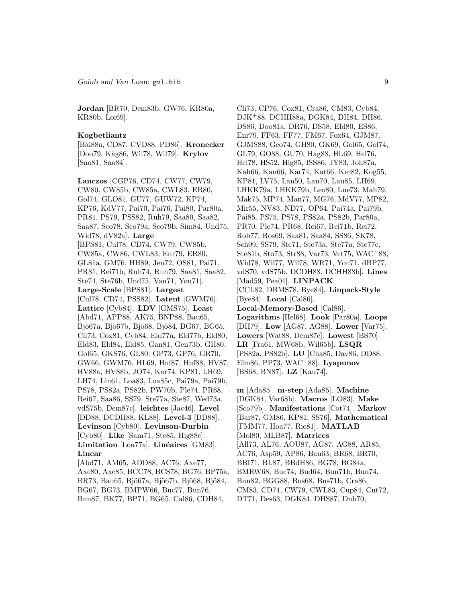**Jordan** [BR70, Dem83b, GW76, KR80a, KR80b, Loi69].

#### **Kogbetliantz**

[Bai88a, CD87, CVD88, PD86]. **Kronecker** [Doo79, K˚ag86, Wil78, Wil79]. **Krylov** [Saa81, Saa84].

**Lanczos** [CGP76, CD74, CW77, CW79, CW80, CW85b, CW85a, CWL83, ER80, Gol74, GLO81, GU77, GUW72, KP74, KP76, KdV77, Pai70, Pai76, Pai80, Par80a, PR81, PS79, PSS82, Ruh79, Saa80, Saa82, Saa87, Sco78, Sco79a, Sco79b, Sim84, Und75, Wid78, dV82a]. **Large** [BPS81, Cul78, CD74, CW79, CW85b, CW85a, CW86, CWL83, Enr79, ER80, GL81a, GM76, HH89, Jen72, OS81, Pai71, PR81, Rei71b, Ruh74, Ruh79, Saa81, Saa82, Ste74, Ste76b, Und75, Van71, You71]. **Large-Scale** [BPS81]. **Largest** [Cul78, CD74, PSS82]. **Latent** [GWM76]. **Lattice** [Cyb84]. **LDV** [GMS75]. **Least** [Abd71, APP88, AK75, BNP88, Bau65, Bjö67a, Bjö67b, Bjö68, Bjö84, BG67, BG65, Cli73, Cox81, Cyb84, Eld77a, Eld77b, Eld80, Eld83, Eld84, Eld85, Gan81, Gen73b, GH80, Gol65, GKS76, GL80, GP73, GP76, GR70, GW66, GWM76, HL69, Huf87, Huf88, HV87, HV88a, HV88b, JO74, Kar74, KP81, LH69, LH74, Lin61, Loa83, Loa85c, Pai79a, Pai79b, PS78, PS82a, PS82b, PW70b, Ple74, PR68, Rei67, Saa86, SS79, Ste77a, Ste87, Wed73a, vdS75b, Dem87c]. **leichtes** [Jac46]. **Level** [DD88, DCDH88, KL88]. **Level-3** [DD88]. **Levinson** [Cyb80]. **Levinson-Durbin** [Cyb80]. **Like** [Sam71, Ste85, Hig88c]. Limitation [Loa77a]. Linéaires [GM83]. **Linear**

[Abd71, AM65, ADD88, AC76, Axe77, Axe80, Axe85, BCC78, BCS78, BG76, BP75a, BR73, Bau65, Bjö67a, Bjö67b, Bjö68, Bjö84, BG67, BG73, BMPW66, Buc77, Bun76, Bun87, BK77, BP71, BG65, Cal86, CDH84,

Cli73, CP76, Cox81, Cra86, CM83, Cyb84, DJK<sup>+</sup>88, DCHH88a, DGK84, DH84, DH86, DS86, Doo81a, DR76, DS58, Eld80, ES86, Enr79, FF63, FF77, FM67, Fox64, GJM87, GJMS88, Geo74, GH80, GK69, Gol65, Gol74, GL79, GO88, GU70, Hag88, HL69, Hel76, Hel78, HS52, Hig85, ISS86, JY83, Joh87a, Kah66, Kan66, Kar74, Kat66, Ker82, Kog55, KP81, LV75, Lan50, Lan70, Lau85, LH69, LHKK79a, LHKK79b, Leo80, Lue73, Mah79, Mak75, MP74, Man77, MG76, MdV77, MP82, Mir55, NV83, ND77, OP64, Pai74a, Pai79b, Pai85, PS75, PS78, PS82a, PS82b, Par80a, PR70, Ple74, PR68, Rei67, Rei71b, Rei72, Rob77, Ros69, Saa81, Saa84, SS86, SK78, Sch09, SS79, Ste71, Ste73a, Ste77a, Ste77c, Ste81b, Sto73, Str88, Var73, Vet75, WAC<sup>+</sup>88, Wid78, Wil77, Wil78, WR71, You71, dBP77, vdS70, vdS75b, DCDH88, DCHH88b]. **Lines** [Mad59, Pea01]. **LINPACK** [CCL82, DBMS78, Bye84]. **Linpack-Style** [Bye84]. **Local** [Cal86]. **Local-Memory-Based** [Cal86]. **Logarithms** [Hel68]. **Look** [Par80a]. **Loops** [DH79]. **Low** [AG87, AG88]. **Lower** [Var75]. **Lowers** [Wat88, Dem87c]. **Lowest** [BS70]. **LR** [Fra61, MW68b, Wil65b]. **LSQR** [PS82a, PS82b]. **LU** [Cha85, Dav86, DD88, Elm86, PP73, WAC<sup>+</sup>88]. **Lyapunov** [BS68, BN87]. **LZ** [Kau74].

**m** [Ada85]. **m-step** [Ada85]. **Machine** [DGK84, Var68b]. **Macros** [LO83]. **Make** [Sco79b]. **Manifestations** [Cot74]. **Markov** [Bar87, GM86, KP81, SS76]. **Mathematical** [FMM77, Hoa77, Ric81]. **MATLAB** [Mol80, MLB87]. **Matrices** [All73, AL76, AOU87, AG87, AG88, AR85, AC76, Asp59, AP86, Bau63, BR68, BR70, BBI71, BL87, BBdH86, BG78, BG84a, BMRW68, Buc74, Bud64, Bun71b, Bun74, Bun82, BGG88, Bus68, Bus71b, Cra86, CM83, CD74, CW79, CWL83, Cup84, Cut72, DT71, Des63, DGK84, DHS87, Dub70,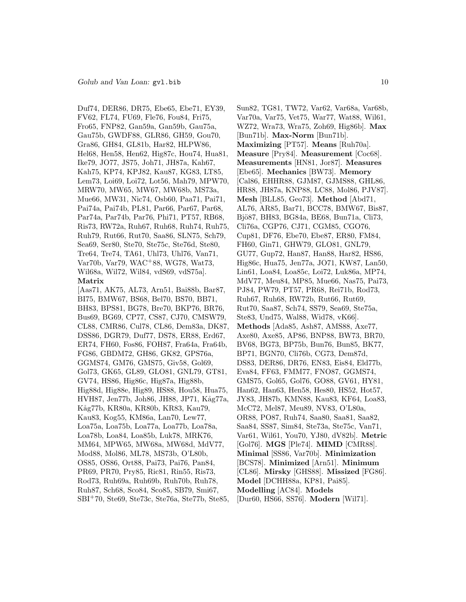Duf74, DER86, DR75, Ebe65, Ebe71, EY39, FV62, FL74, FU69, Fle76, Fou84, Fri75, Fro65, FNP82, Gan59a, Gan59b, Gau75a, Gau75b, GWDF88, GLR86, GH59, Gou70, Gra86, GH84, GL81b, Har82, HLPW86, Hel68, Hen58, Hen62, Hig87c, Hou74, Hua81, Ike79, JO77, JS75, Joh71, JH87a, Kah67, Kah75, KP74, KPJ82, Kau87, KG83, LT85, Lem73, Loi69, Loi72, Lot56, Mah79, MPW70, MRW70, MW65, MW67, MW68b, MS73a, Mue66, MW31, Nic74, Osb60, Paa71, Pai71, Pai74a, Pai74b, PL81, Par66, Par67, Par68, Par74a, Par74b, Par76, Phi71, PT57, RB68, Ris73, RW72a, Ruh67, Ruh68, Ruh74, Ruh75, Ruh79, Rut66, Rut70, Saa86, SLN75, Sch79, Sea69, Ser80, Ste70, Ste75c, Ste76d, Ste80, Tre64, Tre74, TA61, Uhl73, Uhl76, Van71, Var70b, Var79, WAC<sup>+</sup>88, WG78, Wat73, Wil68a, Wil72, Wil84, vdS69, vdS75a]. **Matrix**

[Aas71, AK75, AL73, Arn51, Bai88b, Bar87, BI75, BMW67, BS68, Bel70, BS70, BB71, BH83, BPS81, BG78, Bre70, BKP76, BR76, Bus69, BG69, CP77, CS87, CJ70, CMSW79, CL88, CMR86, Cul78, CL86, Dem83a, DK87, DSS86, DGR79, Duf77, DS78, ER88, Erd67, ER74, FH60, Fos86, FOH87, Fra64a, Fra64b, FG86, GBDM72, GH86, GK82, GPS76a, GGMS74, GM76, GMS75, Giv58, Gol69, Gol73, GK65, GL89, GLO81, GNL79, GT81, GV74, HS86, Hig86c, Hig87a, Hig88b, Hig88d, Hig88e, Hig89, HS88, Hou58, Hua75, HVH87, Jen77b, Joh86, JH88, JP71, Kåg77a, Kåg77b, KR80a, KR80b, KR83, Kau79, Kau83, Kog55, KM86a, Lan70, Lew77, Loa75a, Loa75b, Loa77a, Loa77b, Loa78a, Loa78b, Loa84, Loa85b, Luk78, MRK76, MM64, MPW65, MW68a, MW68d, MdV77, Mod88, Mol86, ML78, MS73b, O'L80b, OS85, OS86, Ort88, Pai73, Pai76, Pan84, PR69, PR70, Pry85, Ric81, Rin55, Ris73, Rod73, Ruh69a, Ruh69b, Ruh70b, Ruh78, Ruh87, Sch68, Sco84, Sco85, SB79, Smi67, SBI<sup>+</sup>70, Ste69, Ste73c, Ste76a, Ste77b, Ste85,

Sun82, TG81, TW72, Var62, Var68a, Var68b, Var70a, Var75, Vet75, War77, Wat88, Wil61, WZ72, Wra73, Wra75, Zoh69, Hig86b]. **Max** [Bun71b]. **Max-Norm** [Bun71b]. **Maximizing** [PT57]. **Means** [Ruh70a]. **Measure** [Pry84]. **Measurement** [Coc68]. **Measurements** [HN81, Jor87]. **Measures** [Ebe65]. **Mechanics** [BW73]. **Memory** [Cal86, EHHR88, GJM87, GJMS88, GHL86, HR88, JH87a, KNP88, LC88, Mol86, PJV87]. **Mesh** [BLL85, Geo73]. **Method** [Abd71, AL76, AR85, Bar71, BCC78, BMW67, Bis87, Bjö87, BH83, BG84a, BE68, Bun71a, Cli73, Cli76a, CGP76, CJ71, CGM85, CGO76, Cup81, DF76, Ebe70, Ebe87, ER80, FM84, FH60, Gin71, GHW79, GLO81, GNL79, GU77, Gup72, Han87, Han88, Har82, HS86, Hig86c, Hua75, Jen77a, JO71, KW87, Lan50, Lin61, Loa84, Loa85c, Loi72, Luk86a, MP74, MdV77, Meu84, MP85, Mue66, Nas75, Pai73, PJ84, PW79, PT57, PR68, Rei71b, Rod73, Ruh67, Ruh68, RW72b, Rut66, Rut69, Rut70, Saa87, Sch74, SS79, Sea69, Ste75a, Ste83, Und75, Wal88, Wid78, vK66]. **Methods** [Ada85, Ash87, AMS88, Axe77, Axe80, Axe85, AP86, BNP88, BW73, BR70, BV68, BG73, BP75b, Bun76, Bun85, BK77, BP71, BGN70, Cli76b, CG73, Dem87d, DS83, DER86, DR76, EN83, Eis84, Eld77b, Eva84, FF63, FMM77, FNO87, GGMS74, GMS75, Gol65, Gol76, GO88, GV61, HY81, Han62, Han63, Hen58, Hes80, HS52, Hot57, JY83, JH87b, KMN88, Kau83, KF64, Loa83, McC72, Mel87, Meu89, NV83, O'L80a, OR88, PO87, Ruh74, Saa80, Saa81, Saa82, Saa84, SS87, Sim84, Ste73a, Ste75c, Van71, Var61, Wil61, You70, YJ80, dV82b]. **Metric** [Gol76]. **MGS** [Ple74]. **MIMD** [CMR88]. **Minimal** [SS86, Var70b]. **Minimization** [BCS78]. **Minimized** [Arn51]. **Minimum** [CL86]. **Mirsky** [GHS88]. **Missized** [FG86]. **Model** [DCHH88a, KP81, Pai85]. **Modelling** [AC84]. **Models** [Dur60, HS66, SS76]. **Modern** [Wil71].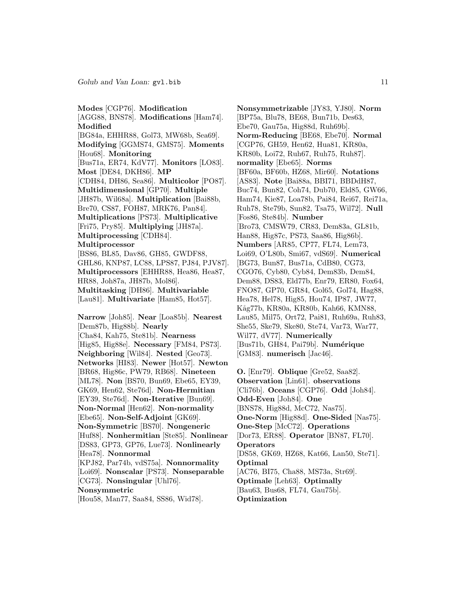**Modes** [CGP76]. **Modification** [AGG88, BNS78]. **Modifications** [Ham74]. **Modified** [BG84a, EHHR88, Gol73, MW68b, Sea69]. **Modifying** [GGMS74, GMS75]. **Moments** [Hou68]. **Monitoring** [Bus71a, ER74, KdV77]. **Monitors** [LO83]. **Most** [DE84, DKH86]. **MP** [CDH84, DH86, Sea86]. **Multicolor** [PO87]. **Multidimensional** [GP70]. **Multiple** [JH87b, Wil68a]. **Multiplication** [Bai88b, Bre70, CS87, FOH87, MRK76, Pan84]. **Multiplications** [PS73]. **Multiplicative** [Fri75, Pry85]. **Multiplying** [JH87a]. **Multiprocessing** [CDH84]. **Multiprocessor** [BS86, BL85, Dav86, GH85, GWDF88, GHL86, KNP87, LC88, LPS87, PJ84, PJV87]. **Multiprocessors** [EHHR88, Hea86, Hea87, HR88, Joh87a, JH87b, Mol86]. **Multitasking** [DH86]. **Multivariable** [Lau81]. **Multivariate** [Ham85, Hot57]. **Narrow** [Joh85]. **Near** [Loa85b]. **Nearest** [Dem87b, Hig88b]. **Nearly** [Cha84, Kah75, Ste81b]. **Nearness** [Hig85, Hig88e]. **Necessary** [FM84, PS73]. **Neighboring** [Wil84]. **Nested** [Geo73]. **Networks** [HI83]. **Newer** [Hot57]. **Newton** [BR68, Hig86c, PW79, RB68]. **Nineteen** [ML78]. **Non** [BS70, Bun69, Ebe65, EY39, GK69, Hen62, Ste76d]. **Non-Hermitian** [EY39, Ste76d]. **Non-Iterative** [Bun69]. **Non-Normal** [Hen62]. **Non-normality** [Ebe65]. **Non-Self-Adjoint** [GK69]. **Non-Symmetric** [BS70]. **Nongeneric** [Huf88]. **Nonhermitian** [Ste85]. **Nonlinear** [DS83, GP73, GP76, Lue73]. **Nonlinearly** [Hea78]. **Nonnormal** [KPJ82, Par74b, vdS75a]. **Nonnormality** [Loi69]. **Nonscalar** [PS73]. **Nonseparable** [CG73]. **Nonsingular** [Uhl76].

#### **Nonsymmetric**

[Hou58, Man77, Saa84, SS86, Wid78].

**Nonsymmetrizable** [JY83, YJ80]. **Norm** [BP75a, Blu78, BE68, Bun71b, Des63, Ebe70, Gau75a, Hig88d, Ruh69b]. **Norm-Reducing** [BE68, Ebe70]. **Normal** [CGP76, GH59, Hen62, Hua81, KR80a, KR80b, Loi72, Ruh67, Ruh75, Ruh87]. **normality** [Ebe65]. **Norms** [BF60a, BF60b, HZ68, Mir60]. **Notations** [AS83]. **Note** [Bai88a, BBI71, BBDdH87, Buc74, Bun82, Coh74, Dub70, Eld85, GW66, Ham74, Kie87, Loa78b, Pai84, Rei67, Rei71a, Ruh78, Ste79b, Sun82, Tsa75, Wil72]. **Null** [Fos86, Ste84b]. **Number** [Bro73, CMSW79, CR83, Dem83a, GL81b, Han88, Hig87c, PS73, Saa86, Hig86b]. **Numbers** [AR85, CP77, FL74, Lem73, Loi69, O'L80b, Smi67, vdS69]. **Numerical** [BG73, Bun87, Bus71a, CdB80, CG73, CGO76, Cyb80, Cyb84, Dem83b, Dem84, Dem88, DS83, Eld77b, Enr79, ER80, Fox64, FNO87, GP70, GR84, Gol65, Gol74, Hag88, Hea78, Hel78, Hig85, Hou74, IP87, JW77, Kåg77b, KR80a, KR80b, Kah66, KMN88, Lau85, Mil75, Ort72, Pai81, Ruh69a, Ruh83, She55, Ske79, Ske80, Ste74, Var73, War77, Wil77, dV77]. **Numerically** [Bus71b, GH84, Pai79b]. **Numérique** [GM83]. **numerisch** [Jac46].

**O.** [Enr79]. **Oblique** [Gre52, Saa82]. **Observation** [Lin61]. **observations** [Cli76b]. **Oceans** [CGP76]. **Odd** [Joh84]. **Odd-Even** [Joh84]. **One** [BNS78, Hig88d, McC72, Nas75]. **One-Norm** [Hig88d]. **One-Sided** [Nas75]. **One-Step** [McC72]. **Operations** [Dor73, ER88]. **Operator** [BN87, FL70]. **Operators** [DS58, GK69, HZ68, Kat66, Lan50, Ste71]. **Optimal** [AC76, BI75, Cha88, MS73a, Str69]. **Optimale** [Leh63]. **Optimally** [Bau63, Bus68, FL74, Gau75b]. **Optimization**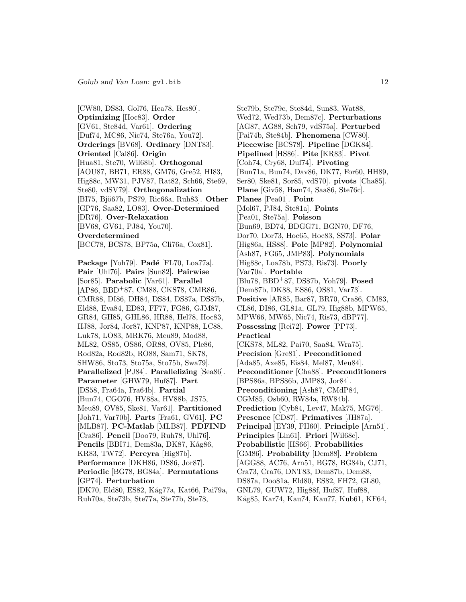[CW80, DS83, Gol76, Hea78, Hes80]. **Optimizing** [Hoc83]. **Order** [GV61, Ste84d, Var61]. **Ordering** [Duf74, MC86, Nic74, Ste76a, You72]. **Orderings** [BV68]. **Ordinary** [DNT83]. **Oriented** [Cal86]. **Origin** [Hua81, Ste70, Wil68b]. **Orthogonal** [AOU87, BB71, ER88, GM76, Gre52, HI83, Hig88c, MW31, PJV87, Rat82, Sch66, Ste69, Ste80, vdSV79]. **Orthogonalization** [BI75, Bjö67b, PS79, Ric66a, Ruh83]. **Other** [GP76, Saa82, LO83]. **Over-Determined** [DR76]. **Over-Relaxation** [BV68, GV61, PJ84, You70]. **Overdetermined** [BCC78, BCS78, BP75a, Cli76a, Cox81].

**Package** [Yoh79]. **Padé** [FL70, Loa77a]. **Pair** [Uhl76]. **Pairs** [Sun82]. **Pairwise** [Sor85]. **Parabolic** [Var61]. **Parallel** [AP86, BBD<sup>+</sup>87, CM88, CKS78, CMR86, CMR88, DI86, DH84, DS84, DS87a, DS87b, Eld88, Eva84, ED83, FF77, FG86, GJM87, GR84, GH85, GHL86, HR88, Hel78, Hoc83, HJ88, Jor84, Jor87, KNP87, KNP88, LC88, Luk78, LO83, MRK76, Meu89, Mod88, ML82, OS85, OS86, OR88, OV85, Ple86, Rod82a, Rod82b, RO88, Sam71, SK78, SHW86, Sto73, Sto75a, Sto75b, Swa79]. **Parallelized** [PJ84]. **Parallelizing** [Sea86]. **Parameter** [GHW79, Huf87]. **Part** [DS58, Fra64a, Fra64b]. **Partial** [Bun74, CGO76, HV88a, HV88b, JS75, Meu89, OV85, Ske81, Var61]. **Partitioned** [Joh71, Var70b]. **Parts** [Fra61, GV61]. **PC** [MLB87]. **PC-Matlab** [MLB87]. **PDFIND** [Cra86]. **Pencil** [Doo79, Ruh78, Uhl76]. **Pencils** [BBI71, Dem83a, DK87, Kåg86, KR83, TW72]. **Pereyra** [Hig87b]. **Performance** [DKH86, DS86, Jor87]. **Periodic** [BG78, BG84a]. **Permutations** [GP74]. **Perturbation** [DK70, Eld80, ES82, Kåg77a, Kat66, Pai79a, Ruh70a, Ste73b, Ste77a, Ste77b, Ste78,

Ste79b, Ste79c, Ste84d, Sun83, Wat88, Wed72, Wed73b, Dem87c]. **Perturbations** [AG87, AG88, Sch79, vdS75a]. **Perturbed** [Pai74b, Ste84b]. **Phenomena** [CW80]. **Piecewise** [BCS78]. **Pipeline** [DGK84]. **Pipelined** [HS86]. **Pite** [KR83]. **Pivot** [Coh74, Cry68, Duf74]. **Pivoting** [Bun71a, Bun74, Dav86, DK77, For60, HH89, Ser80, Ske81, Sor85, vdS70]. **pivots** [Cha85]. **Plane** [Giv58, Ham74, Saa86, Ste76c]. **Planes** [Pea01]. **Point** [Mol67, PJ84, Ste81a]. **Points** [Pea01, Ste75a]. **Poisson** [Bun69, BD74, BDGG71, BGN70, DF76, Dor70, Dor73, Hoc65, Hoc83, SS73]. **Polar** [Hig86a, HS88]. **Pole** [MP82]. **Polynomial** [Ash87, FG65, JMP83]. **Polynomials** [Hig88c, Loa78b, PS73, Ris73]. **Poorly** [Var70a]. **Portable** [Blu78, BBD<sup>+</sup>87, DS87b, Yoh79]. **Posed** [Dem87b, DK88, ES86, OS81, Var73]. **Positive** [AR85, Bar87, BR70, Cra86, CM83, CL86, DI86, GL81a, GL79, Hig88b, MPW65, MPW66, MW65, Nic74, Ris73, dBP77]. **Possessing** [Rei72]. **Power** [PP73]. **Practical** [CKS78, ML82, Pai70, Saa84, Wra75]. **Precision** [Gre81]. **Preconditioned** [Ada85, Axe85, Eis84, Mel87, Meu84]. **Preconditioner** [Cha88]. **Preconditioners** [BPS86a, BPS86b, JMP83, Jor84]. **Preconditioning** [Ash87, CMdP84, CGM85, Osb60, RW84a, RW84b]. **Prediction** [Cyb84, Lev47, Mak75, MG76]. **Presence** [CD87]. **Primatives** [JH87a]. **Principal** [EY39, FH60]. **Principle** [Arn51]. **Principles** [Lin61]. **Priori** [Wil68c]. **Probabilistic** [HS66]. **Probabilities** [GM86]. **Probability** [Dem88]. **Problem** [AGG88, AC76, Arn51, BG78, BG84b, CJ71, Cra73, Cra76, DNT83, Dem87b, Dem88, DS87a, Doo81a, Eld80, ES82, FH72, GL80, GNL79, GUW72, Hig88f, Huf87, Huf88, Kåg85, Kar74, Kau74, Kau77, Kub61, KF64,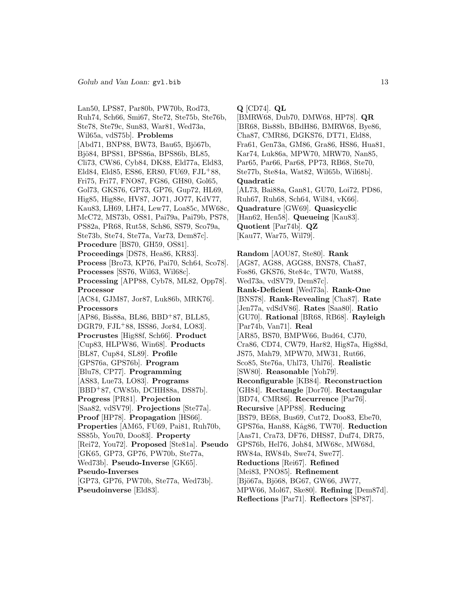Lan50, LPS87, Par80b, PW70b, Rod73, Ruh74, Sch66, Smi67, Ste72, Ste75b, Ste76b, Ste78, Ste79c, Sun83, War81, Wed73a, Wil65a, vdS75b]. **Problems** [Abd71, BNP88, BW73, Bau65, Bjö67b, Bjö84, BPS81, BPS86a, BPS86b, BL85, Cli73, CW86, Cyb84, DK88, Eld77a, Eld83, Eld84, Eld85, ES86, ER80, FU69, FJL<sup>+</sup>88, Fri75, Fri77, FNO87, FG86, GH80, Gol65, Gol73, GKS76, GP73, GP76, Gup72, HL69, Hig85, Hig88e, HV87, JO71, JO77, KdV77, Kau83, LH69, LH74, Lew77, Loa85c, MW68c, McC72, MS73b, OS81, Pai79a, Pai79b, PS78, PS82a, PR68, Rut58, Sch86, SS79, Sco79a, Ste73b, Ste74, Ste77a, Var73, Dem87c]. **Procedure** [BS70, GH59, OS81]. **Proceedings** [DS78, Hea86, KR83]. **Process** [Bro73, KP76, Pai70, Sch64, Sco78]. **Processes** [SS76, Wil63, Wil68c]. **Processing** [APP88, Cyb78, ML82, Opp78]. **Processor** [AC84, GJM87, Jor87, Luk86b, MRK76]. **Processors** [AP86, Bis88a, BL86, BBD<sup>+</sup>87, BLL85, DGR79, FJL<sup>+</sup>88, ISS86, Jor84, LO83]. **Procrustes** [Hig88f, Sch66]. **Product** [Cup83, HLPW86, Win68]. **Products** [BL87, Cup84, SL89]. **Profile** [GPS76a, GPS76b]. **Program** [Blu78, CP77]. **Programming** [AS83, Lue73, LO83]. **Programs** [BBD<sup>+</sup>87, CW85b, DCHH88a, DS87b]. **Progress** [PR81]. **Projection** [Saa82, vdSV79]. **Projections** [Ste77a]. **Proof** [HP78]. **Propagation** [HS66]. **Properties** [AM65, FU69, Pai81, Ruh70b, SS85b, You70, Doo83]. **Property** [Rei72, You72]. **Proposed** [Ste81a]. **Pseudo** [GK65, GP73, GP76, PW70b, Ste77a, Wed73b]. **Pseudo-Inverse** [GK65]. **Pseudo-Inverses** [GP73, GP76, PW70b, Ste77a, Wed73b]. **Pseudoinverse** [Eld83].

**Q** [CD74]. **QL**

[BMRW68, Dub70, DMW68, HP78]. **QR** [BR68, Bis88b, BBdH86, BMRW68, Bye86, Cha87, CMR86, DGKS76, DT71, Eld88, Fra61, Gen73a, GM86, Gra86, HS86, Hua81, Kar74, Luk86a, MPW70, MRW70, Nan85, Par65, Par66, Par68, PP73, RB68, Ste70, Ste77b, Ste84a, Wat82, Wil65b, Wil68b]. **Quadratic** [AL73, Bai88a, Gan81, GU70, Loi72, PD86, Ruh67, Ruh68, Sch64, Wil84, vK66]. **Quadrature** [GW69]. **Quasicyclic** [Han62, Hen58]. **Queueing** [Kau83]. **Quotient** [Par74b]. **QZ** [Kau77, War75, Wil79].

**Random** [AOU87, Ste80]. **Rank** [AG87, AG88, AGG88, BNS78, Cha87, Fos86, GKS76, Ste84c, TW70, Wat88, Wed73a, vdSV79, Dem87c]. **Rank-Deficient** [Wed73a]. **Rank-One** [BNS78]. **Rank-Revealing** [Cha87]. **Rate** [Jen77a, vdSdV86]. **Rates** [Saa80]. **Ratio** [GU70]. **Rational** [BR68, RB68]. **Rayleigh** [Par74b, Van71]. **Real** [AR85, BS70, BMPW66, Bud64, CJ70, Cra86, CD74, CW79, Har82, Hig87a, Hig88d, JS75, Mah79, MPW70, MW31, Rut66, Sco85, Ste76a, Uhl73, Uhl76]. **Realistic** [SW80]. **Reasonable** [Yoh79]. **Reconfigurable** [KB84]. **Reconstruction** [GH84]. **Rectangle** [Dor70]. **Rectangular** [BD74, CMR86]. **Recurrence** [Par76]. **Recursive** [APP88]. **Reducing** [BS79, BE68, Bus69, Cut72, Doo83, Ebe70, GPS76a, Han88, Kåg86, TW70]. **Reduction** [Aas71, Cra73, DF76, DHS87, Duf74, DR75, GPS76b, Hel76, Joh84, MW68c, MW68d, RW84a, RW84b, Swe74, Swe77]. **Reductions** [Rei67]. **Refined** [Mei83, PNO85]. **Refinement** [Bjö67a, Bjö68, BG67, GW66, JW77, MPW66, Mol67, Ske80]. **Refining** [Dem87d]. **Reflections** [Par71]. **Reflectors** [SP87].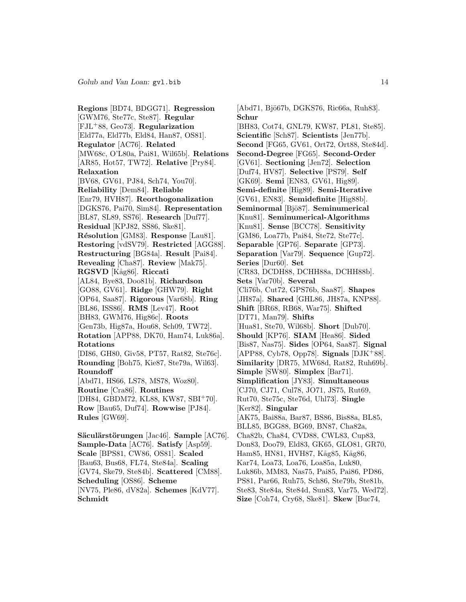**Regions** [BD74, BDGG71]. **Regression** [GWM76, Ste77c, Ste87]. **Regular** [FJL<sup>+</sup>88, Geo73]. **Regularization** [Eld77a, Eld77b, Eld84, Han87, OS81]. **Regulator** [AC76]. **Related** [MW68c, O'L80a, Pai81, Wil65b]. **Relations** [AR85, Hot57, TW72]. **Relative** [Pry84]. **Relaxation** [BV68, GV61, PJ84, Sch74, You70]. **Reliability** [Dem84]. **Reliable** [Enr79, HVH87]. **Reorthogonalization** [DGKS76, Pai70, Sim84]. **Representation** [BL87, SL89, SS76]. **Research** [Duf77]. **Residual** [KPJ82, SS86, Ske81]. **R´esolution** [GM83]. **Response** [Lau81]. **Restoring** [vdSV79]. **Restricted** [AGG88]. **Restructuring** [BG84a]. **Result** [Pai84]. **Revealing** [Cha87]. **Review** [Mak75]. **RGSVD** [K˚ag86]. **Riccati** [AL84, Bye83, Doo81b]. **Richardson** [GO88, GV61]. **Ridge** [GHW79]. **Right** [OP64, Saa87]. **Rigorous** [Var68b]. **Ring** [BL86, ISS86]. **RMS** [Lev47]. **Root** [BH83, GWM76, Hig86c]. **Roots** [Gen73b, Hig87a, Hou68, Sch09, TW72]. **Rotation** [APP88, DK70, Ham74, Luk86a]. **Rotations** [DI86, GH80, Giv58, PT57, Rat82, Ste76c]. **Rounding** [Boh75, Kie87, Ste79a, Wil63]. **Roundoff** [Abd71, HS66, LS78, MS78, Woz80]. **Routine** [Cra86]. **Routines** [DH84, GBDM72, KL88, KW87, SBI<sup>+</sup>70]. **Row** [Bau65, Duf74]. **Rowwise** [PJ84]. **Rules** [GW69]. Säculärstörungen [Jac46]. Sample [AC76]. **Sample-Data** [AC76]. **Satisfy** [Asp59]. **Scale** [BPS81, CW86, OS81]. **Scaled** [Bau63, Bus68, FL74, Ste84a]. **Scaling** [GV74, Ske79, Ste84b]. **Scattered** [CM88].

**Scheduling** [OS86]. **Scheme**

[NV75, Ple86, dV82a]. **Schemes** [KdV77]. **Schmidt**

[Abd71, Bjö67b, DGKS76, Ric66a, Ruh83]. **Schur** [BH83, Cot74, GNL79, KW87, PL81, Ste85]. **Scientific** [Sch87]. **Scientists** [Jen77b]. **Second** [FG65, GV61, Ort72, Ort88, Ste84d]. **Second-Degree** [FG65]. **Second-Order** [GV61]. **Sectioning** [Jen72]. **Selection** [Duf74, HV87]. **Selective** [PS79]. **Self** [GK69]. **Semi** [EN83, GV61, Hig89]. **Semi-definite** [Hig89]. **Semi-Iterative** [GV61, EN83]. **Semidefinite** [Hig88b]. **Seminormal** [Bjö87]. **Seminumerical** [Knu81]. **Seminumerical-Algorithms** [Knu81]. **Sense** [BCC78]. **Sensitivity** [GM86, Loa77b, Pai84, Ste72, Ste77c]. **Separable** [GP76]. **Separate** [GP73]. **Separation** [Var79]. **Sequence** [Gup72]. **Series** [Dur60]. **Set** [CR83, DCDH88, DCHH88a, DCHH88b]. **Sets** [Var70b]. **Several** [Cli76b, Cut72, GPS76b, Saa87]. **Shapes** [JH87a]. **Shared** [GHL86, JH87a, KNP88]. **Shift** [BR68, RB68, War75]. **Shifted** [DT71, Man79]. **Shifts** [Hua81, Ste70, Wil68b]. **Short** [Dub70]. **Should** [KP76]. **SIAM** [Hea86]. **Sided** [Bis87, Nas75]. **Sides** [OP64, Saa87]. **Signal** [APP88, Cyb78, Opp78]. **Signals** [DJK<sup>+</sup>88]. **Similarity** [DR75, MW68d, Rat82, Ruh69b]. **Simple** [SW80]. **Simplex** [Bar71]. **Simplification** [JY83]. **Simultaneous** [CJ70, CJ71, Cul78, JO71, JS75, Rut69, Rut70, Ste75c, Ste76d, Uhl73]. **Single** [Ker82]. **Singular** [AK75, Bai88a, Bar87, BS86, Bis88a, BL85, BLL85, BGG88, BG69, BN87, Cha82a, Cha82b, Cha84, CVD88, CWL83, Cup83, Don83, Doo79, Eld83, GK65, GLO81, GR70, Ham85, HN81, HVH87, Kåg85, Kåg86, Kar74, Loa73, Loa76, Loa85a, Luk80, Luk86b, MM83, Nas75, Pai85, Pai86, PD86, PS81, Par66, Ruh75, Sch86, Ste79b, Ste81b, Ste83, Ste84a, Ste84d, Sun83, Var75, Wed72]. **Size** [Coh74, Cry68, Ske81]. **Skew** [Buc74,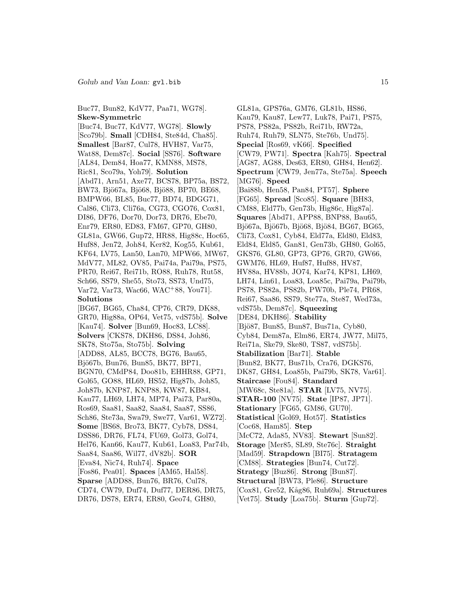Buc77, Bun82, KdV77, Paa71, WG78]. **Skew-Symmetric** [Buc74, Buc77, KdV77, WG78]. **Slowly** [Sco79b]. **Small** [CDH84, Ste84d, Cha85]. **Smallest** [Bar87, Cul78, HVH87, Var75, Wat88, Dem87c]. **Social** [SS76]. **Software** [AL84, Dem84, Hoa77, KMN88, MS78, Ric81, Sco79a, Yoh79]. **Solution** [Abd71, Arn51, Axe77, BCS78, BP75a, BS72, BW73, Bjö67a, Bjö68, Bjö88, BP70, BE68, BMPW66, BL85, Buc77, BD74, BDGG71, Cal86, Cli73, Cli76a, CG73, CGO76, Cox81, DI86, DF76, Dor70, Dor73, DR76, Ebe70, Enr79, ER80, ED83, FM67, GP70, GH80, GL81a, GW66, Gup72, HR88, Hig88c, Hoc65, Huf88, Jen72, Joh84, Ker82, Kog55, Kub61, KF64, LV75, Lan50, Lan70, MPW66, MW67, MdV77, ML82, OV85, Pai74a, Pai79a, PS75, PR70, Rei67, Rei71b, RO88, Ruh78, Rut58, Sch66, SS79, She55, Sto73, SS73, Und75, Var72, Var73, Wac66, WAC<sup>+</sup>88, You71]. **Solutions** [BG67, BG65, Cha84, CP76, CR79, DK88, GR70, Hig88a, OP64, Vet75, vdS75b]. **Solve**

[Kau74]. **Solver** [Bun69, Hoc83, LC88]. **Solvers** [CKS78, DKH86, DS84, Joh86, SK78, Sto75a, Sto75b]. **Solving** [ADD88, AL85, BCC78, BG76, Bau65, Bjö67b, Bun76, Bun85, BK77, BP71, BGN70, CMdP84, Doo81b, EHHR88, GP71, Gol65, GO88, HL69, HS52, Hig87b, Joh85, Joh87b, KNP87, KNP88, KW87, KB84, Kau77, LH69, LH74, MP74, Pai73, Par80a, Ros69, Saa81, Saa82, Saa84, Saa87, SS86, Sch86, Ste73a, Swa79, Swe77, Var61, WZ72]. **Some** [BS68, Bro73, BK77, Cyb78, DS84, DSS86, DR76, FL74, FU69, Gol73, Gol74, Hel76, Kan66, Kau77, Kub61, Loa83, Par74b, Saa84, Saa86, Wil77, dV82b]. **SOR** [Eva84, Nic74, Ruh74]. **Space** [Fos86, Pea01]. **Spaces** [AM65, Hal58]. **Sparse** [ADD88, Bun76, BR76, Cul78, CD74, CW79, Duf74, Duf77, DER86, DR75,

DR76, DS78, ER74, ER80, Geo74, GH80,

GL81a, GPS76a, GM76, GL81b, HS86, Kau79, Kau87, Lew77, Luk78, Pai71, PS75, PS78, PS82a, PS82b, Rei71b, RW72a, Ruh74, Ruh79, SLN75, Ste76b, Und75]. **Special** [Ros69, vK66]. **Specified** [CW79, PW71]. **Spectra** [Kah75]. **Spectral** [AG87, AG88, Des63, ER80, GH84, Hen62]. **Spectrum** [CW79, Jen77a, Ste75a]. **Speech** [MG76]. **Speed** [Bai88b, Hen58, Pan84, PT57]. **Sphere** [FG65]. **Spread** [Sco85]. **Square** [BH83, CM88, Eld77b, Gen73b, Hig86c, Hig87a]. **Squares** [Abd71, APP88, BNP88, Bau65, Bjö67a, Bjö67b, Bjö68, Bjö84, BG67, BG65, Cli73, Cox81, Cyb84, Eld77a, Eld80, Eld83, Eld84, Eld85, Gan81, Gen73b, GH80, Gol65, GKS76, GL80, GP73, GP76, GR70, GW66, GWM76, HL69, Huf87, Huf88, HV87, HV88a, HV88b, JO74, Kar74, KP81, LH69, LH74, Lin61, Loa83, Loa85c, Pai79a, Pai79b, PS78, PS82a, PS82b, PW70b, Ple74, PR68, Rei67, Saa86, SS79, Ste77a, Ste87, Wed73a, vdS75b, Dem87c]. **Squeezing** [DE84, DKH86]. **Stability** [Bjö87, Bun85, Bun87, Bus71a, Cyb80, Cyb84, Dem87a, Elm86, ER74, JW77, Mil75, Rei71a, Ske79, Ske80, TS87, vdS75b]. **Stabilization** [Bar71]. **Stable** [Bun82, BK77, Bus71b, Cra76, DGKS76, DK87, GH84, Loa85b, Pai79b, SK78, Var61]. **Staircase** [Fou84]. **Standard** [MW68c, Ste81a]. **STAR** [LV75, NV75]. **STAR-100** [NV75]. **State** [IP87, JP71]. **Stationary** [FG65, GM86, GU70]. **Statistical** [Gol69, Hot57]. **Statistics** [Coc68, Ham85]. **Step** [McC72, Ada85, NV83]. **Stewart** [Sun82]. **Storage** [Mer85, SL89, Ste76c]. **Straight** [Mad59]. **Strapdown** [BI75]. **Stratagem** [CM88]. **Strategies** [Bun74, Cut72]. **Strategy** [Buz86]. **Strong** [Bun87]. **Structural** [BW73, Ple86]. **Structure** [Cox81, Gre52, K˚ag86, Ruh69a]. **Structures** [Vet75]. **Study** [Loa75b]. **Sturm** [Gup72].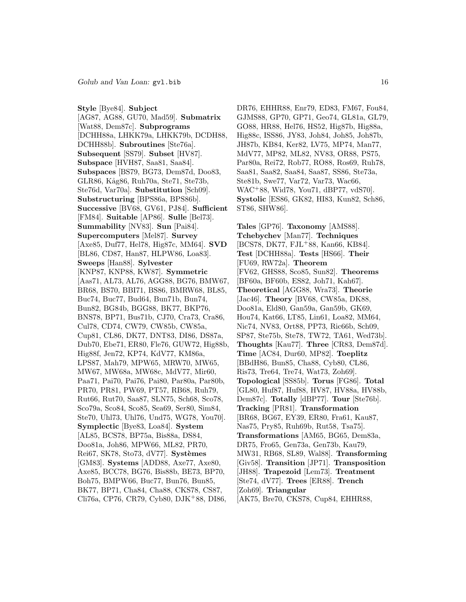**Style** [Bye84]. **Subject** [AG87, AG88, GU70, Mad59]. **Submatrix** [Wat88, Dem87c]. **Subprograms** [DCHH88a, LHKK79a, LHKK79b, DCDH88, DCHH88b]. **Subroutines** [Ste76a]. **Subsequent** [SS79]. **Subset** [HV87]. **Subspace** [HVH87, Saa81, Saa84]. **Subspaces** [BS79, BG73, Dem87d, Doo83, GLR86, Kåg86, Ruh70a, Ste71, Ste73b, Ste76d, Var70a]. **Substitution** [Sch09]. **Substructuring** [BPS86a, BPS86b]. **Successive** [BV68, GV61, PJ84]. **Sufficient** [FM84]. **Suitable** [AP86]. **Sulle** [Bel73]. **Summability** [NV83]. **Sun** [Pai84]. **Supercomputers** [Mel87]. **Survey** [Axe85, Duf77, Hel78, Hig87c, MM64]. **SVD** [BL86, CD87, Han87, HLPW86, Loa83]. **Sweeps** [Han88]. **Sylvester** [KNP87, KNP88, KW87]. **Symmetric** [Aas71, AL73, AL76, AGG88, BG76, BMW67, BR68, BS70, BBI71, BS86, BMRW68, BL85, Buc74, Buc77, Bud64, Bun71b, Bun74, Bun82, BG84b, BGG88, BK77, BKP76, BNS78, BP71, Bus71b, CJ70, Cra73, Cra86, Cul78, CD74, CW79, CW85b, CW85a, Cup81, CL86, DK77, DNT83, DI86, DS87a, Dub70, Ebe71, ER80, Fle76, GUW72, Hig88b, Hig88f, Jen72, KP74, KdV77, KM86a, LPS87, Mah79, MPW65, MRW70, MW65, MW67, MW68a, MW68c, MdV77, Mir60, Paa71, Pai70, Pai76, Pai80, Par80a, Par80b, PR70, PR81, PW69, PT57, RB68, Ruh79, Rut66, Rut70, Saa87, SLN75, Sch68, Sco78, Sco79a, Sco84, Sco85, Sea69, Ser80, Sim84, Ste70, Uhl73, Uhl76, Und75, WG78, You70]. **Symplectic** [Bye83, Loa84]. **System** [AL85, BCS78, BP75a, Bis88a, DS84, Doo81a, Joh86, MPW66, ML82, PR70, Rei67, SK78, Sto73, dV77]. **Systèmes** [GM83]. **Systems** [ADD88, Axe77, Axe80, Axe85, BCC78, BG76, Bis88b, BE73, BP70, Boh75, BMPW66, Buc77, Bun76, Bun85, BK77, BP71, Cha84, Cha88, CKS78, CS87, Cli76a, CP76, CR79, Cyb80, DJK<sup>+</sup>88, DI86,

DR76, EHHR88, Enr79, ED83, FM67, Fou84, GJMS88, GP70, GP71, Geo74, GL81a, GL79, GO88, HR88, Hel76, HS52, Hig87b, Hig88a, Hig88c, ISS86, JY83, Joh84, Joh85, Joh87b, JH87b, KB84, Ker82, LV75, MP74, Man77, MdV77, MP82, ML82, NV83, OR88, PS75, Par80a, Rei72, Rob77, RO88, Ros69, Ruh78, Saa81, Saa82, Saa84, Saa87, SS86, Ste73a, Ste81b, Swe77, Var72, Var73, Wac66, WAC<sup>+</sup>88, Wid78, You71, dBP77, vdS70]. **Systolic** [ES86, GK82, HI83, Kun82, Sch86, ST86, SHW86].

**Tales** [GP76]. **Taxonomy** [AMS88]. **Tchebychev** [Man77]. **Techniques** [BCS78, DK77, FJL<sup>+</sup>88, Kan66, KB84]. **Test** [DCHH88a]. **Tests** [HS66]. **Their** [FU69, RW72a]. **Theorem** [FV62, GHS88, Sco85, Sun82]. **Theorems** [BF60a, BF60b, ES82, Joh71, Kah67]. **Theoretical** [AGG88, Wra73]. **Theorie** [Jac46]. **Theory** [BV68, CW85a, DK88, Doo81a, Eld80, Gan59a, Gan59b, GK69, Hou74, Kat66, LT85, Lin61, Loa82, MM64, Nic74, NV83, Ort88, PP73, Ric66b, Sch09, SP87, Ste75b, Ste78, TW72, TA61, Wed73b]. **Thoughts** [Kau77]. **Three** [CR83, Dem87d]. **Time** [AC84, Dur60, MP82]. **Toeplitz** [BBdH86, Bun85, Cha88, Cyb80, CL86, Ris73, Tre64, Tre74, Wat73, Zoh69]. **Topological** [SS85b]. **Torus** [FG86]. **Total** [GL80, Huf87, Huf88, HV87, HV88a, HV88b, Dem87c]. **Totally** [dBP77]. **Tour** [Ste76b]. **Tracking** [PR81]. **Transformation** [BR68, BG67, EY39, ER80, Fra61, Kau87, Nas75, Pry85, Ruh69b, Rut58, Tsa75]. **Transformations** [AM65, BG65, Dem83a, DR75, Fro65, Gen73a, Gen73b, Kau79, MW31, RB68, SL89, Wal88]. **Transforming** [Giv58]. **Transition** [JP71]. **Transposition** [JH88]. **Trapezoid** [Lem73]. **Treatment** [Ste74, dV77]. **Trees** [ER88]. **Trench** [Zoh69]. **Triangular**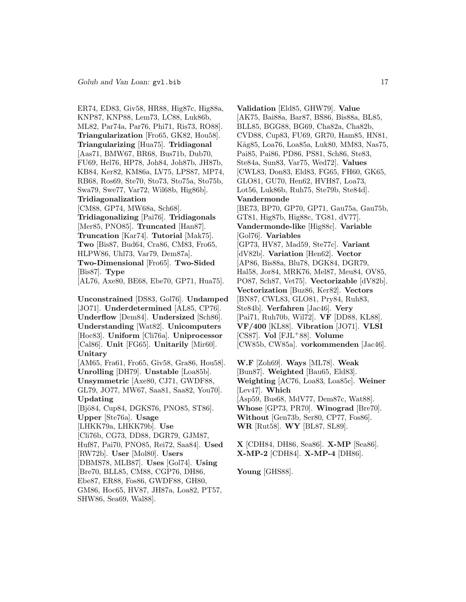ER74, ED83, Giv58, HR88, Hig87c, Hig88a, KNP87, KNP88, Lem73, LC88, Luk86b, ML82, Par74a, Par76, Phi71, Ris73, RO88]. **Triangularization** [Fro65, GK82, Hou58]. **Triangularizing** [Hua75]. **Tridiagonal** [Aas71, BMW67, BR68, Bus71b, Dub70, FU69, Hel76, HP78, Joh84, Joh87b, JH87b, KB84, Ker82, KM86a, LV75, LPS87, MP74, RB68, Ros69, Ste70, Sto73, Sto75a, Sto75b, Swa79, Swe77, Var72, Wil68b, Hig86b]. **Tridiagonalization** [CM88, GP74, MW68a, Sch68]. **Tridiagonalizing** [Pai76]. **Tridiagonals** [Mer85, PNO85]. **Truncated** [Han87]. **Truncation** [Kar74]. **Tutorial** [Mak75]. **Two** [Bis87, Bud64, Cra86, CM83, Fro65, HLPW86, Uhl73, Var79, Dem87a]. **Two-Dimensional** [Fro65]. **Two-Sided** [Bis87]. **Type** [AL76, Axe80, BE68, Ebe70, GP71, Hua75]. **Unconstrained** [DS83, Gol76]. **Undamped** [JO71]. **Underdetermined** [AL85, CP76]. **Underflow** [Dem84]. **Undersized** [Sch86]. **Understanding** [Wat82]. **Unicomputers** [Hoc83]. **Uniform** [Cli76a]. **Uniprocessor** [Cal86]. **Unit** [FG65]. **Unitarily** [Mir60]. **Unitary** [AM65, Fra61, Fro65, Giv58, Gra86, Hou58]. **Unrolling** [DH79]. **Unstable** [Loa85b]. **Unsymmetric** [Axe80, CJ71, GWDF88, GL79, JO77, MW67, Saa81, Saa82, You70]. **Updating** [Bjö84, Cup84, DGKS76, PNO85, ST86]. **Upper** [Ste76a]. **Usage** [LHKK79a, LHKK79b]. **Use** [Cli76b, CG73, DD88, DGR79, GJM87, Huf87, Pai70, PNO85, Rei72, Saa84]. **Used** [RW72b]. **User** [Mol80]. **Users** [DBMS78, MLB87]. **Uses** [Gol74]. **Using** [Bre70, BLL85, CM88, CGP76, DH86, Ebe87, ER88, Fos86, GWDF88, GH80, GM86, Hoc65, HV87, JH87a, Loa82, PT57, SHW86, Sea69, Wal88].

**Validation** [Eld85, GHW79]. **Value** [AK75, Bai88a, Bar87, BS86, Bis88a, BL85, BLL85, BGG88, BG69, Cha82a, Cha82b, CVD88, Cup83, FU69, GR70, Ham85, HN81, Kåg85, Loa76, Loa85a, Luk80, MM83, Nas75, Pai85, Pai86, PD86, PS81, Sch86, Ste83, Ste84a, Sun83, Var75, Wed72]. **Values** [CWL83, Don83, Eld83, FG65, FH60, GK65, GLO81, GU70, Hen62, HVH87, Loa73, Lot56, Luk86b, Ruh75, Ste79b, Ste84d]. **Vandermonde** [BE73, BP70, GP70, GP71, Gau75a, Gau75b, GT81, Hig87b, Hig88c, TG81, dV77]. **Vandermonde-like** [Hig88c]. **Variable** [Gol76]. **Variables** [GP73, HV87, Mad59, Ste77c]. **Variant** [dV82b]. **Variation** [Hen62]. **Vector** [AP86, Bis88a, Blu78, DGK84, DGR79, Hal58, Jor84, MRK76, Mel87, Meu84, OV85, PO87, Sch87, Vet75]. **Vectorizable** [dV82b]. **Vectorization** [Buz86, Ker82]. **Vectors** [BN87, CWL83, GLO81, Pry84, Ruh83, Ste84b]. **Verfahren** [Jac46]. **Very** [Pai71, Ruh70b, Wil72]. **VF** [DD88, KL88]. **VF/400** [KL88]. **Vibration** [JO71]. **VLSI** [CS87]. **Vol** [FJL<sup>+</sup>88]. **Volume** [CW85b, CW85a]. **vorkommenden** [Jac46].

**W.F** [Zoh69]. **Ways** [ML78]. **Weak** [Bun87]. **Weighted** [Bau65, Eld83]. **Weighting** [AC76, Loa83, Loa85c]. **Weiner** [Lev47]. **Which** [Asp59, Bus68, MdV77, Dem87c, Wat88]. **Whose** [GP73, PR70]. **Winograd** [Bre70]. **Without** [Gen73b, Ser80, CP77, Fos86]. **WR** [Rut58]. **WY** [BL87, SL89].

**X** [CDH84, DH86, Sea86]. **X-MP** [Sea86]. **X-MP-2** [CDH84]. **X-MP-4** [DH86].

**Young** [GHS88].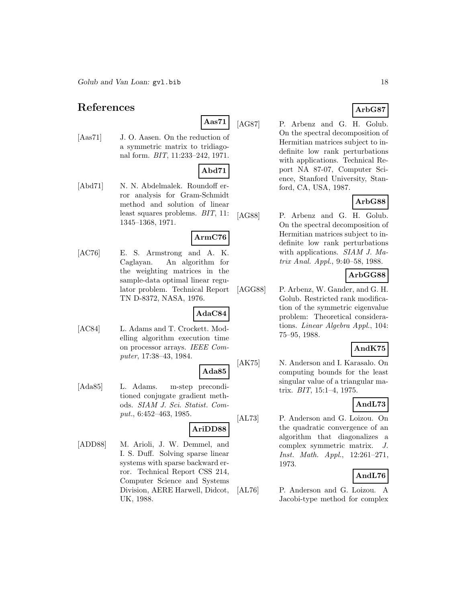### **References**

# **Aas71**

[Aas71] J. O. Aasen. On the reduction of a symmetric matrix to tridiagonal form. BIT, 11:233–242, 1971.

# **Abd71**

[Abd71] N. N. Abdelmalek. Roundoff error analysis for Gram-Schmidt method and solution of linear least squares problems. BIT, 11: 1345–1368, 1971.

# **ArmC76**

[AC76] E. S. Armstrong and A. K. Caglayan. An algorithm for the weighting matrices in the sample-data optimal linear regulator problem. Technical Report TN D-8372, NASA, 1976.

# **AdaC84**

[AC84] L. Adams and T. Crockett. Modelling algorithm execution time on processor arrays. IEEE Computer, 17:38–43, 1984.

# **Ada85**

[Ada85] L. Adams. m-step preconditioned conjugate gradient methods. SIAM J. Sci. Statist. Comput., 6:452–463, 1985.

# **AriDD88**

[ADD88] M. Arioli, J. W. Demmel, and I. S. Duff. Solving sparse linear systems with sparse backward error. Technical Report CSS 214, Computer Science and Systems Division, AERE Harwell, Didcot, UK, 1988.

# **ArbG87**

[AG87] P. Arbenz and G. H. Golub. On the spectral decomposition of Hermitian matrices subject to indefinite low rank perturbations with applications. Technical Report NA 87-07, Computer Science, Stanford University, Stanford, CA, USA, 1987.

# **ArbG88**

[AG88] P. Arbenz and G. H. Golub. On the spectral decomposition of Hermitian matrices subject to indefinite low rank perturbations with applications. SIAM J. Matrix Anal. Appl., 9:40–58, 1988.

# **ArbGG88**

[AGG88] P. Arbenz, W. Gander, and G. H. Golub. Restricted rank modification of the symmetric eigenvalue problem: Theoretical considerations. Linear Algebra Appl., 104: 75–95, 1988.

# **AndK75**

[AK75] N. Anderson and I. Karasalo. On computing bounds for the least singular value of a triangular matrix. BIT, 15:1–4, 1975.

# **AndL73**

[AL73] P. Anderson and G. Loizou. On the quadratic convergence of an algorithm that diagonalizes a complex symmetric matrix. J. Inst. Math. Appl., 12:261–271, 1973.

### **AndL76**

[AL76] P. Anderson and G. Loizou. A Jacobi-type method for complex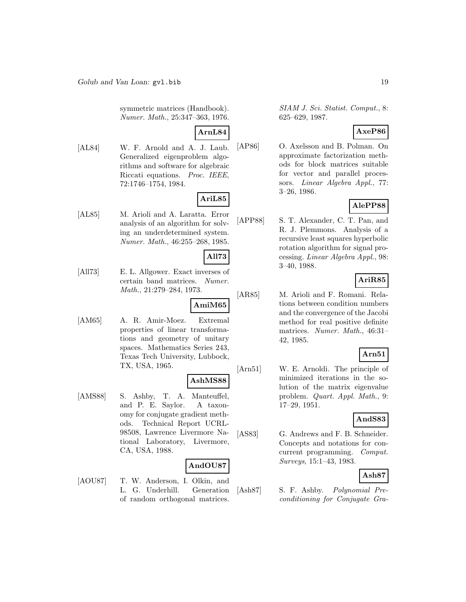symmetric matrices (Handbook). Numer. Math., 25:347–363, 1976.

# **ArnL84**

[AL84] W. F. Arnold and A. J. Laub. Generalized eigenproblem algorithms and software for algebraic Riccati equations. Proc. IEEE, 72:1746–1754, 1984.

# **AriL85**

[AL85] M. Arioli and A. Laratta. Error analysis of an algorithm for solving an underdetermined system. Numer. Math., 46:255–268, 1985.

### **All73**

[All73] E. L. Allgower. Exact inverses of certain band matrices. Numer. Math., 21:279–284, 1973.

### **AmiM65**

[AM65] A. R. Amir-Moez. Extremal properties of linear transformations and geometry of unitary spaces. Mathematics Series 243, Texas Tech University, Lubbock, TX, USA, 1965.

### **AshMS88**

[AMS88] S. Ashby, T. A. Manteuffel, and P. E. Saylor. A taxonomy for conjugate gradient methods. Technical Report UCRL-98508, Lawrence Livermore National Laboratory, Livermore, CA, USA, 1988.

# **AndOU87**

[AOU87] T. W. Anderson, I. Olkin, and L. G. Underhill. Generation of random orthogonal matrices.

SIAM J. Sci. Statist. Comput., 8: 625–629, 1987.

### **AxeP86**

[AP86] O. Axelsson and B. Polman. On approximate factorization methods for block matrices suitable for vector and parallel processors. Linear Algebra Appl., 77: 3–26, 1986.

### **AlePP88**

[APP88] S. T. Alexander, C. T. Pan, and R. J. Plemmons. Analysis of a recursive least squares hyperbolic rotation algorithm for signal processing. Linear Algebra Appl., 98: 3–40, 1988.

### **AriR85**

[AR85] M. Arioli and F. Romani. Relations between condition numbers and the convergence of the Jacobi method for real positive definite matrices. Numer. Math., 46:31– 42, 1985.

### **Arn51**

[Arn51] W. E. Arnoldi. The principle of minimized iterations in the solution of the matrix eigenvalue problem. Quart. Appl. Math., 9: 17–29, 1951.

### **AndS83**

[AS83] G. Andrews and F. B. Schneider. Concepts and notations for concurrent programming. Comput. Surveys, 15:1–43, 1983.

# **Ash87**

[Ash87] S. F. Ashby. Polynomial Preconditioning for Conjugate Gra-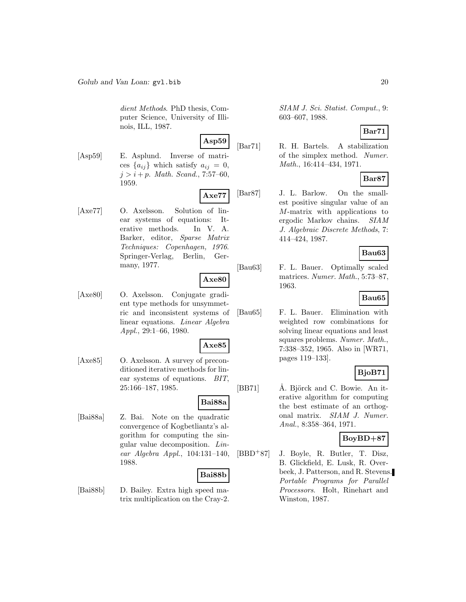dient Methods. PhD thesis, Computer Science, University of Illinois, ILL, 1987.

# **Asp59**

[Asp59] E. Asplund. Inverse of matrices  $\{a_{ij}\}\$  which satisfy  $a_{ij} = 0$ ,  $j > i + p$ . Math. Scand., 7:57–60, 1959.

# **Axe77**

[Axe77] O. Axelsson. Solution of linear systems of equations: Iterative methods. In V. A. Barker, editor, Sparse Matrix Techniques: Copenhagen, 1976. Springer-Verlag, Berlin, Germany, 1977.

### **Axe80**

[Axe80] O. Axelsson. Conjugate gradient type methods for unsymmetric and inconsistent systems of linear equations. Linear Algebra Appl., 29:1–66, 1980.

### **Axe85**

[Axe85] O. Axelsson. A survey of preconditioned iterative methods for linear systems of equations. BIT, 25:166–187, 1985.

#### **Bai88a**

[Bai88a] Z. Bai. Note on the quadratic convergence of Kogbetliantz's algorithm for computing the singular value decomposition. Linear Algebra Appl., 104:131–140, 1988.

### **Bai88b**

[Bai88b] D. Bailey. Extra high speed matrix multiplication on the Cray-2. SIAM J. Sci. Statist. Comput., 9: 603–607, 1988.

# **Bar71**

[Bar71] R. H. Bartels. A stabilization of the simplex method. Numer. Math., 16:414–434, 1971.



[Bar87] J. L. Barlow. On the smallest positive singular value of an M-matrix with applications to ergodic Markov chains. SIAM J. Algebraic Discrete Methods, 7: 414–424, 1987.

### **Bau63**

[Bau63] F. L. Bauer. Optimally scaled matrices. Numer. Math., 5:73–87, 1963.

### **Bau65**

[Bau65] F. L. Bauer. Elimination with weighted row combinations for solving linear equations and least squares problems. Numer. Math., 7:338–352, 1965. Also in [WR71, pages 119–133].

# **BjoB71**

[BB71] Å. Björck and C. Bowie. An iterative algorithm for computing the best estimate of an orthogonal matrix. SIAM J. Numer. Anal., 8:358–364, 1971.

### **BoyBD+87**

[BBD<sup>+</sup>87] J. Boyle, R. Butler, T. Disz, B. Glickfield, E. Lusk, R. Overbeek, J. Patterson, and R. Stevens. Portable Programs for Parallel Processors. Holt, Rinehart and Winston, 1987.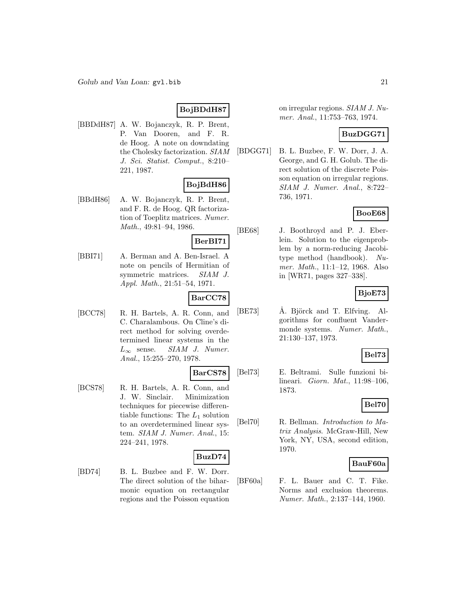# **BojBDdH87**

[BBDdH87] A. W. Bojanczyk, R. P. Brent, P. Van Dooren, and F. R. de Hoog. A note on downdating the Cholesky factorization. SIAM J. Sci. Statist. Comput., 8:210– 221, 1987.

### **BojBdH86**

[BBdH86] A. W. Bojanczyk, R. P. Brent, and F. R. de Hoog. QR factorization of Toeplitz matrices. Numer. Math., 49:81–94, 1986.

### **BerBI71**

[BBI71] A. Berman and A. Ben-Israel. A note on pencils of Hermitian of symmetric matrices. SIAM J. Appl. Math., 21:51–54, 1971.

# **BarCC78**

[BCC78] R. H. Bartels, A. R. Conn, and C. Charalambous. On Cline's direct method for solving overdetermined linear systems in the  $L_{\infty}$  sense. *SIAM J. Numer.* Anal., 15:255-270, 1978.

# **BarCS78**

[BCS78] R. H. Bartels, A. R. Conn, and J. W. Sinclair. Minimization techniques for piecewise differentiable functions: The  $L_1$  solution to an overdetermined linear system. SIAM J. Numer. Anal., 15: 224–241, 1978.

#### **BuzD74**

[BD74] B. L. Buzbee and F. W. Dorr. The direct solution of the biharmonic equation on rectangular regions and the Poisson equation

on irregular regions. SIAM J. Numer. Anal., 11:753–763, 1974.

### **BuzDGG71**

[BDGG71] B. L. Buzbee, F. W. Dorr, J. A. George, and G. H. Golub. The direct solution of the discrete Poisson equation on irregular regions. SIAM J. Numer. Anal., 8:722– 736, 1971.

### **BooE68**

[BE68] J. Boothroyd and P. J. Eberlein. Solution to the eigenproblem by a norm-reducing Jacobitype method (handbook). Numer. Math., 11:1–12, 1968. Also in [WR71, pages 327–338].

### **BjoE73**

[BE73]  $\AA$ . Björck and T. Elfving. Algorithms for confluent Vandermonde systems. Numer. Math., 21:130–137, 1973.

### **Bel73**

[Bel73] E. Beltrami. Sulle funzioni bilineari. Giorn. Mat., 11:98-106, 1873.

#### **Bel70**

[Bel70] R. Bellman. Introduction to Matrix Analysis. McGraw-Hill, New York, NY, USA, second edition, 1970.

#### **BauF60a**

[BF60a] F. L. Bauer and C. T. Fike. Norms and exclusion theorems. Numer. Math., 2:137–144, 1960.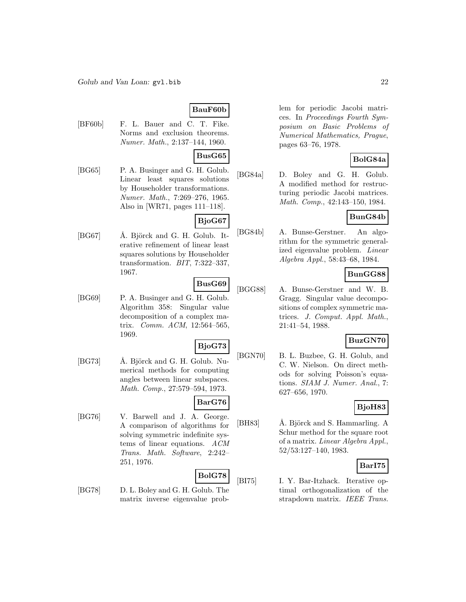### **BauF60b**

[BF60b] F. L. Bauer and C. T. Fike. Norms and exclusion theorems. Numer. Math., 2:137–144, 1960.

### **BusG65**

[BG65] P. A. Businger and G. H. Golub. Linear least squares solutions by Householder transformations. Numer. Math., 7:269–276, 1965. Also in [WR71, pages 111–118].

# **BjoG67**

[BG67]  $\AA$ . Björck and G. H. Golub. Iterative refinement of linear least squares solutions by Householder transformation. BIT, 7:322–337, 1967.

# **BusG69**

[BG69] P. A. Businger and G. H. Golub. Algorithm 358: Singular value decomposition of a complex matrix. Comm. ACM, 12:564–565, 1969.

### **BjoG73**

[BG73] Å. Björck and G. H. Golub. Numerical methods for computing angles between linear subspaces. Math. Comp., 27:579–594, 1973.

### **BarG76**

[BG76] V. Barwell and J. A. George. A comparison of algorithms for solving symmetric indefinite systems of linear equations. ACM Trans. Math. Software, 2:242– 251, 1976.

# **BolG78**

[BG78] D. L. Boley and G. H. Golub. The matrix inverse eigenvalue prob-

lem for periodic Jacobi matrices. In Proceedings Fourth Symposium on Basic Problems of Numerical Mathematics, Prague, pages 63–76, 1978.

### **BolG84a**

[BG84a] D. Boley and G. H. Golub. A modified method for restructuring periodic Jacobi matrices. Math. Comp., 42:143–150, 1984.

### **BunG84b**

[BG84b] A. Bunse-Gerstner. An algorithm for the symmetric generalized eigenvalue problem. Linear Algebra Appl., 58:43–68, 1984.

### **BunGG88**

[BGG88] A. Bunse-Gerstner and W. B. Gragg. Singular value decompositions of complex symmetric matrices. J. Comput. Appl. Math., 21:41–54, 1988.

### **BuzGN70**

[BGN70] B. L. Buzbee, G. H. Golub, and C. W. Nielson. On direct methods for solving Poisson's equations. SIAM J. Numer. Anal., 7: 627–656, 1970.

### **BjoH83**

[BH83] **A. Björck and S. Hammarling. A** Schur method for the square root of a matrix. Linear Algebra Appl., 52/53:127–140, 1983.

### **BarI75**

[BI75] I. Y. Bar-Itzhack. Iterative optimal orthogonalization of the strapdown matrix. IEEE Trans.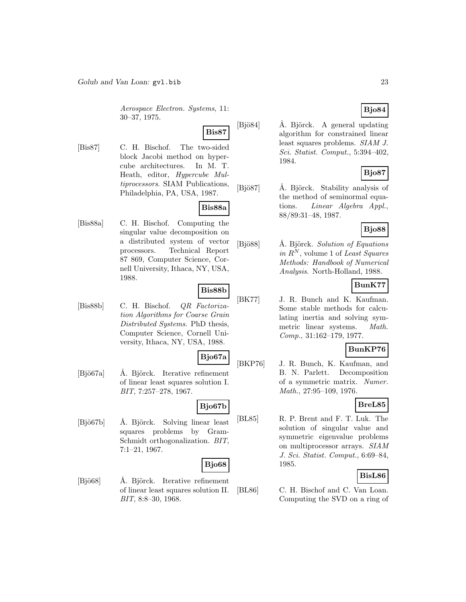Aerospace Electron. Systems, 11: 30–37, 1975.

# **Bis87**

[Bis87] C. H. Bischof. The two-sided block Jacobi method on hypercube architectures. In M. T. Heath, editor, Hypercube Multiprocessors. SIAM Publications, Philadelphia, PA, USA, 1987.

### **Bis88a**

[Bis88a] C. H. Bischof. Computing the singular value decomposition on a distributed system of vector processors. Technical Report 87 869, Computer Science, Cornell University, Ithaca, NY, USA, 1988.

# **Bis88b**

[Bis88b] C. H. Bischof. QR Factorization Algorithms for Coarse Grain Distributed Systems. PhD thesis, Computer Science, Cornell University, Ithaca, NY, USA, 1988.

### **Bjo67a**

[Bjö67a] • Å. Björck. Iterative refinement of linear least squares solution I. BIT, 7:257–278, 1967.

### **Bjo67b**

[Bjö67b] Å. Björck. Solving linear least squares problems by Gram-Schmidt orthogonalization. *BIT*, 7:1–21, 1967.

#### **Bjo68**

[Bjö68] • Å. Björck. Iterative refinement of linear least squares solution II. BIT, 8:8–30, 1968.

# **Bjo84**

[Bjö84] Å. Björck. A general updating algorithm for constrained linear least squares problems. SIAM J. Sci. Statist. Comput., 5:394–402, 1984.



[Bjö87] • Å. Björck. Stability analysis of the method of seminormal equations. Linear Algebra Appl., 88/89:31–48, 1987.

### **Bjo88**

[Bjö88]  $\AA$ . Björck. Solution of Equations in  $R^N$ , volume 1 of Least Squares Methods: Handbook of Numerical Analysis. North-Holland, 1988.

# **BunK77**

[BK77] J. R. Bunch and K. Kaufman. Some stable methods for calculating inertia and solving symmetric linear systems. Math. Comp., 31:162–179, 1977.

### **BunKP76**

[BKP76] J. R. Bunch, K. Kaufman, and B. N. Parlett. Decomposition of a symmetric matrix. Numer. Math., 27:95–109, 1976.

### **BreL85**

[BL85] R. P. Brent and F. T. Luk. The solution of singular value and symmetric eigenvalue problems on multiprocessor arrays. SIAM J. Sci. Statist. Comput., 6:69–84, 1985.

# **BisL86**

[BL86] C. H. Bischof and C. Van Loan. Computing the SVD on a ring of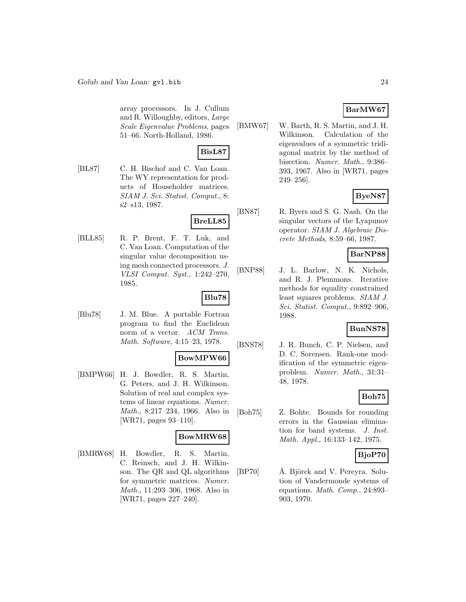array processors. In J. Cullum and R. Willoughby, editors, Large Scale Eigenvalue Problems, pages 51–66. North-Holland, 1986.

# **BisL87**

[BL87] C. H. Bischof and C. Van Loan. The WY representation for products of Householder matrices. SIAM J. Sci. Statist. Comput., 8: s2–s13, 1987.

# **BreLL85**

[BLL85] R. P. Brent, F. T. Luk, and C. Van Loan. Computation of the singular value decomposition using mesh connected processors. J. VLSI Comput. Syst., 1:242–270, 1985.

### **Blu78**

[Blu78] J. M. Blue. A portable Fortran program to find the Euclidean norm of a vector. ACM Trans. Math. Software, 4:15–23, 1978.

### **BowMPW66**

[BMPW66] H. J. Bowdler, R. S. Martin, G. Peters, and J. H. Wilkinson. Solution of real and complex systems of linear equations. Numer. Math., 8:217–234, 1966. Also in [WR71, pages 93–110].

# **BowMRW68**

[BMRW68] H. Bowdler, R. S. Martin, C. Reinsch, and J. H. Wilkinson. The QR and QL algorithms for symmetric matrices. Numer. Math., 11:293–306, 1968. Also in [WR71, pages 227–240].

# **BarMW67**

[BMW67] W. Barth, R. S. Martin, and J. H. Wilkinson. Calculation of the eigenvalues of a symmetric tridiagonal matrix by the method of bisection. Numer. Math., 9:386– 393, 1967. Also in [WR71, pages 249–256].

# **ByeN87**

[BN87] R. Byers and S. G. Nash. On the singular vectors of the Lyapunov operator. SIAM J. Algebraic Discrete Methods, 8:59–66, 1987.

#### **BarNP88**

[BNP88] J. L. Barlow, N. K. Nichols, and R. J. Plemmons. Iterative methods for equality constrained least squares problems. SIAM J. Sci. Statist. Comput., 9:892–906, 1988.

### **BunNS78**

[BNS78] J. R. Bunch, C. P. Nielsen, and D. C. Sorensen. Rank-one modification of the symmetric eigenproblem. Numer. Math., 31:31– 48, 1978.

### **Boh75**

[Boh75] Z. Bohte. Bounds for rounding errors in the Gaussian elimination for band systems. J. Inst. Math. Appl., 16:133–142, 1975.

### **BjoP70**

[BP70] Å. Björck and V. Pereyra. Solution of Vandermonde systems of equations. Math. Comp., 24:893– 903, 1970.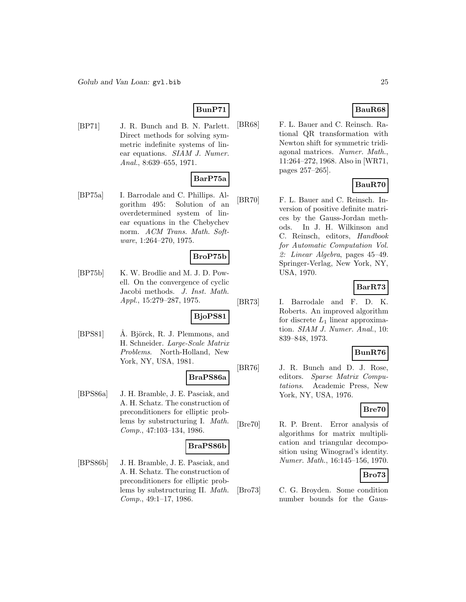# **BunP71**

[BP71] J. R. Bunch and B. N. Parlett. Direct methods for solving symmetric indefinite systems of linear equations. SIAM J. Numer. Anal., 8:639–655, 1971.

### **BarP75a**

[BP75a] I. Barrodale and C. Phillips. Algorithm 495: Solution of an overdetermined system of linear equations in the Chebychev norm. ACM Trans. Math. Software, 1:264–270, 1975.

### **BroP75b**

[BP75b] K. W. Brodlie and M. J. D. Powell. On the convergence of cyclic Jacobi methods. J. Inst. Math. Appl., 15:279–287, 1975.

#### **BjoPS81**

[BPS81] Å. Björck, R. J. Plemmons, and H. Schneider. Large-Scale Matrix Problems. North-Holland, New York, NY, USA, 1981.

#### **BraPS86a**

[BPS86a] J. H. Bramble, J. E. Pasciak, and A. H. Schatz. The construction of preconditioners for elliptic problems by substructuring I. Math. Comp., 47:103–134, 1986.

#### **BraPS86b**

[BPS86b] J. H. Bramble, J. E. Pasciak, and A. H. Schatz. The construction of preconditioners for elliptic problems by substructuring II. Math. Comp., 49:1–17, 1986.

### **BauR68**

[BR68] F. L. Bauer and C. Reinsch. Rational QR transformation with Newton shift for symmetric tridiagonal matrices. Numer. Math., 11:264–272, 1968. Also in [WR71, pages 257–265].

# **BauR70**

[BR70] F. L. Bauer and C. Reinsch. Inversion of positive definite matrices by the Gauss-Jordan methods. In J. H. Wilkinson and C. Reinsch, editors, Handbook for Automatic Computation Vol. 2: Linear Algebra, pages 45–49. Springer-Verlag, New York, NY, USA, 1970.

# **BarR73**

[BR73] I. Barrodale and F. D. K. Roberts. An improved algorithm for discrete  $L_1$  linear approximation. SIAM J. Numer. Anal., 10: 839–848, 1973.

#### **BunR76**

[BR76] J. R. Bunch and D. J. Rose, editors. Sparse Matrix Computations. Academic Press, New York, NY, USA, 1976.

### **Bre70**

[Bre70] R. P. Brent. Error analysis of algorithms for matrix multiplication and triangular decomposition using Winograd's identity. Numer. Math., 16:145–156, 1970.



[Bro73] C. G. Broyden. Some condition number bounds for the Gaus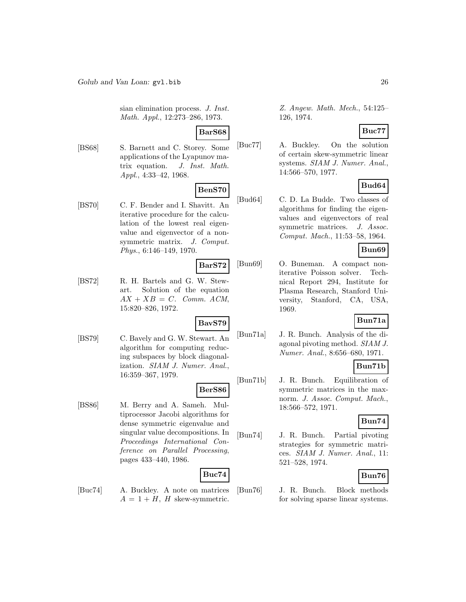sian elimination process. J. Inst. Math. Appl., 12:273–286, 1973.

### **BarS68**

[BS68] S. Barnett and C. Storey. Some applications of the Lyapunov matrix equation. J. Inst. Math. Appl., 4:33–42, 1968.

# **BenS70**

[BS70] C. F. Bender and I. Shavitt. An iterative procedure for the calculation of the lowest real eigenvalue and eigenvector of a nonsymmetric matrix. J. Comput. Phys., 6:146–149, 1970.

# **BarS72**

[BS72] R. H. Bartels and G. W. Stewart. Solution of the equation  $AX + XB = C$ . Comm. ACM, 15:820–826, 1972.

### **BavS79**

[BS79] C. Bavely and G. W. Stewart. An algorithm for computing reducing subspaces by block diagonalization. SIAM J. Numer. Anal., 16:359–367, 1979.

### **BerS86**

[BS86] M. Berry and A. Sameh. Multiprocessor Jacobi algorithms for dense symmetric eigenvalue and singular value decompositions. In Proceedings International Conference on Parallel Processing, pages 433–440, 1986.

# **Buc74**

[Buc74] A. Buckley. A note on matrices  $A = 1 + H$ , H skew-symmetric.

Z. Angew. Math. Mech., 54:125– 126, 1974.

### **Buc77**

[Buc77] A. Buckley. On the solution of certain skew-symmetric linear systems. SIAM J. Numer. Anal., 14:566–570, 1977.



[Bud64] C. D. La Budde. Two classes of algorithms for finding the eigenvalues and eigenvectors of real symmetric matrices. J. Assoc. Comput. Mach., 11:53–58, 1964.

#### **Bun69**

[Bun69] O. Buneman. A compact noniterative Poisson solver. Technical Report 294, Institute for Plasma Research, Stanford University, Stanford, CA, USA, 1969.

# **Bun71a**

[Bun71a] J. R. Bunch. Analysis of the diagonal pivoting method. SIAM J. Numer. Anal., 8:656–680, 1971.

# **Bun71b**

[Bun71b] J. R. Bunch. Equilibration of symmetric matrices in the maxnorm. J. Assoc. Comput. Mach., 18:566–572, 1971.

### **Bun74**

[Bun74] J. R. Bunch. Partial pivoting strategies for symmetric matrices. SIAM J. Numer. Anal., 11: 521–528, 1974.

### **Bun76**

[Bun76] J. R. Bunch. Block methods for solving sparse linear systems.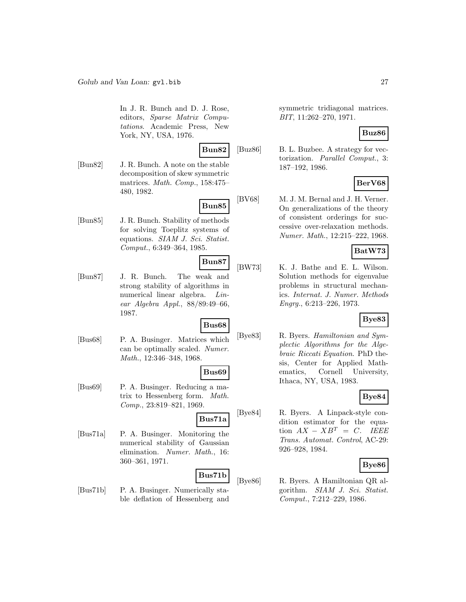In J. R. Bunch and D. J. Rose, editors, Sparse Matrix Computations. Academic Press, New York, NY, USA, 1976.

#### **Bun82**

[Bun82] J. R. Bunch. A note on the stable decomposition of skew symmetric matrices. Math. Comp., 158:475– 480, 1982.

# **Bun85**

[Bun85] J. R. Bunch. Stability of methods for solving Toeplitz systems of equations. SIAM J. Sci. Statist. Comput., 6:349–364, 1985.

# **Bun87**

[Bun87] J. R. Bunch. The weak and strong stability of algorithms in numerical linear algebra. Linear Algebra Appl., 88/89:49–66, 1987.

#### **Bus68**

[Bus68] P. A. Businger. Matrices which can be optimally scaled. Numer. Math., 12:346–348, 1968.

### **Bus69**

[Bus69] P. A. Businger. Reducing a matrix to Hessenberg form. Math. Comp., 23:819–821, 1969.

**Bus71a**

[Bus71a] P. A. Businger. Monitoring the numerical stability of Gaussian elimination. Numer. Math., 16: 360–361, 1971.

### **Bus71b**

[Bus71b] P. A. Businger. Numerically stable deflation of Hessenberg and symmetric tridiagonal matrices. BIT, 11:262–270, 1971.

### **Buz86**

[Buz86] B. L. Buzbee. A strategy for vectorization. Parallel Comput., 3: 187–192, 1986.



[BV68] M. J. M. Bernal and J. H. Verner. On generalizations of the theory of consistent orderings for successive over-relaxation methods. Numer. Math., 12:215–222, 1968.

# **BatW73**

[BW73] K. J. Bathe and E. L. Wilson. Solution methods for eigenvalue problems in structural mechanics. Internat. J. Numer. Methods Engrg., 6:213–226, 1973.

#### **Bye83**

[Bye83] R. Byers. Hamiltonian and Symplectic Algorithms for the Algebraic Riccati Equation. PhD thesis, Center for Applied Mathematics, Cornell University, Ithaca, NY, USA, 1983.

# **Bye84**

[Bye84] R. Byers. A Linpack-style condition estimator for the equation  $AX - XB^T = C$ . IEEE Trans. Automat. Control, AC-29: 926–928, 1984.

### **Bye86**

[Bye86] R. Byers. A Hamiltonian QR algorithm. SIAM J. Sci. Statist. Comput., 7:212–229, 1986.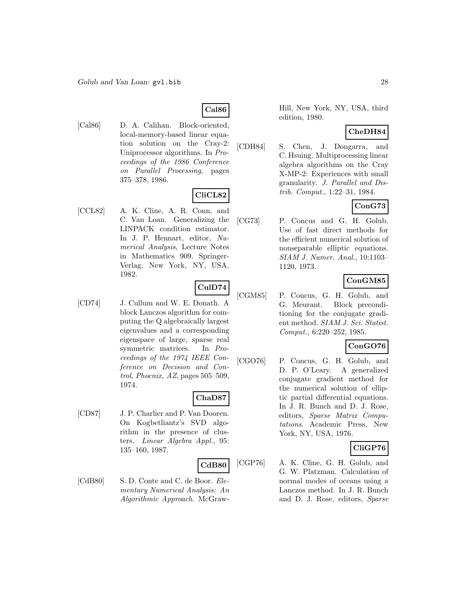# **Cal86**

[Cal86] D. A. Calihan. Block-oriented, local-memory-based linear equation solution on the Cray-2: Uniprocessor algorithms. In Proceedings of the 1986 Conference on Parallel Processing, pages 375–378, 1986.

### **CliCL82**

[CCL82] A. K. Cline, A. R. Conn, and C. Van Loan. Generalizing the LINPACK condition estimator. In J. P. Hennart, editor, Numerical Analysis, Lecture Notes in Mathematics 909. Springer-Verlag, New York, NY, USA, 1982.

# **CulD74**

[CD74] J. Cullum and W. E. Donath. A block Lanczos algorithm for computing the Q algebraically largest eigenvalues and a corresponding eigenspace of large, sparse real symmetric matrices. In Proceedings of the 1974 IEEE Conference on Decision and Control, Phoenix, AZ, pages 505–509, 1974.

### **ChaD87**

[CD87] J. P. Charlier and P. Van Dooren. On Kogbetliantz's SVD algorithm in the presence of clusters. Linear Algebra Appl., 95: 135–160, 1987.

#### **CdB80**

[CdB80] S. D. Conte and C. de Boor. *Ele*mentary Numerical Analysis: An Algorithmic Approach. McGrawHill, New York, NY, USA, third edition, 1980.

### **CheDH84**

[CDH84] S. Chen, J. Dongarra, and C. Hsuing. Multiprocessing linear algebra algorithms on the Cray X-MP-2: Experiences with small granularity. J. Parallel and Distrib. Comput., 1:22–31, 1984.

# **ConG73**

[CG73] P. Concus and G. H. Golub. Use of fast direct methods for the efficient numerical solution of nonseparable elliptic equations. SIAM J. Numer. Anal., 10:1103– 1120, 1973.

# **ConGM85**

[CGM85] P. Concus, G. H. Golub, and G. Meurant. Block preconditioning for the conjugate gradient method. SIAM J. Sci. Statist. Comput., 6:220–252, 1985.

# **ConGO76**

[CGO76] P. Concus, G. H. Golub, and D. P. O'Leary. A generalized conjugate gradient method for the numerical solution of elliptic partial differential equations. In J. R. Bunch and D. J. Rose, editors, Sparse Matrix Computations. Academic Press, New York, NY, USA, 1976.

### **CliGP76**

[CGP76] A. K. Cline, G. H. Golub, and G. W. Platzman. Calculation of normal modes of oceans using a Lanczos method. In J. R. Bunch and D. J. Rose, editors, Sparse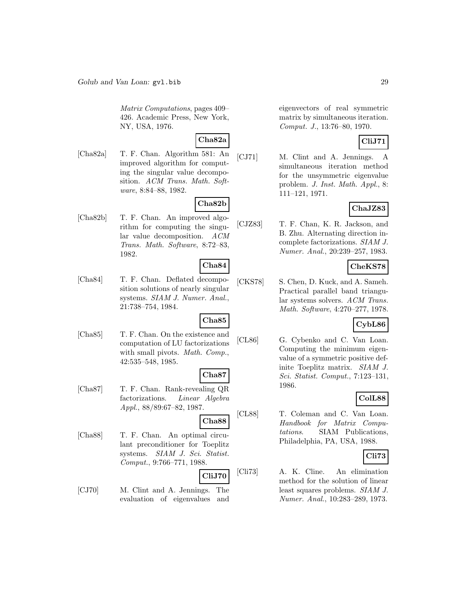Matrix Computations, pages 409– 426. Academic Press, New York, NY, USA, 1976.

# **Cha82a**

[Cha82a] T. F. Chan. Algorithm 581: An improved algorithm for computing the singular value decomposition. ACM Trans. Math. Software, 8:84–88, 1982.

### **Cha82b**

[Cha82b] T. F. Chan. An improved algorithm for computing the singular value decomposition. ACM Trans. Math. Software, 8:72–83, 1982.

# **Cha84**

[Cha84] T. F. Chan. Deflated decomposition solutions of nearly singular systems. SIAM J. Numer. Anal., 21:738–754, 1984.

### **Cha85**

[Cha85] T. F. Chan. On the existence and computation of LU factorizations with small pivots. *Math. Comp.*, 42:535–548, 1985.

### **Cha87**

[Cha87] T. F. Chan. Rank-revealing QR factorizations. Linear Algebra Appl., 88/89:67–82, 1987.

**Cha88**

[Cha88] T. F. Chan. An optimal circulant preconditioner for Toeplitz systems. SIAM J. Sci. Statist. Comput., 9:766–771, 1988.

**CliJ70**

[CJ70] M. Clint and A. Jennings. The evaluation of eigenvalues and

eigenvectors of real symmetric matrix by simultaneous iteration. Comput. J., 13:76–80, 1970.



[CJ71] M. Clint and A. Jennings. A simultaneous iteration method for the unsymmetric eigenvalue problem. J. Inst. Math. Appl., 8: 111–121, 1971.

### **ChaJZ83**

[CJZ83] T. F. Chan, K. R. Jackson, and B. Zhu. Alternating direction incomplete factorizations. SIAM J. Numer. Anal., 20:239–257, 1983.

#### **CheKS78**

[CKS78] S. Chen, D. Kuck, and A. Sameh. Practical parallel band triangular systems solvers. ACM Trans. Math. Software, 4:270–277, 1978.

### **CybL86**

[CL86] G. Cybenko and C. Van Loan. Computing the minimum eigenvalue of a symmetric positive definite Toeplitz matrix. SIAM J. Sci. Statist. Comput., 7:123–131, 1986.

### **ColL88**

[CL88] T. Coleman and C. Van Loan. Handbook for Matrix Computations. SIAM Publications, Philadelphia, PA, USA, 1988.

# **Cli73**

[Cli73] A. K. Cline. An elimination method for the solution of linear least squares problems. SIAM J. Numer. Anal., 10:283–289, 1973.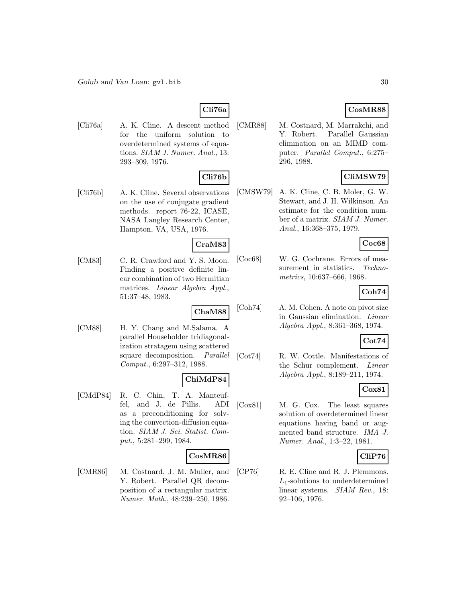# **Cli76a**

[Cli76a] A. K. Cline. A descent method for the uniform solution to overdetermined systems of equations. SIAM J. Numer. Anal., 13: 293–309, 1976.

# **Cli76b**

[Cli76b] A. K. Cline. Several observations on the use of conjugate gradient methods. report 76-22, ICASE, NASA Langley Research Center, Hampton, VA, USA, 1976.

#### **CraM83**

[CM83] C. R. Crawford and Y. S. Moon. Finding a positive definite linear combination of two Hermitian matrices. Linear Algebra Appl., 51:37–48, 1983.

#### **ChaM88**

[CM88] H. Y. Chang and M.Salama. A parallel Householder tridiagonalization stratagem using scattered square decomposition. Parallel Comput., 6:297–312, 1988.

### **ChiMdP84**

[CMdP84] R. C. Chin, T. A. Manteuffel, and J. de Pillis. ADI as a preconditioning for solving the convection-diffusion equation. SIAM J. Sci. Statist. Comput., 5:281–299, 1984.

### **CosMR86**

[CMR86] M. Costnard, J. M. Muller, and Y. Robert. Parallel QR decomposition of a rectangular matrix. Numer. Math., 48:239–250, 1986.

# **CosMR88**

[CMR88] M. Costnard, M. Marrakchi, and Y. Robert. Parallel Gaussian elimination on an MIMD computer. Parallel Comput., 6:275– 296, 1988.

### **CliMSW79**

[CMSW79] A. K. Cline, C. B. Moler, G. W. Stewart, and J. H. Wilkinson. An estimate for the condition number of a matrix. SIAM J. Numer. Anal., 16:368–375, 1979.

### **Coc68**

[Coc68] W. G. Cochrane. Errors of measurement in statistics. Technometrics, 10:637–666, 1968.

# **Coh74**

[Coh74] A. M. Cohen. A note on pivot size in Gaussian elimination. Linear Algebra Appl., 8:361–368, 1974.

### **Cot74**

[Cot74] R. W. Cottle. Manifestations of the Schur complement. Linear Algebra Appl., 8:189–211, 1974.

### **Cox81**

[Cox81] M. G. Cox. The least squares solution of overdetermined linear equations having band or augmented band structure. IMA J. Numer. Anal., 1:3–22, 1981.

### **CliP76**

[CP76] R. E. Cline and R. J. Plemmons.  $L_1$ -solutions to underdetermined linear systems. *SIAM Rev.*, 18: 92–106, 1976.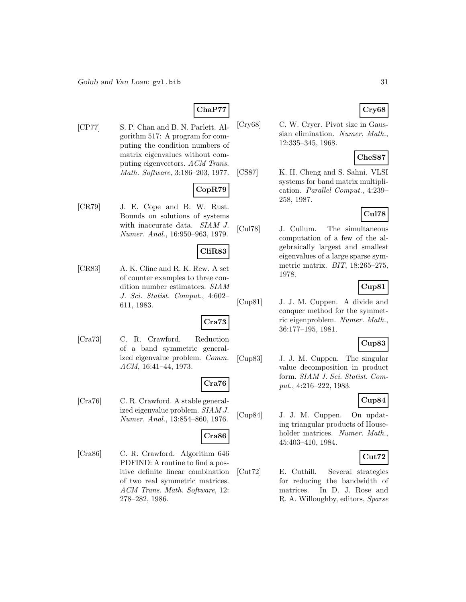# **ChaP77**

[CP77] S. P. Chan and B. N. Parlett. Algorithm 517: A program for computing the condition numbers of matrix eigenvalues without computing eigenvectors. ACM Trans. Math. Software, 3:186–203, 1977.

### **CopR79**

[CR79] J. E. Cope and B. W. Rust. Bounds on solutions of systems with inaccurate data. SIAM J. Numer. Anal., 16:950–963, 1979.

#### **CliR83**

[CR83] A. K. Cline and R. K. Rew. A set of counter examples to three condition number estimators. SIAM J. Sci. Statist. Comput., 4:602– 611, 1983.

# **Cra73**

- [Cra73] C. R. Crawford. Reduction of a band symmetric generalized eigenvalue problem. Comm. ACM, 16:41–44, 1973.
	- **Cra76**
- [Cra76] C. R. Crawford. A stable generalized eigenvalue problem. SIAM J. Numer. Anal., 13:854–860, 1976.

### **Cra86**

[Cra86] C. R. Crawford. Algorithm 646 PDFIND: A routine to find a positive definite linear combination of two real symmetric matrices. ACM Trans. Math. Software, 12: 278–282, 1986.

[Cry68] C. W. Cryer. Pivot size in Gaussian elimination. Numer. Math., 12:335–345, 1968.

# **CheS87**

**Cry68**

[CS87] K. H. Cheng and S. Sahni. VLSI systems for band matrix multiplication. Parallel Comput., 4:239– 258, 1987.

# **Cul78**

[Cul78] J. Cullum. The simultaneous computation of a few of the algebraically largest and smallest eigenvalues of a large sparse symmetric matrix. BIT, 18:265–275, 1978.

# **Cup81**

[Cup81] J. J. M. Cuppen. A divide and conquer method for the symmetric eigenproblem. Numer. Math., 36:177–195, 1981.

### **Cup83**

[Cup83] J. J. M. Cuppen. The singular value decomposition in product form. SIAM J. Sci. Statist. Comput., 4:216–222, 1983.

# **Cup84**

[Cup84] J. J. M. Cuppen. On updating triangular products of Householder matrices. Numer. Math., 45:403–410, 1984.

# **Cut72**

[Cut72] E. Cuthill. Several strategies for reducing the bandwidth of matrices. In D. J. Rose and R. A. Willoughby, editors, Sparse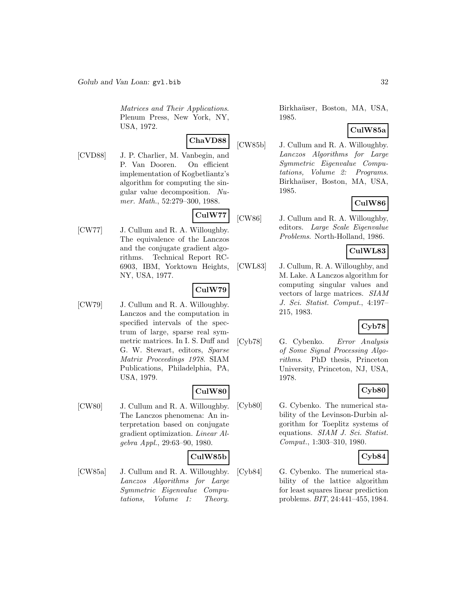Matrices and Their Applications. Plenum Press, New York, NY, USA, 1972.

# **ChaVD88**

[CVD88] J. P. Charlier, M. Vanbegin, and P. Van Dooren. On efficient implementation of Kogbetliantz's algorithm for computing the singular value decomposition. Numer. Math., 52:279–300, 1988.

# **CulW77**

[CW77] J. Cullum and R. A. Willoughby. The equivalence of the Lanczos and the conjugate gradient algorithms. Technical Report RC-6903, IBM, Yorktown Heights, NY, USA, 1977.

# **CulW79**

[CW79] J. Cullum and R. A. Willoughby. Lanczos and the computation in specified intervals of the spectrum of large, sparse real symmetric matrices. In I. S. Duff and G. W. Stewart, editors, Sparse Matrix Proceedings 1978. SIAM Publications, Philadelphia, PA, USA, 1979.

# **CulW80**

[CW80] J. Cullum and R. A. Willoughby. The Lanczos phenomena: An interpretation based on conjugate gradient optimization. Linear Algebra Appl., 29:63–90, 1980.

# **CulW85b**

[CW85a] J. Cullum and R. A. Willoughby. Lanczos Algorithms for Large Symmetric Eigenvalue Computations, Volume 1: Theory.

Birkhaüser, Boston, MA, USA, 1985.

### **CulW85a**

[CW85b] J. Cullum and R. A. Willoughby. Lanczos Algorithms for Large Symmetric Eigenvalue Computations, Volume 2: Programs. Birkhaüser, Boston, MA, USA, 1985.

# **CulW86**

[CW86] J. Cullum and R. A. Willoughby, editors. Large Scale Eigenvalue Problems. North-Holland, 1986.

### **CulWL83**

[CWL83] J. Cullum, R. A. Willoughby, and M. Lake. A Lanczos algorithm for computing singular values and vectors of large matrices. SIAM J. Sci. Statist. Comput., 4:197– 215, 1983.

### **Cyb78**

[Cyb78] G. Cybenko. Error Analysis of Some Signal Processing Algorithms. PhD thesis, Princeton University, Princeton, NJ, USA, 1978.

# **Cyb80**

[Cyb80] G. Cybenko. The numerical stability of the Levinson-Durbin algorithm for Toeplitz systems of equations. SIAM J. Sci. Statist. Comput., 1:303–310, 1980.

### **Cyb84**

[Cyb84] G. Cybenko. The numerical stability of the lattice algorithm for least squares linear prediction problems. BIT, 24:441–455, 1984.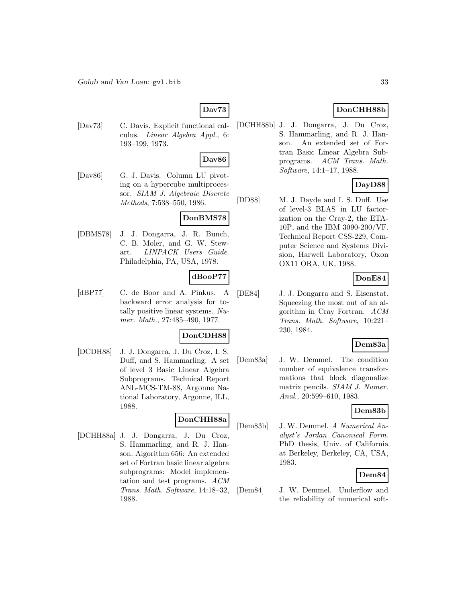# **Dav73**

[Dav73] C. Davis. Explicit functional calculus. Linear Algebra Appl., 6: 193–199, 1973.

### **Dav86**

[Dav86] G. J. Davis. Column LU pivoting on a hypercube multiprocessor. SIAM J. Algebraic Discrete Methods, 7:538–550, 1986.

### **DonBMS78**

[DBMS78] J. J. Dongarra, J. R. Bunch, C. B. Moler, and G. W. Stewart. LINPACK Users Guide. Philadelphia, PA, USA, 1978.

### **dBooP77**

[dBP77] C. de Boor and A. Pinkus. A backward error analysis for totally positive linear systems. Numer. Math., 27:485–490, 1977.

# **DonCDH88**

[DCDH88] J. J. Dongarra, J. Du Croz, I. S. Duff, and S. Hammarling. A set of level 3 Basic Linear Algebra Subprograms. Technical Report ANL-MCS-TM-88, Argonne National Laboratory, Argonne, ILL, 1988.

### **DonCHH88a**

[DCHH88a] J. J. Dongarra, J. Du Croz, S. Hammarling, and R. J. Hanson. Algorithm 656: An extended set of Fortran basic linear algebra subprograms: Model implementation and test programs. ACM Trans. Math. Software, 14:18–32, 1988.

### **DonCHH88b**

[DCHH88b] J. J. Dongarra, J. Du Croz, S. Hammarling, and R. J. Hanson. An extended set of Fortran Basic Linear Algebra Subprograms. ACM Trans. Math. Software, 14:1–17, 1988.

# **DayD88**

[DD88] M. J. Dayde and I. S. Duff. Use of level-3 BLAS in LU factorization on the Cray-2, the ETA-10P, and the IBM 3090-200/VF. Technical Report CSS-229, Computer Science and Systems Division, Harwell Laboratory, Oxon OX11 ORA, UK, 1988.

### **DonE84**

[DE84] J. J. Dongarra and S. Eisenstat. Squeezing the most out of an algorithm in Cray Fortran. ACM Trans. Math. Software, 10:221– 230, 1984.

### **Dem83a**

[Dem83a] J. W. Demmel. The condition number of equivalence transformations that block diagonalize matrix pencils. *SIAM J. Numer.* Anal., 20:599–610, 1983.

### **Dem83b**

[Dem83b] J. W. Demmel. A Numerical Analyst's Jordan Canonical Form. PhD thesis, Univ. of California at Berkeley, Berkeley, CA, USA, 1983.

### **Dem84**

[Dem84] J. W. Demmel. Underflow and the reliability of numerical soft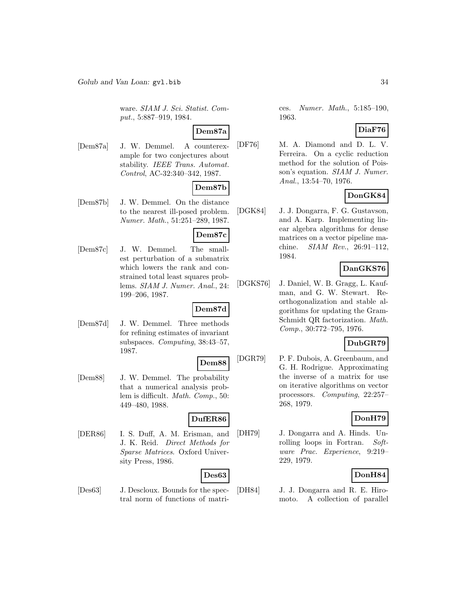*Golub and Van Loan:* gvl.bib 34

ware. SIAM J. Sci. Statist. Comput., 5:887–919, 1984.

#### **Dem87a**

[Dem87a] J. W. Demmel. A counterexample for two conjectures about stability. IEEE Trans. Automat. Control, AC-32:340–342, 1987.

### **Dem87b**

[Dem87b] J. W. Demmel. On the distance to the nearest ill-posed problem. Numer. Math., 51:251–289, 1987.

### **Dem87c**

[Dem87c] J. W. Demmel. The smallest perturbation of a submatrix which lowers the rank and constrained total least squares problems. SIAM J. Numer. Anal., 24: 199–206, 1987.

#### **Dem87d**

[Dem87d] J. W. Demmel. Three methods for refining estimates of invariant subspaces. Computing, 38:43–57, 1987.

### **Dem88**

[Dem88] J. W. Demmel. The probability that a numerical analysis problem is difficult. Math. Comp., 50: 449–480, 1988.

# **DufER86**

[DER86] I. S. Duff, A. M. Erisman, and J. K. Reid. Direct Methods for Sparse Matrices. Oxford University Press, 1986.

### **Des63**

[Des63] J. Descloux. Bounds for the spectral norm of functions of matrices. Numer. Math., 5:185–190, 1963.



[DF76] M. A. Diamond and D. L. V. Ferreira. On a cyclic reduction method for the solution of Poisson's equation. SIAM J. Numer. Anal., 13:54–70, 1976.

### **DonGK84**

[DGK84] J. J. Dongarra, F. G. Gustavson, and A. Karp. Implementing linear algebra algorithms for dense matrices on a vector pipeline machine. SIAM Rev., 26:91–112, 1984.

### **DanGKS76**

[DGKS76] J. Daniel, W. B. Gragg, L. Kaufman, and G. W. Stewart. Reorthogonalization and stable algorithms for updating the Gram-Schmidt QR factorization. Math. Comp., 30:772–795, 1976.

### **DubGR79**

[DGR79] P. F. Dubois, A. Greenbaum, and G. H. Rodrigue. Approximating the inverse of a matrix for use on iterative algorithms on vector processors. Computing, 22:257– 268, 1979.

### **DonH79**

[DH79] J. Dongarra and A. Hinds. Unrolling loops in Fortran. Software Prac. Experience, 9:219– 229, 1979.

### **DonH84**

[DH84] J. J. Dongarra and R. E. Hiromoto. A collection of parallel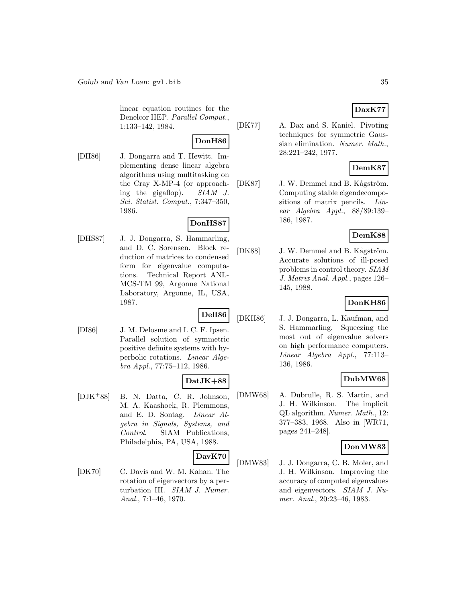linear equation routines for the Denelcor HEP. Parallel Comput., 1:133–142, 1984.

# **DonH86**

[DH86] J. Dongarra and T. Hewitt. Implementing dense linear algebra algorithms using multitasking on the Cray X-MP-4 (or approaching the gigaflop). SIAM J. Sci. Statist. Comput., 7:347–350, 1986.

# **DonHS87**

[DHS87] J. J. Dongarra, S. Hammarling, and D. C. Sorensen. Block reduction of matrices to condensed form for eigenvalue computations. Technical Report ANL-MCS-TM 99, Argonne National Laboratory, Argonne, IL, USA, 1987.

### **DelI86**

[DI86] J. M. Delosme and I. C. F. Ipsen. Parallel solution of symmetric positive definite systems with hyperbolic rotations. Linear Algebra Appl., 77:75–112, 1986.

### **DatJK+88**

[DJK<sup>+</sup>88] B. N. Datta, C. R. Johnson, M. A. Kaashoek, R. Plemmons, and E. D. Sontag. Linear Algebra in Signals, Systems, and Control. SIAM Publications, Philadelphia, PA, USA, 1988.

### **DavK70**

[DK70] C. Davis and W. M. Kahan. The rotation of eigenvectors by a perturbation III. SIAM J. Numer. Anal., 7:1–46, 1970.

# **DaxK77**

[DK77] A. Dax and S. Kaniel. Pivoting techniques for symmetric Gaussian elimination. Numer. Math., 28:221–242, 1977.

# **DemK87**

[DK87] J. W. Demmel and B. Kågström. Computing stable eigendecompositions of matrix pencils. Linear Algebra Appl., 88/89:139– 186, 1987.

### **DemK88**

[DK88] J. W. Demmel and B. Kågström. Accurate solutions of ill-posed problems in control theory. SIAM J. Matrix Anal. Appl., pages 126– 145, 1988.

### **DonKH86**

[DKH86] J. J. Dongarra, L. Kaufman, and S. Hammarling. Squeezing the most out of eigenvalue solvers on high performance computers. Linear Algebra Appl., 77:113– 136, 1986.

# **DubMW68**

[DMW68] A. Dubrulle, R. S. Martin, and J. H. Wilkinson. The implicit QL algorithm. Numer. Math., 12: 377–383, 1968. Also in [WR71, pages 241–248].

### **DonMW83**

[DMW83] J. J. Dongarra, C. B. Moler, and J. H. Wilkinson. Improving the accuracy of computed eigenvalues and eigenvectors. SIAM J. Numer. Anal., 20:23–46, 1983.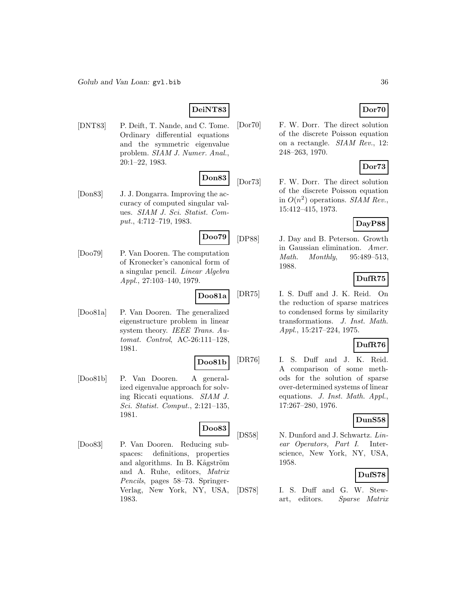# **DeiNT83**

[DNT83] P. Deift, T. Nande, and C. Tome. Ordinary differential equations and the symmetric eigenvalue problem. SIAM J. Numer. Anal., 20:1–22, 1983.

# **Don83**

[Don83] J. J. Dongarra. Improving the accuracy of computed singular values. SIAM J. Sci. Statist. Comput., 4:712–719, 1983.

### **Doo79**

[Doo79] P. Van Dooren. The computation of Kronecker's canonical form of a singular pencil. Linear Algebra Appl., 27:103–140, 1979.

### **Doo81a**

[Doo81a] P. Van Dooren. The generalized eigenstructure problem in linear system theory. IEEE Trans. Automat. Control, AC-26:111–128, 1981.

### **Doo81b**

[Doo81b] P. Van Dooren. A generalized eigenvalue approach for solving Riccati equations. SIAM J. Sci. Statist. Comput., 2:121–135, 1981.

**Doo83**

[Doo83] P. Van Dooren. Reducing subspaces: definitions, properties and algorithms. In B. Kågström and A. Ruhe, editors, Matrix Pencils, pages 58–73. Springer-Verlag, New York, NY, USA, 1983.

[Dor70] F. W. Dorr. The direct solution of the discrete Poisson equation on a rectangle. SIAM Rev., 12: 248–263, 1970.



**Dor70**

[Dor73] F. W. Dorr. The direct solution of the discrete Poisson equation in  $O(n^2)$  operations. SIAM Rev., 15:412–415, 1973.

### **DayP88**

[DP88] J. Day and B. Peterson. Growth in Gaussian elimination. Amer. Math. Monthly, 95:489–513, 1988.

### **DufR75**

[DR75] I. S. Duff and J. K. Reid. On the reduction of sparse matrices to condensed forms by similarity transformations. J. Inst. Math. Appl., 15:217–224, 1975.

# **DufR76**

[DR76] I. S. Duff and J. K. Reid. A comparison of some methods for the solution of sparse over-determined systems of linear equations. J. Inst. Math. Appl., 17:267–280, 1976.

### **DunS58**

[DS58] N. Dunford and J. Schwartz. Linear Operators, Part I. Interscience, New York, NY, USA, 1958.



[DS78] I. S. Duff and G. W. Stewart, editors. Sparse Matrix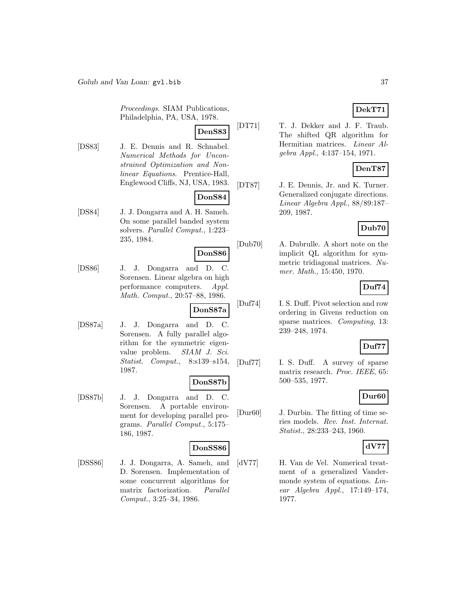Proceedings. SIAM Publications, Philadelphia, PA, USA, 1978.

# **DenS83**

[DS83] J. E. Dennis and R. Schnabel. Numerical Methods for Unconstrained Optimization and Nonlinear Equations. Prentice-Hall, Englewood Cliffs, NJ, USA, 1983.

# **DonS84**

[DS84] J. J. Dongarra and A. H. Sameh. On some parallel banded system solvers. Parallel Comput., 1:223– 235, 1984.

#### **DonS86**

[DS86] J. J. Dongarra and D. C. Sorensen. Linear algebra on high performance computers. Appl. Math. Comput., 20:57–88, 1986.

## **DonS87a**

[DS87a] J. J. Dongarra and D. C. Sorensen. A fully parallel algorithm for the symmetric eigenvalue problem. SIAM J. Sci. Statist. Comput., 8:s139–s154, 1987.

#### **DonS87b**

[DS87b] J. J. Dongarra and D. C. Sorensen. A portable environment for developing parallel programs. Parallel Comput., 5:175– 186, 1987.

## **DonSS86**

[DSS86] J. J. Dongarra, A. Sameh, and D. Sorensen. Implementation of some concurrent algorithms for matrix factorization. Parallel Comput., 3:25–34, 1986.

# **DekT71**

[DT71] T. J. Dekker and J. F. Traub. The shifted QR algorithm for Hermitian matrices. Linear Algebra Appl., 4:137–154, 1971.

# **DenT87**

[DT87] J. E. Dennis, Jr. and K. Turner. Generalized conjugate directions. Linear Algebra Appl., 88/89:187– 209, 1987.

## **Dub70**

[Dub70] A. Dubrulle. A short note on the implicit QL algorithm for symmetric tridiagonal matrices. Numer. Math., 15:450, 1970.

# **Duf74**

[Duf74] I. S. Duff. Pivot selection and row ordering in Givens reduction on sparse matrices. Computing, 13: 239–248, 1974.

# **Duf77**

[Duf77] I. S. Duff. A survey of sparse matrix research. Proc. IEEE, 65: 500–535, 1977.

# **Dur60**

[Dur60] J. Durbin. The fitting of time series models. Rev. Inst. Internat. Statist., 28:233–243, 1960.

# **dV77**

[dV77] H. Van de Vel. Numerical treatment of a generalized Vandermonde system of equations. Linear Algebra Appl., 17:149–174, 1977.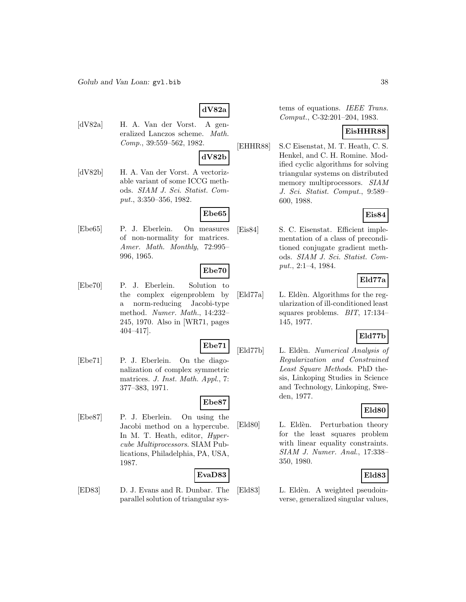# **dV82a**

[dV82a] H. A. Van der Vorst. A generalized Lanczos scheme. Math. Comp., 39:559–562, 1982.

# **dV82b**

[dV82b] H. A. Van der Vorst. A vectorizable variant of some ICCG methods. SIAM J. Sci. Statist. Comput., 3:350–356, 1982.

## **Ebe65**

[Ebe65] P. J. Eberlein. On measures of non-normality for matrices. Amer. Math. Monthly, 72:995– 996, 1965.

# **Ebe70**

[Ebe70] P. J. Eberlein. Solution to the complex eigenproblem by a norm-reducing Jacobi-type method. Numer. Math., 14:232– 245, 1970. Also in [WR71, pages 404–417].

# **Ebe71**

[Ebe71] P. J. Eberlein. On the diagonalization of complex symmetric matrices. J. Inst. Math. Appl., 7: 377–383, 1971.

#### **Ebe87**

[Ebe87] P. J. Eberlein. On using the Jacobi method on a hypercube. In M. T. Heath, editor, Hypercube Multiprocessors. SIAM Publications, Philadelphia, PA, USA, 1987.

#### **EvaD83**

[ED83] D. J. Evans and R. Dunbar. The parallel solution of triangular systems of equations. IEEE Trans. Comput., C-32:201–204, 1983.

#### **EisHHR88**

[EHHR88] S.C Eisenstat, M. T. Heath, C. S. Henkel, and C. H. Romine. Modified cyclic algorithms for solving triangular systems on distributed memory multiprocessors. SIAM J. Sci. Statist. Comput., 9:589– 600, 1988.

## **Eis84**

[Eis84] S. C. Eisenstat. Efficient implementation of a class of preconditioned conjugate gradient methods. SIAM J. Sci. Statist. Comput., 2:1–4, 1984.

## **Eld77a**

[Eld77a] L. Eldèn. Algorithms for the regularization of ill-conditioned least squares problems. BIT, 17:134– 145, 1977.

## **Eld77b**

[Eld77b] L. Eldèn. Numerical Analysis of Regularization and Constrained Least Square Methods. PhD thesis, Linkoping Studies in Science and Technology, Linkoping, Sweden, 1977.

## **Eld80**

[Eld80] L. Eldèn. Perturbation theory for the least squares problem with linear equality constraints. SIAM J. Numer. Anal., 17:338– 350, 1980.



[Eld83] L. Eldèn. A weighted pseudoinverse, generalized singular values,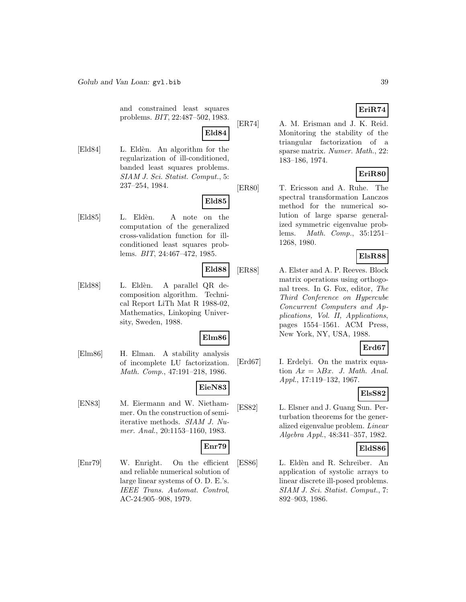and constrained least squares problems. BIT, 22:487–502, 1983.

# **Eld84**

[Eld84] L. Eldèn. An algorithm for the regularization of ill-conditioned, banded least squares problems. SIAM J. Sci. Statist. Comput., 5: 237–254, 1984.

# **Eld85**

[Eld85] L. Eld`en. A note on the computation of the generalized cross-validation function for illconditioned least squares problems. BIT, 24:467–472, 1985.

## **Eld88**

[Eld88] L. Eld`en. A parallel QR decomposition algorithm. Technical Report LiTh Mat R 1988-02, Mathematics, Linkoping University, Sweden, 1988.

## **Elm86**

[Elm86] H. Elman. A stability analysis of incomplete LU factorization. Math. Comp., 47:191–218, 1986.

**EieN83**

[EN83] M. Eiermann and W. Niethammer. On the construction of semiiterative methods. SIAM J. Numer. Anal., 20:1153–1160, 1983.

#### **Enr79**

[Enr79] W. Enright. On the efficient and reliable numerical solution of large linear systems of O. D. E.'s. IEEE Trans. Automat. Control, AC-24:905–908, 1979.

# **EriR74**

[ER74] A. M. Erisman and J. K. Reid. Monitoring the stability of the triangular factorization of a sparse matrix. Numer. Math., 22: 183–186, 1974.



[ER80] T. Ericsson and A. Ruhe. The spectral transformation Lanczos method for the numerical solution of large sparse generalized symmetric eigenvalue problems. Math. Comp., 35:1251– 1268, 1980.

**ElsR88**

[ER88] A. Elster and A. P. Reeves. Block matrix operations using orthogonal trees. In G. Fox, editor, The Third Conference on Hypercube Concurrent Computers and Applications, Vol. II, Applications, pages 1554–1561. ACM Press, New York, NY, USA, 1988.

#### **Erd67**

[Erd67] I. Erdelyi. On the matrix equation  $Ax = \lambda Bx$ . J. Math. Anal. Appl., 17:119–132, 1967.

#### **ElsS82**

[ES82] L. Elsner and J. Guang Sun. Perturbation theorems for the generalized eigenvalue problem. Linear Algebra Appl., 48:341–357, 1982.

**EldS86**

[ES86] L. Eldèn and R. Schreiber. An application of systolic arrays to linear discrete ill-posed problems. SIAM J. Sci. Statist. Comput., 7: 892–903, 1986.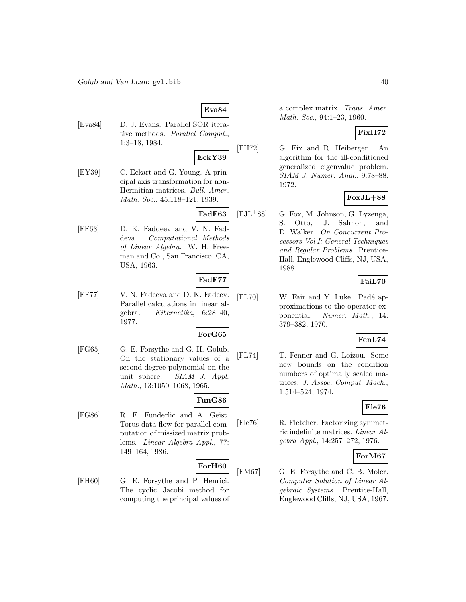*Golub and Van Loan:* gvl.bib 40

# **Eva84**

[Eva84] D. J. Evans. Parallel SOR iterative methods. Parallel Comput., 1:3–18, 1984.

# **EckY39**

[EY39] C. Eckart and G. Young. A principal axis transformation for non-Hermitian matrices. Bull. Amer. Math. Soc., 45:118–121, 1939.

## **FadF63**

[FF63] D. K. Faddeev and V. N. Faddeva. Computational Methods of Linear Algebra. W. H. Freeman and Co., San Francisco, CA, USA, 1963.

# **FadF77**

[FF77] V. N. Fadeeva and D. K. Fadeev. Parallel calculations in linear algebra. Kibernetika, 6:28–40, 1977.

## **ForG65**

[FG65] G. E. Forsythe and G. H. Golub. On the stationary values of a second-degree polynomial on the unit sphere. SIAM J. Appl. Math., 13:1050–1068, 1965.

# **FunG86**

[FG86] R. E. Funderlic and A. Geist. Torus data flow for parallel computation of missized matrix problems. Linear Algebra Appl., 77: 149–164, 1986.

## **ForH60**

[FH60] G. E. Forsythe and P. Henrici. The cyclic Jacobi method for computing the principal values of a complex matrix. Trans. Amer. Math. Soc., 94:1–23, 1960.

# **FixH72**

[FH72] G. Fix and R. Heiberger. An algorithm for the ill-conditioned generalized eigenvalue problem. SIAM J. Numer. Anal., 9:78–88, 1972.

# **FoxJL+88**

[FJL<sup>+</sup>88] G. Fox, M. Johnson, G. Lyzenga, S. Otto, J. Salmon, and D. Walker. On Concurrent Processors Vol I: General Techniques and Regular Problems. Prentice-Hall, Englewood Cliffs, NJ, USA, 1988.

## **FaiL70**

[FL70] W. Fair and Y. Luke. Padé approximations to the operator exponential. Numer. Math., 14: 379–382, 1970.

## **FenL74**

[FL74] T. Fenner and G. Loizou. Some new bounds on the condition numbers of optimally scaled matrices. J. Assoc. Comput. Mach., 1:514–524, 1974.

## **Fle76**

[Fle76] R. Fletcher. Factorizing symmetric indefinite matrices. Linear Algebra Appl., 14:257–272, 1976.

#### **ForM67**

[FM67] G. E. Forsythe and C. B. Moler. Computer Solution of Linear Algebraic Systems. Prentice-Hall, Englewood Cliffs, NJ, USA, 1967.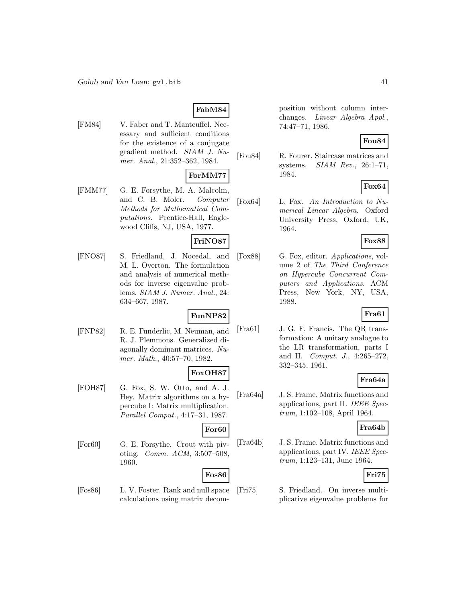#### **FabM84**

[FM84] V. Faber and T. Manteuffel. Necessary and sufficient conditions for the existence of a conjugate gradient method. SIAM J. Numer. Anal., 21:352–362, 1984.

#### **ForMM77**

[FMM77] G. E. Forsythe, M. A. Malcolm, and C. B. Moler. Computer Methods for Mathematical Computations. Prentice-Hall, Englewood Cliffs, NJ, USA, 1977.

## **FriNO87**

[FNO87] S. Friedland, J. Nocedal, and M. L. Overton. The formulation and analysis of numerical methods for inverse eigenvalue problems. SIAM J. Numer. Anal., 24: 634–667, 1987.

## **FunNP82**

[FNP82] R. E. Funderlic, M. Neuman, and R. J. Plemmons. Generalized diagonally dominant matrices. Numer. Math., 40:57–70, 1982.

# **FoxOH87**

[FOH87] G. Fox, S. W. Otto, and A. J. Hey. Matrix algorithms on a hypercube I: Matrix multiplication. Parallel Comput., 4:17–31, 1987.

#### **For60**

[For60] G. E. Forsythe. Crout with pivoting. Comm. ACM, 3:507–508, 1960.

#### **Fos86**

[Fos86] L. V. Foster. Rank and null space calculations using matrix decomposition without column interchanges. Linear Algebra Appl., 74:47–71, 1986.

#### **Fou84**

[Fou84] R. Fourer. Staircase matrices and systems.  $SIAM$  Rev., 26:1-71, 1984.



[Fox64] L. Fox. An Introduction to Numerical Linear Algebra. Oxford University Press, Oxford, UK, 1964.

**Fox88**

[Fox88] G. Fox, editor. Applications, volume 2 of The Third Conference on Hypercube Concurrent Computers and Applications. ACM Press, New York, NY, USA, 1988.

#### **Fra61**

[Fra61] J. G. F. Francis. The QR transformation: A unitary analogue to the LR transformation, parts I and II. Comput. J., 4:265–272, 332–345, 1961.

## **Fra64a**

[Fra64a] J. S. Frame. Matrix functions and applications, part II. IEEE Spectrum, 1:102–108, April 1964.

**Fra64b**

[Fra64b] J. S. Frame. Matrix functions and applications, part IV. IEEE Spectrum, 1:123–131, June 1964.



[Fri75] S. Friedland. On inverse multiplicative eigenvalue problems for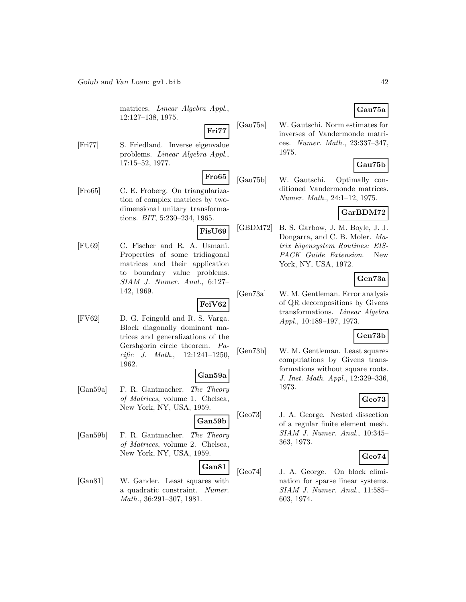*Golub and Van Loan:* gvl.bib 42

matrices. Linear Algebra Appl., 12:127–138, 1975.

# **Fri77**

[Fri77] S. Friedland. Inverse eigenvalue problems. Linear Algebra Appl., 17:15–52, 1977.

# **Fro65**

[Fro65] C. E. Froberg. On triangularization of complex matrices by twodimensional unitary transformations. BIT, 5:230–234, 1965.

## **FisU69**

[FU69] C. Fischer and R. A. Usmani. Properties of some tridiagonal matrices and their application to boundary value problems. SIAM J. Numer. Anal., 6:127– 142, 1969.

#### **FeiV62**

[FV62] D. G. Feingold and R. S. Varga. Block diagonally dominant matrices and generalizations of the Gershgorin circle theorem. Pacific J. Math., 12:1241–1250, 1962.

## **Gan59a**

[Gan59a] F. R. Gantmacher. The Theory of Matrices, volume 1. Chelsea, New York, NY, USA, 1959.

**Gan59b**

[Gan59b] F. R. Gantmacher. The Theory of Matrices, volume 2. Chelsea, New York, NY, USA, 1959.

#### **Gan81**

[Gan81] W. Gander. Least squares with a quadratic constraint. Numer. Math., 36:291–307, 1981.

# **Gau75a**

[Gau75a] W. Gautschi. Norm estimates for inverses of Vandermonde matrices. Numer. Math., 23:337–347, 1975.



[Gau75b] W. Gautschi. Optimally conditioned Vandermonde matrices. Numer. Math., 24:1–12, 1975.

## **GarBDM72**

[GBDM72] B. S. Garbow, J. M. Boyle, J. J. Dongarra, and C. B. Moler. Matrix Eigensystem Routines: EIS-PACK Guide Extension. New York, NY, USA, 1972.

# **Gen73a**

[Gen73a] W. M. Gentleman. Error analysis of QR decompositions by Givens transformations. Linear Algebra Appl., 10:189–197, 1973.

## **Gen73b**

[Gen73b] W. M. Gentleman. Least squares computations by Givens transformations without square roots. J. Inst. Math. Appl., 12:329–336, 1973.

# **Geo73**

[Geo73] J. A. George. Nested dissection of a regular finite element mesh. SIAM J. Numer. Anal., 10:345– 363, 1973.

## **Geo74**

[Geo74] J. A. George. On block elimination for sparse linear systems. SIAM J. Numer. Anal., 11:585– 603, 1974.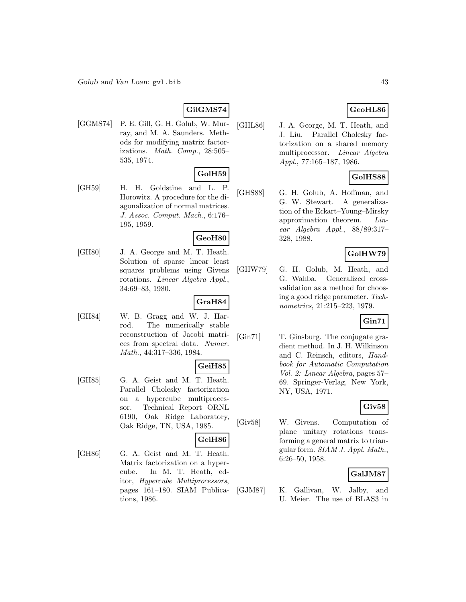## **GilGMS74**

[GGMS74] P. E. Gill, G. H. Golub, W. Murray, and M. A. Saunders. Methods for modifying matrix factorizations. Math. Comp., 28:505– 535, 1974.

# **GolH59**

[GH59] H. H. Goldstine and L. P. Horowitz. A procedure for the diagonalization of normal matrices. J. Assoc. Comput. Mach., 6:176– 195, 1959.

## **GeoH80**

[GH80] J. A. George and M. T. Heath. Solution of sparse linear least squares problems using Givens rotations. Linear Algebra Appl., 34:69–83, 1980.

#### **GraH84**

[GH84] W. B. Gragg and W. J. Harrod. The numerically stable reconstruction of Jacobi matrices from spectral data. Numer. Math., 44:317–336, 1984.

## **GeiH85**

[GH85] G. A. Geist and M. T. Heath. Parallel Cholesky factorization on a hypercube multiprocessor. Technical Report ORNL 6190, Oak Ridge Laboratory, Oak Ridge, TN, USA, 1985.

#### **GeiH86**

[GH86] G. A. Geist and M. T. Heath. Matrix factorization on a hypercube. In M. T. Heath, editor, Hypercube Multiprocessors, pages 161–180. SIAM Publications, 1986.

## **GeoHL86**

[GHL86] J. A. George, M. T. Heath, and J. Liu. Parallel Cholesky factorization on a shared memory multiprocessor. Linear Algebra Appl., 77:165–187, 1986.

## **GolHS88**

[GHS88] G. H. Golub, A. Hoffman, and G. W. Stewart. A generalization of the Eckart–Young–Mirsky approximation theorem. Linear Algebra Appl., 88/89:317– 328, 1988.

#### **GolHW79**

[GHW79] G. H. Golub, M. Heath, and G. Wahba. Generalized crossvalidation as a method for choosing a good ridge parameter. Technometrics, 21:215–223, 1979.

## **Gin71**

[Gin71] T. Ginsburg. The conjugate gradient method. In J. H. Wilkinson and C. Reinsch, editors, Handbook for Automatic Computation Vol. 2: Linear Algebra, pages 57– 69. Springer-Verlag, New York, NY, USA, 1971.

## **Giv58**

[Giv58] W. Givens. Computation of plane unitary rotations transforming a general matrix to triangular form. SIAM J. Appl. Math., 6:26–50, 1958.

#### **GalJM87**

[GJM87] K. Gallivan, W. Jalby, and U. Meier. The use of BLAS3 in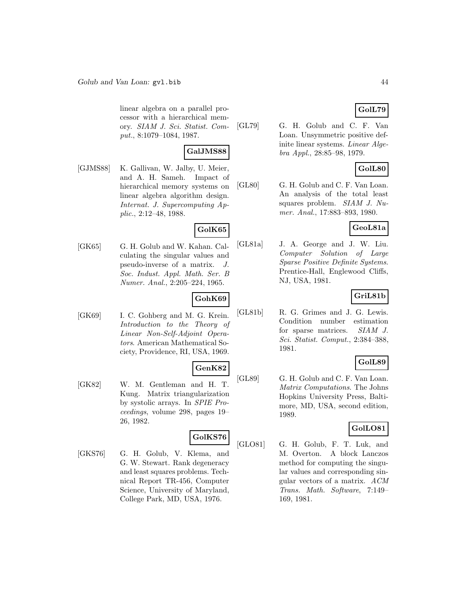linear algebra on a parallel processor with a hierarchical memory. SIAM J. Sci. Statist. Comput., 8:1079–1084, 1987.

# **GalJMS88**

[GJMS88] K. Gallivan, W. Jalby, U. Meier, and A. H. Sameh. Impact of hierarchical memory systems on linear algebra algorithm design. Internat. J. Supercomputing Applic., 2:12–48, 1988.

## **GolK65**

[GK65] G. H. Golub and W. Kahan. Calculating the singular values and pseudo-inverse of a matrix. J. Soc. Indust. Appl. Math. Ser. B Numer. Anal., 2:205–224, 1965.

#### **GohK69**

[GK69] I. C. Gohberg and M. G. Krein. Introduction to the Theory of Linear Non-Self-Adjoint Operators. American Mathematical Society, Providence, RI, USA, 1969.

## **GenK82**

[GK82] W. M. Gentleman and H. T. Kung. Matrix triangularization by systolic arrays. In SPIE Proceedings, volume 298, pages 19– 26, 1982.

## **GolKS76**

[GKS76] G. H. Golub, V. Klema, and G. W. Stewart. Rank degeneracy and least squares problems. Technical Report TR-456, Computer Science, University of Maryland, College Park, MD, USA, 1976.

## **GolL79**

[GL79] G. H. Golub and C. F. Van Loan. Unsymmetric positive definite linear systems. Linear Algebra Appl., 28:85–98, 1979.

## **GolL80**

[GL80] G. H. Golub and C. F. Van Loan. An analysis of the total least squares problem. SIAM J. Numer. Anal., 17:883–893, 1980.

#### **GeoL81a**

[GL81a] J. A. George and J. W. Liu. Computer Solution of Large Sparse Positive Definite Systems. Prentice-Hall, Englewood Cliffs, NJ, USA, 1981.

#### **GriL81b**

[GL81b] R. G. Grimes and J. G. Lewis. Condition number estimation for sparse matrices. SIAM J. Sci. Statist. Comput., 2:384–388, 1981.

## **GolL89**

[GL89] G. H. Golub and C. F. Van Loan. Matrix Computations. The Johns Hopkins University Press, Baltimore, MD, USA, second edition, 1989.

## **GolLO81**

[GLO81] G. H. Golub, F. T. Luk, and M. Overton. A block Lanczos method for computing the singular values and corresponding singular vectors of a matrix. ACM Trans. Math. Software, 7:149– 169, 1981.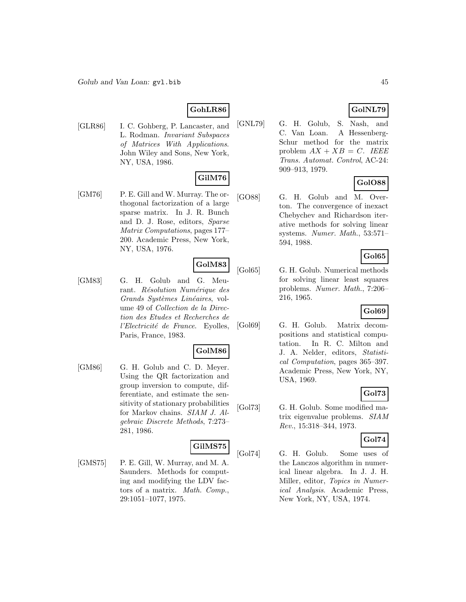# **GohLR86**

[GLR86] I. C. Gohberg, P. Lancaster, and L. Rodman. Invariant Subspaces of Matrices With Applications. John Wiley and Sons, New York, NY, USA, 1986.

## **GilM76**

[GM76] P. E. Gill and W. Murray. The orthogonal factorization of a large sparse matrix. In J. R. Bunch and D. J. Rose, editors, Sparse Matrix Computations, pages 177– 200. Academic Press, New York, NY, USA, 1976.

# **GolM83**

[GM83] G. H. Golub and G. Meurant. Résolution Numérique des Grands Systèmes Linéaires, volume 49 of Collection de la Direction des Etudes et Recherches de l'Electricité de France. Eyolles, Paris, France, 1983.

#### **GolM86**

[GM86] G. H. Golub and C. D. Meyer. Using the QR factorization and group inversion to compute, differentiate, and estimate the sensitivity of stationary probabilities for Markov chains. SIAM J. Algebraic Discrete Methods, 7:273– 281, 1986.

## **GilMS75**

[GMS75] P. E. Gill, W. Murray, and M. A. Saunders. Methods for computing and modifying the LDV factors of a matrix. Math. Comp., 29:1051–1077, 1975.

## **GolNL79**

[GNL79] G. H. Golub, S. Nash, and C. Van Loan. A Hessenberg-Schur method for the matrix problem  $AX + XB = C$ . IEEE Trans. Automat. Control, AC-24: 909–913, 1979.



[GO88] G. H. Golub and M. Overton. The convergence of inexact Chebychev and Richardson iterative methods for solving linear systems. Numer. Math., 53:571– 594, 1988.

#### **Gol65**

[Gol65] G. H. Golub. Numerical methods for solving linear least squares problems. Numer. Math., 7:206– 216, 1965.

#### **Gol69**

[Gol69] G. H. Golub. Matrix decompositions and statistical computation. In R. C. Milton and J. A. Nelder, editors, Statistical Computation, pages 365–397. Academic Press, New York, NY, USA, 1969.

#### **Gol73**

[Gol73] G. H. Golub. Some modified matrix eigenvalue problems. SIAM Rev., 15:318–344, 1973.

#### **Gol74**

[Gol74] G. H. Golub. Some uses of the Lanczos algorithm in numerical linear algebra. In J. J. H. Miller, editor, Topics in Numerical Analysis. Academic Press, New York, NY, USA, 1974.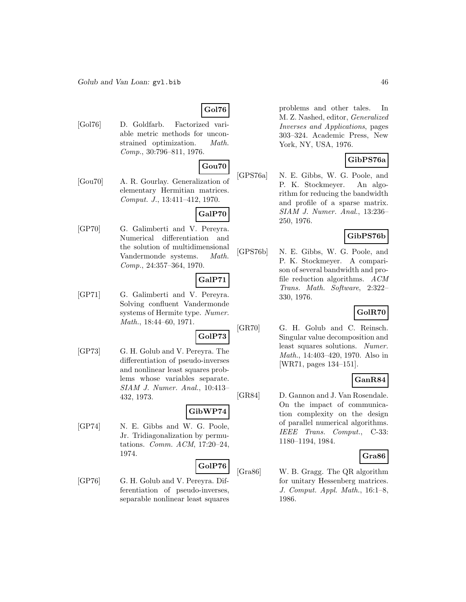# **Gol76**

[Gol76] D. Goldfarb. Factorized variable metric methods for unconstrained optimization. Math. Comp., 30:796–811, 1976.

# **Gou70**

[Gou70] A. R. Gourlay. Generalization of elementary Hermitian matrices. Comput. J., 13:411–412, 1970.

## **GalP70**

[GP70] G. Galimberti and V. Pereyra. Numerical differentiation and the solution of multidimensional Vandermonde systems. Math. Comp., 24:357–364, 1970.

# **GalP71**

[GP71] G. Galimberti and V. Pereyra. Solving confluent Vandermonde systems of Hermite type. Numer. Math., 18:44–60, 1971.

## **GolP73**

[GP73] G. H. Golub and V. Pereyra. The differentiation of pseudo-inverses and nonlinear least squares problems whose variables separate. SIAM J. Numer. Anal., 10:413– 432, 1973.

## **GibWP74**

[GP74] N. E. Gibbs and W. G. Poole, Jr. Tridiagonalization by permutations. Comm. ACM, 17:20–24, 1974.

## **GolP76**

[GP76] G. H. Golub and V. Pereyra. Differentiation of pseudo-inverses, separable nonlinear least squares problems and other tales. In M. Z. Nashed, editor, Generalized Inverses and Applications, pages 303–324. Academic Press, New York, NY, USA, 1976.

## **GibPS76a**

[GPS76a] N. E. Gibbs, W. G. Poole, and P. K. Stockmeyer. An algorithm for reducing the bandwidth and profile of a sparse matrix. SIAM J. Numer. Anal., 13:236– 250, 1976.

## **GibPS76b**

[GPS76b] N. E. Gibbs, W. G. Poole, and P. K. Stockmeyer. A comparison of several bandwidth and profile reduction algorithms. ACM Trans. Math. Software, 2:322– 330, 1976.

## **GolR70**

[GR70] G. H. Golub and C. Reinsch. Singular value decomposition and least squares solutions. Numer. Math., 14:403–420, 1970. Also in [WR71, pages 134–151].

## **GanR84**

[GR84] D. Gannon and J. Van Rosendale. On the impact of communication complexity on the design of parallel numerical algorithms. IEEE Trans. Comput., C-33: 1180–1194, 1984.

#### **Gra86**

[Gra86] W. B. Gragg. The QR algorithm for unitary Hessenberg matrices. J. Comput. Appl. Math., 16:1–8, 1986.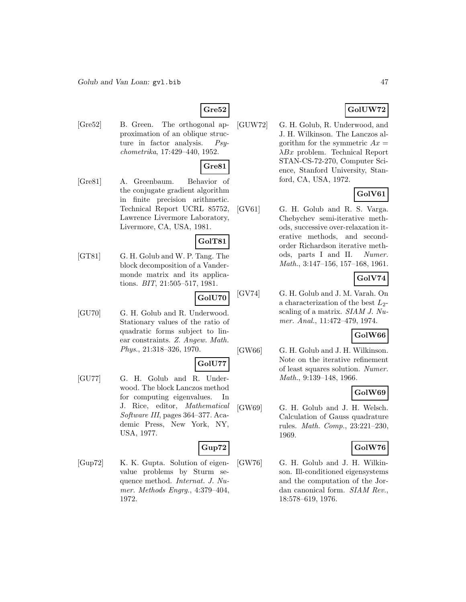# **Gre52**

[Gre52] B. Green. The orthogonal approximation of an oblique structure in factor analysis. Psychometrika, 17:429–440, 1952.

# **Gre81**

[Gre81] A. Greenbaum. Behavior of the conjugate gradient algorithm in finite precision arithmetic. Technical Report UCRL 85752, Lawrence Livermore Laboratory, Livermore, CA, USA, 1981.

## **GolT81**

[GT81] G. H. Golub and W. P. Tang. The block decomposition of a Vandermonde matrix and its applications. BIT, 21:505–517, 1981.

# **GolU70**

[GU70] G. H. Golub and R. Underwood. Stationary values of the ratio of quadratic forms subject to linear constraints. Z. Angew. Math. Phys., 21:318–326, 1970.

#### **GolU77**

[GU77] G. H. Golub and R. Underwood. The block Lanczos method for computing eigenvalues. In J. Rice, editor, Mathematical Software III, pages 364–377. Academic Press, New York, NY, USA, 1977.

## **Gup72**

[Gup72] K. K. Gupta. Solution of eigenvalue problems by Sturm sequence method. Internat. J. Numer. Methods Engrg., 4:379–404, 1972.

# **GolUW72**

[GUW72] G. H. Golub, R. Underwood, and J. H. Wilkinson. The Lanczos algorithm for the symmetric  $Ax =$  $\lambda Bx$  problem. Technical Report STAN-CS-72-270, Computer Science, Stanford University, Stanford, CA, USA, 1972.

# **GolV61**

[GV61] G. H. Golub and R. S. Varga. Chebychev semi-iterative methods, successive over-relaxation iterative methods, and secondorder Richardson iterative methods, parts I and II. Numer. Math., 3:147–156, 157–168, 1961.

# **GolV74**

[GV74] G. H. Golub and J. M. Varah. On a characterization of the best  $L_2$ scaling of a matrix. SIAM J. Numer. Anal., 11:472–479, 1974.

## **GolW66**

[GW66] G. H. Golub and J. H. Wilkinson. Note on the iterative refinement of least squares solution. Numer. Math., 9:139–148, 1966.

#### **GolW69**

[GW69] G. H. Golub and J. H. Welsch. Calculation of Gauss quadrature rules. Math. Comp., 23:221–230, 1969.

## **GolW76**

[GW76] G. H. Golub and J. H. Wilkinson. Ill-conditioned eigensystems and the computation of the Jordan canonical form. SIAM Rev., 18:578–619, 1976.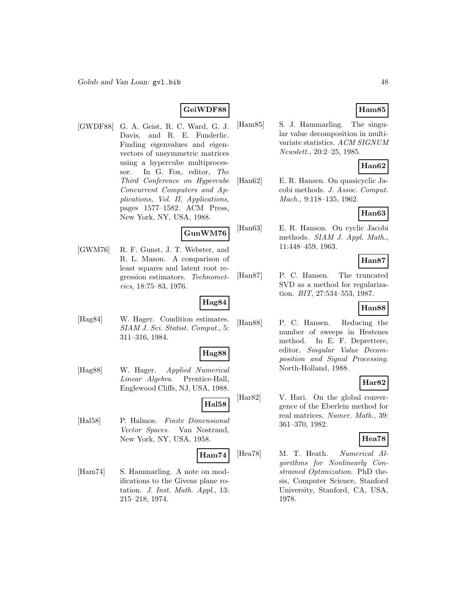# **GeiWDF88**

[GWDF88] G. A. Geist, R. C. Ward, G. J. Davis, and R. E. Funderlic. Finding eigenvalues and eigenvectors of unsymmetric matrices using a hypercube multiprocessor. In G. Fox, editor, The Third Conference on Hypercube Concurrent Computers and Applications, Vol. II, Applications, pages 1577–1582. ACM Press, New York, NY, USA, 1988.

#### **GunWM76**

[GWM76] R. F. Gunst, J. T. Webster, and R. L. Mason. A comparison of least squares and latent root regression estimators. Technometrics, 18:75–83, 1976.

#### **Hag84**

[Hag84] W. Hager. Condition estimates. SIAM J. Sci. Statist. Comput., 5: 311–316, 1984.

#### **Hag88**

[Hag88] W. Hager. Applied Numerical Linear Algebra. Prentice-Hall, Englewood Cliffs, NJ, USA, 1988.

**Hal58**

[Hal58] P. Halmos. Finite Dimensional Vector Spaces. Van Nostrand, New York, NY, USA, 1958.

#### **Ham74**

[Ham74] S. Hammarling. A note on modifications to the Givens plane rotation. J. Inst. Math. Appl., 13: 215–218, 1974.

[Ham85] S. J. Hammarling. The singular value decomposition in multivariate statistics. ACM SIGNUM Newslett., 20:2–25, 1985.

#### **Han62**

[Han62] E. R. Hansen. On quasicyclic Jacobi methods. J. Assoc. Comput. Mach., 9:118–135, 1962.

#### **Han63**

[Han63] E. R. Hanson. On cyclic Jacobi methods. SIAM J. Appl. Math., 11:448–459, 1963.

#### **Han87**

[Han87] P. C. Hansen. The truncated SVD as a method for regularization. BIT, 27:534–553, 1987.

#### **Han88**

[Han88] P. C. Hansen. Reducing the number of sweeps in Hestenes method. In E. F. Deprettere, editor, Singular Value Decomposition and Signal Processing. North-Holland, 1988.

## **Har82**

[Har82] V. Hari. On the global convergence of the Eberlein method for real matrices. Numer. Math., 39: 361–370, 1982.

#### **Hea78**

[Hea78] M. T. Heath. Numerical Algorithms for Nonlinearly Constrained Optimization. PhD thesis, Computer Science, Stanford University, Stanford, CA, USA, 1978.

# **Ham85**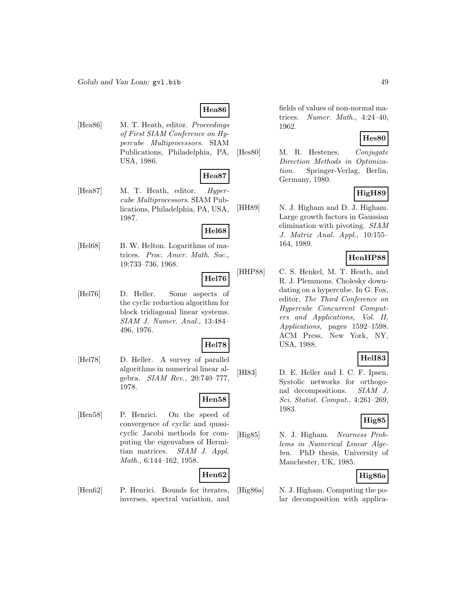## **Hea86**

[Hea86] M. T. Heath, editor. *Proceedings* of First SIAM Conference on Hypercube Multiprocessors. SIAM Publications, Philadelphia, PA, USA, 1986.

# **Hea87**

[Hea87] M. T. Heath, editor. Hypercube Multiprocessors. SIAM Publications, Philadelphia, PA, USA, 1987.

#### **Hel68**

[Hel68] B. W. Helton. Logarithms of matrices. Proc. Amer. Math. Soc., 19:733–736, 1968.

#### **Hel76**

[Hel76] D. Heller. Some aspects of the cyclic reduction algorithm for block tridiagonal linear systems. SIAM J. Numer. Anal., 13:484– 496, 1976.

## **Hel78**

[Hel78] D. Heller. A survey of parallel algorithms in numerical linear algebra. SIAM Rev., 20:740–777, 1978.

#### **Hen58**

[Hen58] P. Henrici. On the speed of convergence of cyclic and quasicyclic Jacobi methods for computing the eigenvalues of Hermitian matrices. SIAM J. Appl. Math., 6:144–162, 1958.

## **Hen62**

[Hen62] P. Henrici. Bounds for iterates, inverses, spectral variation, and fields of values of non-normal matrices. Numer. Math., 4:24–40, 1962.

#### **Hes80**

[Hes80] M. R. Hestenes. Conjugate Direction Methods in Optimization. Springer-Verlag, Berlin, Germany, 1980.

## **HigH89**

[HH89] N. J. Higham and D. J. Higham. Large growth factors in Gaussian elimination with pivoting. SIAM J. Matrix Anal. Appl., 10:155– 164, 1989.

#### **HenHP88**

[HHP88] C. S. Henkel, M. T. Heath, and R. J. Plemmons. Cholesky downdating on a hypercube. In G. Fox, editor, The Third Conference on Hypercube Concurrent Computers and Applications, Vol. II, Applications, pages 1592–1598. ACM Press, New York, NY, USA, 1988.

## **HelI83**

[HI83] D. E. Heller and I. C. F. Ipsen. Systolic networks for orthogonal decompositions. SIAM J. Sci. Statist. Comput., 4:261–269, 1983.

## **Hig85**

[Hig85] N. J. Higham. Nearness Problems in Numerical Linear Algebra. PhD thesis, University of Manchester, UK, 1985.

## **Hig86a**

[Hig86a] N. J. Higham. Computing the polar decomposition with applica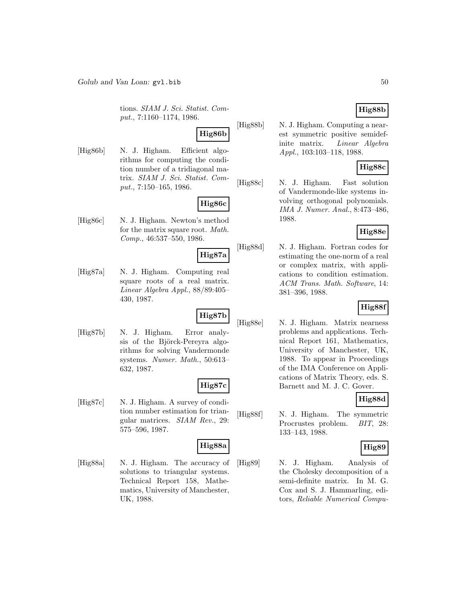tions. SIAM J. Sci. Statist. Comput., 7:1160–1174, 1986.

# **Hig86b**

[Hig86b] N. J. Higham. Efficient algorithms for computing the condition number of a tridiagonal matrix. SIAM J. Sci. Statist. Comput., 7:150–165, 1986.

#### **Hig86c**

[Hig86c] N. J. Higham. Newton's method for the matrix square root. Math. Comp., 46:537–550, 1986.

## **Hig87a**

[Hig87a] N. J. Higham. Computing real square roots of a real matrix. Linear Algebra Appl., 88/89:405– 430, 1987.

## **Hig87b**

[Hig87b] N. J. Higham. Error analysis of the Björck-Pereyra algorithms for solving Vandermonde systems. Numer. Math., 50:613– 632, 1987.

## **Hig87c**

[Hig87c] N. J. Higham. A survey of condition number estimation for triangular matrices. SIAM Rev., 29: 575–596, 1987.

#### **Hig88a**

[Hig88a] N. J. Higham. The accuracy of solutions to triangular systems. Technical Report 158, Mathematics, University of Manchester, UK, 1988.

# **Hig88b**

[Hig88b] N. J. Higham. Computing a nearest symmetric positive semidefinite matrix. Linear Algebra Appl., 103:103–118, 1988.

## **Hig88c**

[Hig88c] N. J. Higham. Fast solution of Vandermonde-like systems involving orthogonal polynomials. IMA J. Numer. Anal., 8:473–486, 1988.

## **Hig88e**

[Hig88d] N. J. Higham. Fortran codes for estimating the one-norm of a real or complex matrix, with applications to condition estimation. ACM Trans. Math. Software, 14: 381–396, 1988.

## **Hig88f**

[Hig88e] N. J. Higham. Matrix nearness problems and applications. Technical Report 161, Mathematics, University of Manchester, UK, 1988. To appear in Proceedings of the IMA Conference on Applications of Matrix Theory, eds. S. Barnett and M. J. C. Gover.



[Hig88f] N. J. Higham. The symmetric Procrustes problem. BIT, 28: 133–143, 1988.

# **Hig89**

[Hig89] N. J. Higham. Analysis of the Cholesky decomposition of a semi-definite matrix. In M. G. Cox and S. J. Hammarling, editors, Reliable Numerical Compu-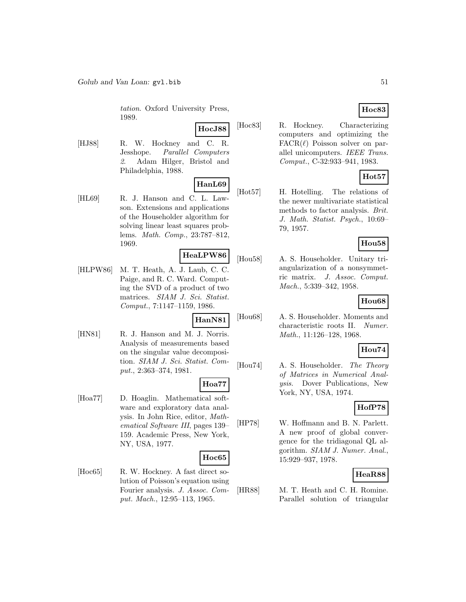tation. Oxford University Press, 1989.

# **HocJ88**

[HJ88] R. W. Hockney and C. R. Jesshope. Parallel Computers 2. Adam Hilger, Bristol and Philadelphia, 1988.

# **HanL69**

[HL69] R. J. Hanson and C. L. Lawson. Extensions and applications of the Householder algorithm for solving linear least squares problems. Math. Comp., 23:787–812, 1969.

#### **HeaLPW86**

[HLPW86] M. T. Heath, A. J. Laub, C. C. Paige, and R. C. Ward. Computing the SVD of a product of two matrices. SIAM J. Sci. Statist. Comput., 7:1147–1159, 1986.

#### **HanN81**

[HN81] R. J. Hanson and M. J. Norris. Analysis of measurements based on the singular value decomposition. SIAM J. Sci. Statist. Comput., 2:363–374, 1981.

# **Hoa77**

[Hoa77] D. Hoaglin. Mathematical software and exploratory data analysis. In John Rice, editor, Mathematical Software III, pages 139– 159. Academic Press, New York, NY, USA, 1977.

#### **Hoc65**

[Hoc65] R. W. Hockney. A fast direct solution of Poisson's equation using Fourier analysis. J. Assoc. Comput. Mach., 12:95–113, 1965.

# **Hoc83**

[Hoc83] R. Hockney. Characterizing computers and optimizing the  $FACR(\ell)$  Poisson solver on parallel unicomputers. IEEE Trans. Comput., C-32:933–941, 1983.

# **Hot57**

[Hot57] H. Hotelling. The relations of the newer multivariate statistical methods to factor analysis. Brit. J. Math. Statist. Psych., 10:69– 79, 1957.

## **Hou58**

[Hou58] A. S. Householder. Unitary triangularization of a nonsymmetric matrix. J. Assoc. Comput. Mach., 5:339–342, 1958.

#### **Hou68**

[Hou68] A. S. Householder. Moments and characteristic roots II. Numer. Math., 11:126–128, 1968.

#### **Hou74**

[Hou74] A. S. Householder. The Theory of Matrices in Numerical Analysis. Dover Publications, New York, NY, USA, 1974.

#### **HofP78**

[HP78] W. Hoffmann and B. N. Parlett. A new proof of global convergence for the tridiagonal QL algorithm. SIAM J. Numer. Anal., 15:929–937, 1978.

## **HeaR88**

[HR88] M. T. Heath and C. H. Romine. Parallel solution of triangular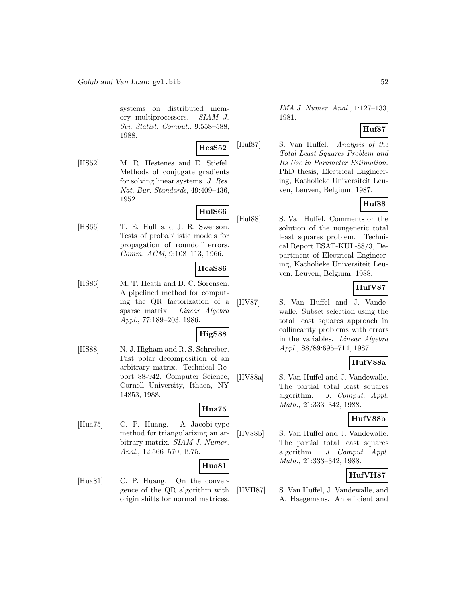systems on distributed memory multiprocessors. SIAM J. Sci. Statist. Comput., 9:558–588, 1988.

## **HesS52**

[HS52] M. R. Hestenes and E. Stiefel. Methods of conjugate gradients for solving linear systems. J. Res. Nat. Bur. Standards, 49:409–436, 1952.

# **HulS66**

[HS66] T. E. Hull and J. R. Swenson. Tests of probabilistic models for propagation of roundoff errors. Comm. ACM, 9:108–113, 1966.

## **HeaS86**

[HS86] M. T. Heath and D. C. Sorensen. A pipelined method for computing the QR factorization of a sparse matrix. Linear Algebra Appl., 77:189–203, 1986.

## **HigS88**

[HS88] N. J. Higham and R. S. Schreiber. Fast polar decomposition of an arbitrary matrix. Technical Report 88-942, Computer Science, Cornell University, Ithaca, NY 14853, 1988.

#### **Hua75**

[Hua75] C. P. Huang. A Jacobi-type method for triangularizing an arbitrary matrix. SIAM J. Numer. Anal., 12:566–570, 1975.

#### **Hua81**

[Hua81] C. P. Huang. On the convergence of the QR algorithm with origin shifts for normal matrices.

IMA J. Numer. Anal., 1:127–133, 1981.

# **Huf87**

[Huf87] S. Van Huffel. Analysis of the Total Least Squares Problem and Its Use in Parameter Estimation. PhD thesis, Electrical Engineering, Katholieke Universiteit Leuven, Leuven, Belgium, 1987.

## **Huf88**

[Huf88] S. Van Huffel. Comments on the solution of the nongeneric total least squares problem. Technical Report ESAT-KUL-88/3, Department of Electrical Engineering, Katholieke Universiteit Leuven, Leuven, Belgium, 1988.

# **HufV87**

[HV87] S. Van Huffel and J. Vandewalle. Subset selection using the total least squares approach in collinearity problems with errors in the variables. Linear Algebra Appl., 88/89:695–714, 1987.

## **HufV88a**

[HV88a] S. Van Huffel and J. Vandewalle. The partial total least squares algorithm. J. Comput. Appl. Math., 21:333–342, 1988.

#### **HufV88b**

[HV88b] S. Van Huffel and J. Vandewalle. The partial total least squares algorithm. J. Comput. Appl. Math., 21:333–342, 1988.

# **HufVH87**

[HVH87] S. Van Huffel, J. Vandewalle, and A. Haegemans. An efficient and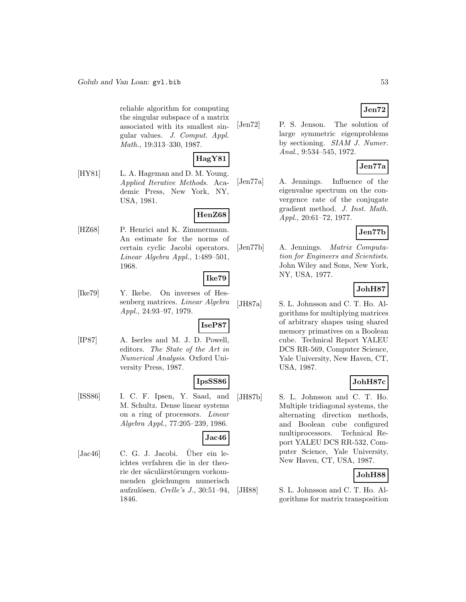reliable algorithm for computing the singular subspace of a matrix associated with its smallest singular values. J. Comput. Appl. Math., 19:313–330, 1987.

## **HagY81**

[HY81] L. A. Hageman and D. M. Young. Applied Iterative Methods. Academic Press, New York, NY, USA, 1981.

## **HenZ68**

[HZ68] P. Henrici and K. Zimmermann. An estimate for the norms of certain cyclic Jacobi operators. Linear Algebra Appl., 1:489–501, 1968.

# **Ike79**

[Ike79] Y. Ikebe. On inverses of Hessenberg matrices. Linear Algebra Appl., 24:93–97, 1979.

## **IseP87**

[IP87] A. Iserles and M. J. D. Powell, editors. The State of the Art in Numerical Analysis. Oxford University Press, 1987.

## **IpsSS86**

[ISS86] I. C. F. Ipsen, Y. Saad, and M. Schultz. Dense linear systems on a ring of processors. Linear Algebra Appl., 77:205–239, 1986.

#### **Jac46**

 $[Jac46]$  C. G. J. Jacobi. Uber ein leichtes verfahren die in der theorie der säculärstörungen vorkommenden gleichungen numerisch aufzulösen. Crelle's J.,  $30:51-94$ , 1846.

[Jen72] P. S. Jenson. The solution of large symmetric eigenproblems by sectioning. SIAM J. Numer. Anal., 9:534–545, 1972.

# **Jen77a**

**Jen72**

[Jen77a] A. Jennings. Influence of the eigenvalue spectrum on the convergence rate of the conjugate gradient method. J. Inst. Math. Appl., 20:61–72, 1977.

#### **Jen77b**

[Jen77b] A. Jennings. Matrix Computation for Engineers and Scientists. John Wiley and Sons, New York, NY, USA, 1977.

## **JohH87**

[JH87a] S. L. Johnsson and C. T. Ho. Algorithms for multiplying matrices of arbitrary shapes using shared memory primatives on a Boolean cube. Technical Report YALEU DCS RR-569, Computer Science, Yale University, New Haven, CT, USA, 1987.

## **JohH87c**

[JH87b] S. L. Johnsson and C. T. Ho. Multiple tridiagonal systems, the alternating direction methods, and Boolean cube configured multiprocessors. Technical Report YALEU DCS RR-532, Computer Science, Yale University, New Haven, CT, USA, 1987.



[JH88] S. L. Johnsson and C. T. Ho. Algorithms for matrix transposition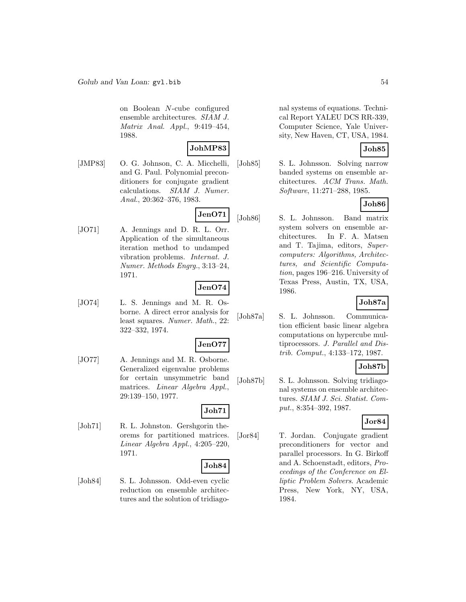on Boolean N-cube configured ensemble architectures. SIAM J. Matrix Anal. Appl., 9:419–454, 1988.

#### **JohMP83**

[JMP83] O. G. Johnson, C. A. Micchelli, and G. Paul. Polynomial preconditioners for conjugate gradient calculations. SIAM J. Numer. Anal., 20:362–376, 1983.

# **JenO71**

[JO71] A. Jennings and D. R. L. Orr. Application of the simultaneous iteration method to undamped vibration problems. Internat. J. Numer. Methods Engrg., 3:13–24, 1971.

## **JenO74**

[JO74] L. S. Jennings and M. R. Osborne. A direct error analysis for least squares. Numer. Math., 22: 322–332, 1974.

## **JenO77**

[JO77] A. Jennings and M. R. Osborne. Generalized eigenvalue problems for certain unsymmetric band matrices. Linear Algebra Appl., 29:139–150, 1977.

## **Joh71**

[Joh71] R. L. Johnston. Gershgorin theorems for partitioned matrices. Linear Algebra Appl., 4:205–220, 1971.

#### **Joh84**

[Joh84] S. L. Johnsson. Odd-even cyclic reduction on ensemble architectures and the solution of tridiago-

nal systems of equations. Technical Report YALEU DCS RR-339, Computer Science, Yale University, New Haven, CT, USA, 1984.

#### **Joh85**

[Joh85] S. L. Johnsson. Solving narrow banded systems on ensemble architectures. ACM Trans. Math. Software, 11:271–288, 1985.

# **Joh86**

[Joh86] S. L. Johnsson. Band matrix system solvers on ensemble architectures. In F. A. Matsen and T. Tajima, editors, Supercomputers: Algorithms, Architectures, and Scientific Computation, pages 196–216. University of Texas Press, Austin, TX, USA, 1986.

## **Joh87a**

[Joh87a] S. L. Johnsson. Communication efficient basic linear algebra computations on hypercube multiprocessors. J. Parallel and Distrib. Comput., 4:133–172, 1987.

## **Joh87b**

[Joh87b] S. L. Johnsson. Solving tridiagonal systems on ensemble architectures. SIAM J. Sci. Statist. Comput., 8:354–392, 1987.

## **Jor84**

[Jor84] T. Jordan. Conjugate gradient preconditioners for vector and parallel processors. In G. Birkoff and A. Schoenstadt, editors, Proceedings of the Conference on Elliptic Problem Solvers. Academic Press, New York, NY, USA, 1984.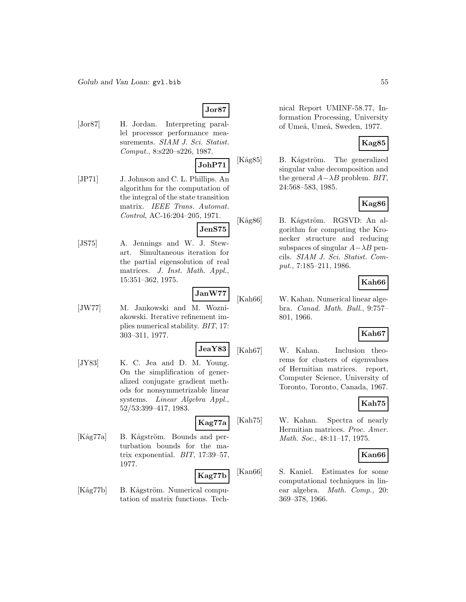# **Jor87**

[Jor87] H. Jordan. Interpreting parallel processor performance measurements. SIAM J. Sci. Statist. Comput., 8:s220–s226, 1987.

## **JohP71**

[JP71] J. Johnson and C. L. Phillips. An algorithm for the computation of the integral of the state transition matrix. IEEE Trans. Automat. Control, AC-16:204–205, 1971.

#### **JenS75**

[JS75] A. Jennings and W. J. Stewart. Simultaneous iteration for the partial eigensolution of real matrices. J. Inst. Math. Appl., 15:351–362, 1975.

# **JanW77**

[JW77] M. Jankowski and M. Wozniakowski. Iterative refinement implies numerical stability. BIT, 17: 303–311, 1977.

#### **JeaY83**

[JY83] K. C. Jea and D. M. Young. On the simplification of generalized conjugate gradient methods for nonsymmetrizable linear systems. Linear Algebra Appl., 52/53:399–417, 1983.

# **Kag77a**

[Kåg77a] B. Kågström. Bounds and perturbation bounds for the matrix exponential. BIT, 17:39–57, 1977.

#### **Kag77b**

[Kåg77b] B. Kågström. Numerical computation of matrix functions. Technical Report UMINF-58.77, Information Processing, University of Umeå, Umeå, Sweden, 1977.

## **Kag85**

[Kåg85] B. Kågström. The generalized singular value decomposition and the general  $A-\lambda B$  problem. BIT, 24:568–583, 1985.

#### **Kag86**

[Kåg86] B. Kågström. RGSVD: An algorithm for computing the Kronecker structure and reducing subspaces of singular  $A-\lambda B$  pencils. SIAM J. Sci. Statist. Comput., 7:185–211, 1986.

#### **Kah66**

[Kah66] W. Kahan. Numerical linear algebra. Canad. Math. Bull., 9:757– 801, 1966.

## **Kah67**

[Kah67] W. Kahan. Inclusion theorems for clusters of eigenvalues of Hermitian matrices. report, Computer Science, University of Toronto, Toronto, Canada, 1967.

#### **Kah75**

[Kah75] W. Kahan. Spectra of nearly Hermitian matrices. Proc. Amer. Math. Soc., 48:11–17, 1975.

#### **Kan66**

[Kan66] S. Kaniel. Estimates for some computational techniques in linear algebra. Math. Comp., 20: 369–378, 1966.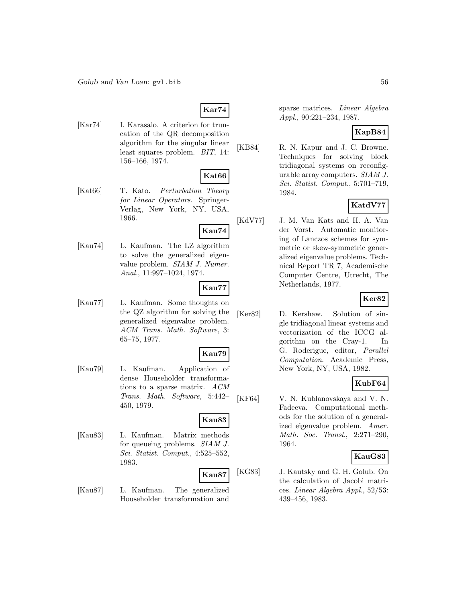# **Kar74**

[Kar74] I. Karasalo. A criterion for truncation of the QR decomposition algorithm for the singular linear least squares problem. BIT, 14: 156–166, 1974.

# **Kat66**

[Kat66] T. Kato. Perturbation Theory for Linear Operators. Springer-Verlag, New York, NY, USA, 1966.

#### **Kau74**

[Kau74] L. Kaufman. The LZ algorithm to solve the generalized eigenvalue problem. SIAM J. Numer. Anal., 11:997–1024, 1974.

## **Kau77**

[Kau77] L. Kaufman. Some thoughts on the QZ algorithm for solving the generalized eigenvalue problem. ACM Trans. Math. Software, 3: 65–75, 1977.

#### **Kau79**

[Kau79] L. Kaufman. Application of dense Householder transformations to a sparse matrix. ACM Trans. Math. Software, 5:442– 450, 1979.

## **Kau83**

[Kau83] L. Kaufman. Matrix methods for queueing problems. SIAM J. Sci. Statist. Comput., 4:525–552, 1983.

#### **Kau87**

[Kau87] L. Kaufman. The generalized Householder transformation and

sparse matrices. Linear Algebra Appl., 90:221–234, 1987.

# **KapB84**

[KB84] R. N. Kapur and J. C. Browne. Techniques for solving block tridiagonal systems on reconfigurable array computers. SIAM J. Sci. Statist. Comput., 5:701–719, 1984.

## **KatdV77**

[KdV77] J. M. Van Kats and H. A. Van der Vorst. Automatic monitoring of Lanczos schemes for symmetric or skew-symmetric generalized eigenvalue problems. Technical Report TR 7, Academische Computer Centre, Utrecht, The Netherlands, 1977.

# **Ker82**

[Ker82] D. Kershaw. Solution of single tridiagonal linear systems and vectorization of the ICCG algorithm on the Cray-1. In G. Roderigue, editor, Parallel Computation. Academic Press, New York, NY, USA, 1982.

## **KubF64**

[KF64] V. N. Kublanovskaya and V. N. Fadeeva. Computational methods for the solution of a generalized eigenvalue problem. Amer. Math. Soc. Transl., 2:271–290, 1964.

#### **KauG83**

[KG83] J. Kautsky and G. H. Golub. On the calculation of Jacobi matrices. Linear Algebra Appl., 52/53: 439–456, 1983.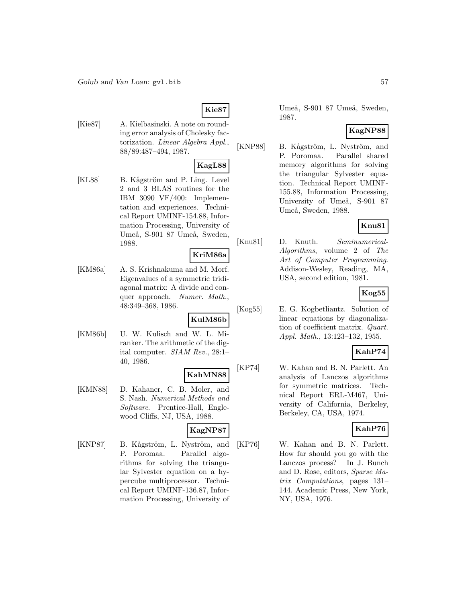# **Kie87**

[Kie87] A. Kielbasinski. A note on rounding error analysis of Cholesky factorization. Linear Algebra Appl., 88/89:487–494, 1987.

## **KagL88**

[KL88] B. Kågström and P. Ling. Level 2 and 3 BLAS routines for the IBM 3090 VF/400: Implementation and experiences. Technical Report UMINF-154.88, Information Processing, University of Umeå, S-901 87 Umeå, Sweden, 1988.

#### **KriM86a**

[KM86a] A. S. Krishnakuma and M. Morf. Eigenvalues of a symmetric tridiagonal matrix: A divide and conquer approach. Numer. Math., 48:349–368, 1986.

#### **KulM86b**

[KM86b] U. W. Kulisch and W. L. Miranker. The arithmetic of the digital computer. SIAM Rev., 28:1– 40, 1986.

## **KahMN88**

[KMN88] D. Kahaner, C. B. Moler, and S. Nash. Numerical Methods and Software. Prentice-Hall, Englewood Cliffs, NJ, USA, 1988.

## **KagNP87**

[KNP87] B. Kågström, L. Nyström, and P. Poromaa. Parallel algorithms for solving the triangular Sylvester equation on a hypercube multiprocessor. Technical Report UMINF-136.87, Information Processing, University of Umeå, S-901 87 Umeå, Sweden. 1987.

#### **KagNP88**

[KNP88] B. Kågström, L. Nyström, and P. Poromaa. Parallel shared memory algorithms for solving the triangular Sylvester equation. Technical Report UMINF-155.88, Information Processing, University of Umeå, S-901 87 Umeå, Sweden, 1988.

#### **Knu81**

[Knu81] D. Knuth. Seminumerical-Algorithms, volume 2 of The Art of Computer Programming. Addison-Wesley, Reading, MA, USA, second edition, 1981.

## **Kog55**

[Kog55] E. G. Kogbetliantz. Solution of linear equations by diagonalization of coefficient matrix. Quart. Appl. Math., 13:123–132, 1955.

#### **KahP74**

[KP74] W. Kahan and B. N. Parlett. An analysis of Lanczos algorithms for symmetric matrices. Technical Report ERL-M467, University of California, Berkeley, Berkeley, CA, USA, 1974.

#### **KahP76**

[KP76] W. Kahan and B. N. Parlett. How far should you go with the Lanczos process? In J. Bunch and D. Rose, editors, Sparse Matrix Computations, pages 131– 144. Academic Press, New York, NY, USA, 1976.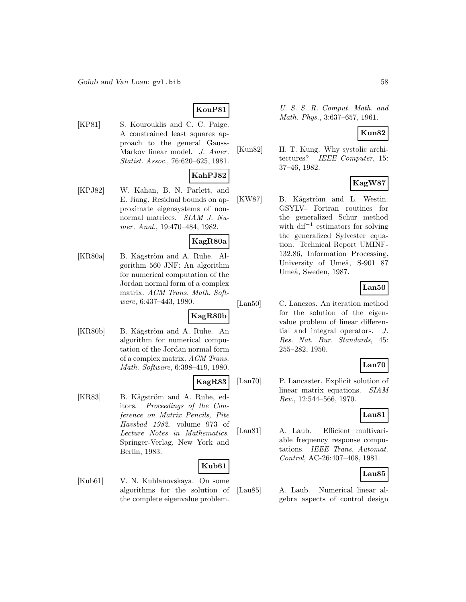## **KouP81**

[KP81] S. Kourouklis and C. C. Paige. A constrained least squares approach to the general Gauss-Markov linear model. J. Amer. Statist. Assoc., 76:620–625, 1981.

# **KahPJ82**

[KPJ82] W. Kahan, B. N. Parlett, and E. Jiang. Residual bounds on approximate eigensystems of nonnormal matrices. SIAM J. Numer. Anal., 19:470–484, 1982.

## **KagR80a**

[KR80a] B. Kågström and A. Ruhe. Algorithm 560 JNF: An algorithm for numerical computation of the Jordan normal form of a complex matrix. ACM Trans. Math. Software, 6:437–443, 1980.

#### **KagR80b**

[KR80b] B. Kågström and A. Ruhe. An algorithm for numerical computation of the Jordan normal form of a complex matrix. ACM Trans. Math. Software, 6:398–419, 1980.

#### **KagR83**

[KR83] B. Kågström and A. Ruhe, editors. Proceedings of the Conference on Matrix Pencils, Pite Havsbad 1982, volume 973 of Lecture Notes in Mathematics. Springer-Verlag, New York and Berlin, 1983.

#### **Kub61**

[Kub61] V. N. Kublanovskaya. On some algorithms for the solution of the complete eigenvalue problem.

U. S. S. R. Comput. Math. and Math. Phys., 3:637–657, 1961.

#### **Kun82**

[Kun82] H. T. Kung. Why systolic architectures? IEEE Computer, 15: 37–46, 1982.



[KW87] B. Kågström and L. Westin. GSYLV- Fortran routines for the generalized Schur method with dif−<sup>1</sup> estimators for solving the generalized Sylvester equation. Technical Report UMINF-132.86, Information Processing, University of Umeå, S-901 87 Umeå, Sweden, 1987.

## **Lan50**

[Lan50] C. Lanczos. An iteration method for the solution of the eigenvalue problem of linear differential and integral operators. J. Res. Nat. Bur. Standards, 45: 255–282, 1950.

## **Lan70**

[Lan70] P. Lancaster. Explicit solution of linear matrix equations. SIAM Rev., 12:544–566, 1970.

#### **Lau81**

[Lau81] A. Laub. Efficient multivariable frequency response computations. IEEE Trans. Automat. Control, AC-26:407–408, 1981.



[Lau85] A. Laub. Numerical linear algebra aspects of control design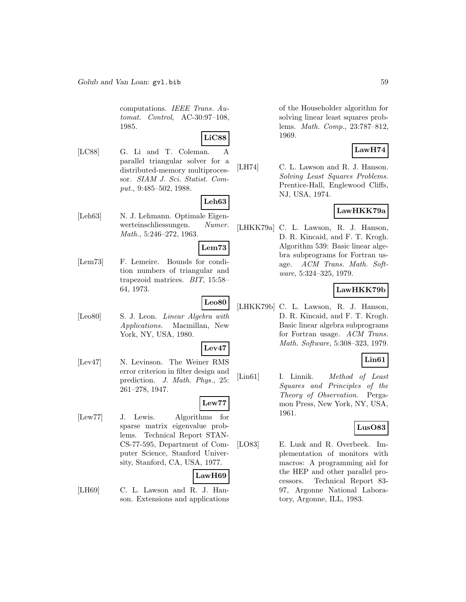computations. IEEE Trans. Automat. Control, AC-30:97–108, 1985.

# **LiC88**

[LC88] G. Li and T. Coleman. A parallel triangular solver for a distributed-memory multiprocessor. SIAM J. Sci. Statist. Comput., 9:485–502, 1988.

## **Leh63**

[Leh63] N. J. Lehmann. Optimale Eigenwerteinschliessungen. Numer. Math., 5:246–272, 1963.

## **Lem73**

[Lem73] F. Lemeire. Bounds for condition numbers of triangular and trapezoid matrices. BIT, 15:58– 64, 1973.

#### **Leo80**

[Leo80] S. J. Leon. Linear Algebra with Applications. Macmillan, New York, NY, USA, 1980.

#### **Lev47**

[Lev47] N. Levinson. The Weiner RMS error criterion in filter design and prediction. J. Math. Phys., 25: 261–278, 1947.

#### **Lew77**

[Lew77] J. Lewis. Algorithms for sparse matrix eigenvalue problems. Technical Report STAN-CS-77-595, Department of Computer Science, Stanford University, Stanford, CA, USA, 1977.

#### **LawH69**

[LH69] C. L. Lawson and R. J. Hanson. Extensions and applications of the Householder algorithm for solving linear least squares problems. Math. Comp., 23:787–812, 1969.

## **LawH74**

[LH74] C. L. Lawson and R. J. Hanson. Solving Least Squares Problems. Prentice-Hall, Englewood Cliffs, NJ, USA, 1974.

## **LawHKK79a**

[LHKK79a] C. L. Lawson, R. J. Hanson, D. R. Kincaid, and F. T. Krogh. Algorithm 539: Basic linear algebra subprograms for Fortran usage. ACM Trans. Math. Software, 5:324–325, 1979.

#### **LawHKK79b**

[LHKK79b] C. L. Lawson, R. J. Hanson, D. R. Kincaid, and F. T. Krogh. Basic linear algebra subprograms for Fortran usage. ACM Trans. Math. Software, 5:308–323, 1979.

## **Lin61**

[Lin61] I. Linnik. *Method of Least* Squares and Principles of the Theory of Observation. Pergamon Press, New York, NY, USA, 1961.

#### **LusO83**

[LO83] E. Lusk and R. Overbeek. Implementation of monitors with macros: A programming aid for the HEP and other parallel processors. Technical Report 83- 97, Argonne National Laboratory, Argonne, ILL, 1983.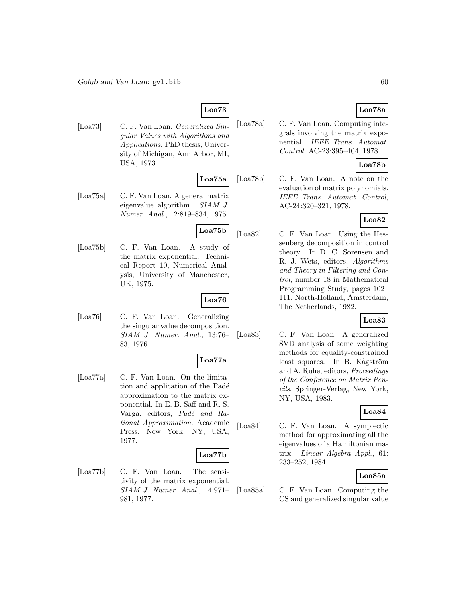## **Loa73**

[Loa73] C. F. Van Loan. Generalized Singular Values with Algorithms and Applications. PhD thesis, University of Michigan, Ann Arbor, MI, USA, 1973.

## **Loa75a**

[Loa75a] C. F. Van Loan. A general matrix eigenvalue algorithm. SIAM J. Numer. Anal., 12:819–834, 1975.

## **Loa75b**

[Loa75b] C. F. Van Loan. A study of the matrix exponential. Technical Report 10, Numerical Analysis, University of Manchester, UK, 1975.

#### **Loa76**

[Loa76] C. F. Van Loan. Generalizing the singular value decomposition. SIAM J. Numer. Anal., 13:76– 83, 1976.

#### **Loa77a**

[Loa77a] C. F. Van Loan. On the limitation and application of the Padé approximation to the matrix exponential. In E. B. Saff and R. S. Varga, editors, Padé and Rational Approximation. Academic Press, New York, NY, USA, 1977.

#### **Loa77b**

[Loa77b] C. F. Van Loan. The sensitivity of the matrix exponential. SIAM J. Numer. Anal., 14:971– 981, 1977.

[Loa78a] C. F. Van Loan. Computing integrals involving the matrix exponential. IEEE Trans. Automat. Control, AC-23:395–404, 1978.

# **Loa78b**

[Loa78b] C. F. Van Loan. A note on the evaluation of matrix polynomials. IEEE Trans. Automat. Control, AC-24:320–321, 1978.

# **Loa82**

[Loa82] C. F. Van Loan. Using the Hessenberg decomposition in control theory. In D. C. Sorensen and R. J. Wets, editors, Algorithms and Theory in Filtering and Control, number 18 in Mathematical Programming Study, pages 102– 111. North-Holland, Amsterdam, The Netherlands, 1982.

## **Loa83**

[Loa83] C. F. Van Loan. A generalized SVD analysis of some weighting methods for equality-constrained least squares. In B. Kågström and A. Ruhe, editors, Proceedings of the Conference on Matrix Pencils. Springer-Verlag, New York, NY, USA, 1983.

## **Loa84**

[Loa84] C. F. Van Loan. A symplectic method for approximating all the eigenvalues of a Hamiltonian matrix. Linear Algebra Appl., 61: 233–252, 1984.

# **Loa85a**

[Loa85a] C. F. Van Loan. Computing the CS and generalized singular value

**Loa78a**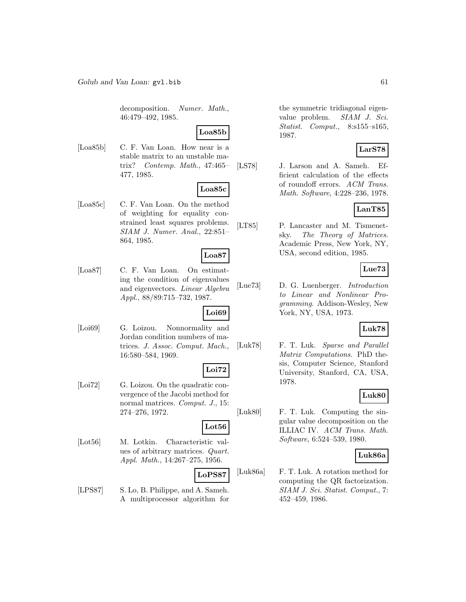decomposition. Numer. Math., 46:479–492, 1985.

## **Loa85b**

[Loa85b] C. F. Van Loan. How near is a stable matrix to an unstable matrix? Contemp. Math., 47:465– 477, 1985.

## **Loa85c**

[Loa85c] C. F. Van Loan. On the method of weighting for equality constrained least squares problems. SIAM J. Numer. Anal., 22:851– 864, 1985.

#### **Loa87**

[Loa87] C. F. Van Loan. On estimating the condition of eigenvalues and eigenvectors. Linear Algebra Appl., 88/89:715–732, 1987.

#### **Loi69**

[Loi69] G. Loizou. Nonnormality and Jordan condition numbers of matrices. J. Assoc. Comput. Mach., 16:580–584, 1969.

## **Loi72**

[Loi72] G. Loizou. On the quadratic convergence of the Jacobi method for normal matrices. Comput. J., 15: 274–276, 1972.

**Lot56**

[Lot56] M. Lotkin. Characteristic values of arbitrary matrices. Quart. Appl. Math., 14:267–275, 1956.

## **LoPS87**

[LPS87] S. Lo, B. Philippe, and A. Sameh. A multiprocessor algorithm for the symmetric tridiagonal eigenvalue problem. SIAM J. Sci. Statist. Comput., 8:s155–s165, 1987.

## **LarS78**

[LS78] J. Larson and A. Sameh. Efficient calculation of the effects of roundoff errors. ACM Trans. Math. Software, 4:228–236, 1978.

## **LanT85**

[LT85] P. Lancaster and M. Tismenetsky. The Theory of Matrices. Academic Press, New York, NY, USA, second edition, 1985.

# **Lue73**

[Lue73] D. G. Luenberger. Introduction to Linear and Nonlinear Programming. Addison-Wesley, New York, NY, USA, 1973.

#### **Luk78**

[Luk78] F. T. Luk. Sparse and Parallel Matrix Computations. PhD thesis, Computer Science, Stanford University, Stanford, CA, USA, 1978.

#### **Luk80**

[Luk80] F. T. Luk. Computing the singular value decomposition on the ILLIAC IV. ACM Trans. Math. Software, 6:524–539, 1980.

#### **Luk86a**

[Luk86a] F. T. Luk. A rotation method for computing the QR factorization. SIAM J. Sci. Statist. Comput., 7: 452–459, 1986.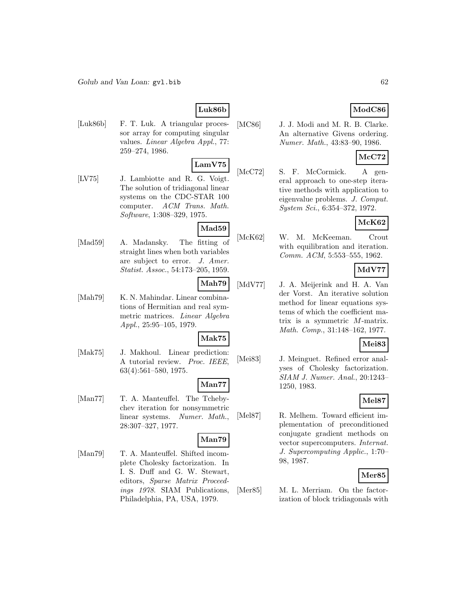## **Luk86b**

[Luk86b] F. T. Luk. A triangular processor array for computing singular values. Linear Algebra Appl., 77: 259–274, 1986.

# **LamV75**

[LV75] J. Lambiotte and R. G. Voigt. The solution of tridiagonal linear systems on the CDC-STAR 100 computer. ACM Trans. Math. Software, 1:308–329, 1975.

## **Mad59**

[Mad59] A. Madansky. The fitting of straight lines when both variables are subject to error. J. Amer. Statist. Assoc., 54:173–205, 1959.

# **Mah79**

[Mah79] K. N. Mahindar. Linear combinations of Hermitian and real symmetric matrices. Linear Algebra Appl., 25:95–105, 1979.

# **Mak75**

[Mak75] J. Makhoul. Linear prediction: A tutorial review. Proc. IEEE, 63(4):561–580, 1975.

# **Man77**

[Man77] T. A. Manteuffel. The Tchebychev iteration for nonsymmetric linear systems. Numer. Math., 28:307–327, 1977.

#### **Man79**

[Man79] T. A. Manteuffel. Shifted incomplete Cholesky factorization. In I. S. Duff and G. W. Stewart, editors, Sparse Matrix Proceedings 1978. SIAM Publications, Philadelphia, PA, USA, 1979.

[MC86] J. J. Modi and M. R. B. Clarke. An alternative Givens ordering. Numer. Math., 43:83–90, 1986.

# **McC72**

**ModC86**

[McC72] S. F. McCormick. A general approach to one-step iterative methods with application to eigenvalue problems. J. Comput. System Sci., 6:354–372, 1972.

## **McK62**

[McK62] W. M. McKeeman. Crout with equilibration and iteration. Comm. ACM, 5:553–555, 1962.

# **MdV77**

[MdV77] J. A. Meijerink and H. A. Van der Vorst. An iterative solution method for linear equations systems of which the coefficient matrix is a symmetric M-matrix. Math. Comp., 31:148–162, 1977.

#### **Mei83**

[Mei83] J. Meinguet. Refined error analyses of Cholesky factorization. SIAM J. Numer. Anal., 20:1243– 1250, 1983.

# **Mel87**

[Mel87] R. Melhem. Toward efficient implementation of preconditioned conjugate gradient methods on vector supercomputers. Internat. J. Supercomputing Applic., 1:70– 98, 1987.

#### **Mer85**

[Mer85] M. L. Merriam. On the factorization of block tridiagonals with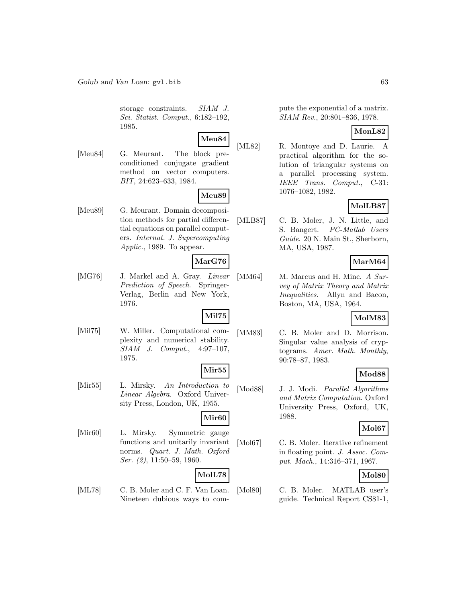storage constraints. SIAM J. Sci. Statist. Comput., 6:182–192, 1985.

# **Meu84**

[Meu84] G. Meurant. The block preconditioned conjugate gradient method on vector computers. BIT, 24:623–633, 1984.

## **Meu89**

[Meu89] G. Meurant. Domain decomposition methods for partial differential equations on parallel computers. Internat. J. Supercomputing Applic., 1989. To appear.

## **MarG76**

[MG76] J. Markel and A. Gray. *Linear* Prediction of Speech. Springer-Verlag, Berlin and New York, 1976.

## **Mil75**

[Mil75] W. Miller. Computational complexity and numerical stability. SIAM J. Comput., 4:97–107, 1975.

## **Mir55**

[Mir55] L. Mirsky. An Introduction to Linear Algebra. Oxford University Press, London, UK, 1955.

**Mir60**

[Mir60] L. Mirsky. Symmetric gauge functions and unitarily invariant norms. Quart. J. Math. Oxford Ser. (2), 11:50–59, 1960.

## **MolL78**

[ML78] C. B. Moler and C. F. Van Loan. Nineteen dubious ways to compute the exponential of a matrix. SIAM Rev., 20:801–836, 1978.

## **MonL82**

[ML82] R. Montoye and D. Laurie. A practical algorithm for the solution of triangular systems on a parallel processing system. IEEE Trans. Comput., C-31: 1076–1082, 1982.

## **MolLB87**

[MLB87] C. B. Moler, J. N. Little, and S. Bangert. PC-Matlab Users Guide. 20 N. Main St., Sherborn, MA, USA, 1987.

## **MarM64**

[MM64] M. Marcus and H. Minc. A Survey of Matrix Theory and Matrix Inequalities. Allyn and Bacon, Boston, MA, USA, 1964.

#### **MolM83**

[MM83] C. B. Moler and D. Morrison. Singular value analysis of cryptograms. Amer. Math. Monthly, 90:78–87, 1983.

## **Mod88**

[Mod88] J. J. Modi. *Parallel Algorithms* and Matrix Computation. Oxford University Press, Oxford, UK, 1988.

#### **Mol67**

[Mol67] C. B. Moler. Iterative refinement in floating point. J. Assoc. Comput. Mach., 14:316–371, 1967.



[Mol80] C. B. Moler. MATLAB user's guide. Technical Report CS81-1,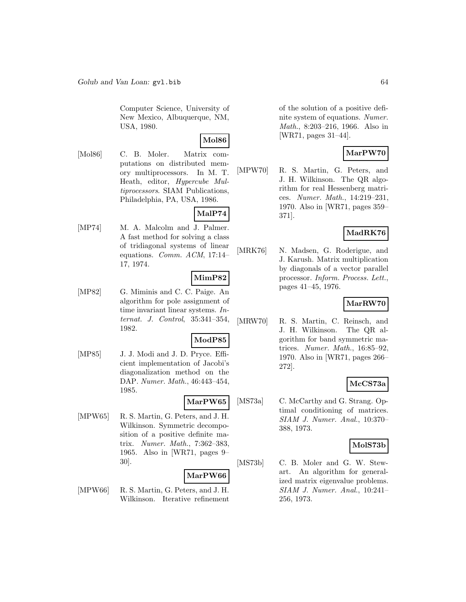Computer Science, University of New Mexico, Albuquerque, NM, USA, 1980.

# **Mol86**

[Mol86] C. B. Moler. Matrix computations on distributed memory multiprocessors. In M. T. Heath, editor, Hypercube Multiprocessors. SIAM Publications, Philadelphia, PA, USA, 1986.

# **MalP74**

[MP74] M. A. Malcolm and J. Palmer. A fast method for solving a class of tridiagonal systems of linear equations. Comm. ACM, 17:14– 17, 1974.

#### **MimP82**

[MP82] G. Miminis and C. C. Paige. An algorithm for pole assignment of time invariant linear systems. Internat. J. Control, 35:341–354, 1982.

#### **ModP85**

[MP85] J. J. Modi and J. D. Pryce. Efficient implementation of Jacobi's diagonalization method on the DAP. Numer. Math., 46:443–454, 1985.

#### **MarPW65**

[MPW65] R. S. Martin, G. Peters, and J. H. Wilkinson. Symmetric decomposition of a positive definite matrix. Numer. Math., 7:362–383, 1965. Also in [WR71, pages 9– 30].

#### **MarPW66**

[MPW66] R. S. Martin, G. Peters, and J. H. Wilkinson. Iterative refinement of the solution of a positive definite system of equations. Numer. Math., 8:203–216, 1966. Also in [WR71, pages 31–44].

## **MarPW70**

[MPW70] R. S. Martin, G. Peters, and J. H. Wilkinson. The QR algorithm for real Hessenberg matrices. Numer. Math., 14:219–231, 1970. Also in [WR71, pages 359– 371].

## **MadRK76**

[MRK76] N. Madsen, G. Roderigue, and J. Karush. Matrix multiplication by diagonals of a vector parallel processor. Inform. Process. Lett., pages 41–45, 1976.

#### **MarRW70**

[MRW70] R. S. Martin, C. Reinsch, and J. H. Wilkinson. The QR algorithm for band symmetric matrices. Numer. Math., 16:85–92, 1970. Also in [WR71, pages 266– 272].

#### **McCS73a**

[MS73a] C. McCarthy and G. Strang. Optimal conditioning of matrices. SIAM J. Numer. Anal., 10:370– 388, 1973.

#### **MolS73b**

[MS73b] C. B. Moler and G. W. Stewart. An algorithm for generalized matrix eigenvalue problems. SIAM J. Numer. Anal., 10:241– 256, 1973.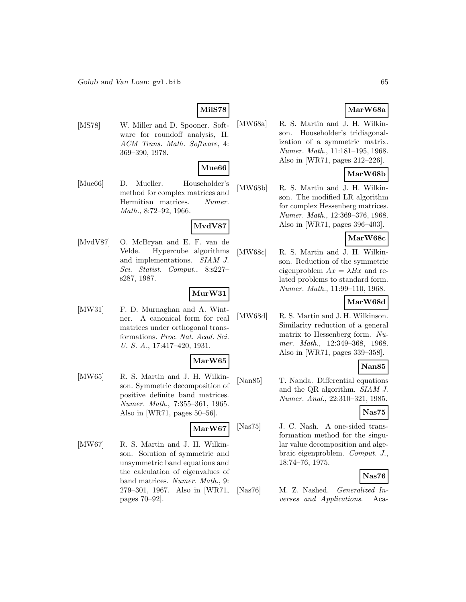# **MilS78**

[MS78] W. Miller and D. Spooner. Software for roundoff analysis, II. ACM Trans. Math. Software, 4: 369–390, 1978.

# **Mue66**

[Mue66] D. Mueller. Householder's method for complex matrices and Hermitian matrices. Numer. Math., 8:72–92, 1966.

## **MvdV87**

[MvdV87] O. McBryan and E. F. van de Velde. Hypercube algorithms and implementations. SIAM J. Sci. Statist. Comput., 8:s227– s287, 1987.

## **MurW31**

[MW31] F. D. Murnaghan and A. Wintner. A canonical form for real matrices under orthogonal transformations. Proc. Nat. Acad. Sci. U. S. A., 17:417–420, 1931.

# **MarW65**

[MW65] R. S. Martin and J. H. Wilkinson. Symmetric decomposition of positive definite band matrices. Numer. Math., 7:355–361, 1965. Also in [WR71, pages 50–56].

#### **MarW67**

[MW67] R. S. Martin and J. H. Wilkinson. Solution of symmetric and unsymmetric band equations and the calculation of eigenvalues of band matrices. Numer. Math., 9: 279–301, 1967. Also in [WR71, pages 70–92].

## **MarW68a**

[MW68a] R. S. Martin and J. H. Wilkinson. Householder's tridiagonalization of a symmetric matrix. Numer. Math., 11:181–195, 1968. Also in [WR71, pages 212–226].

## **MarW68b**

[MW68b] R. S. Martin and J. H. Wilkinson. The modified LR algorithm for complex Hessenberg matrices. Numer. Math., 12:369–376, 1968. Also in [WR71, pages 396–403].

## **MarW68c**

[MW68c] R. S. Martin and J. H. Wilkinson. Reduction of the symmetric eigenproblem  $Ax = \lambda Bx$  and related problems to standard form. Numer. Math., 11:99–110, 1968.

#### **MarW68d**

[MW68d] R. S. Martin and J. H. Wilkinson. Similarity reduction of a general matrix to Hessenberg form. Numer. Math., 12:349–368, 1968. Also in [WR71, pages 339–358].

#### **Nan85**

[Nan85] T. Nanda. Differential equations and the QR algorithm. SIAM J. Numer. Anal., 22:310–321, 1985.

**Nas75**

[Nas75] J. C. Nash. A one-sided transformation method for the singular value decomposition and algebraic eigenproblem. Comput. J., 18:74–76, 1975.



[Nas76] M. Z. Nashed. Generalized Inverses and Applications. Aca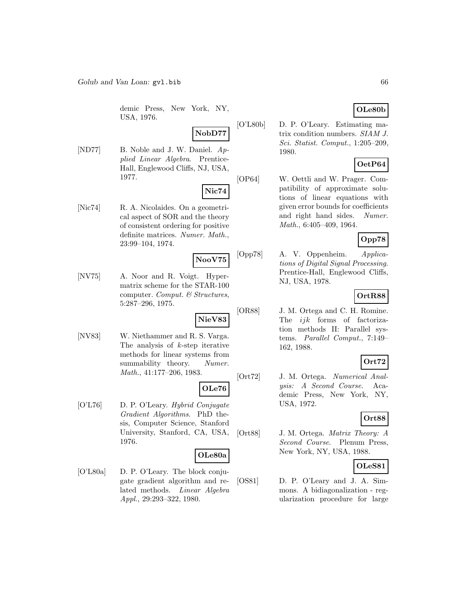demic Press, New York, NY, USA, 1976.

# **NobD77**

[ND77] B. Noble and J. W. Daniel.  $Ap$ plied Linear Algebra. Prentice-Hall, Englewood Cliffs, NJ, USA, 1977.

**Nic74**

[Nic74] R. A. Nicolaides. On a geometrical aspect of SOR and the theory of consistent ordering for positive definite matrices. Numer. Math., 23:99–104, 1974.

## **NooV75**

[NV75] A. Noor and R. Voigt. Hypermatrix scheme for the STAR-100 computer. Comput. & Structures, 5:287–296, 1975.

## **NieV83**

[NV83] W. Niethammer and R. S. Varga. The analysis of k-step iterative methods for linear systems from summability theory. Numer. Math., 41:177–206, 1983.

## **OLe76**

[O'L76] D. P. O'Leary. Hybrid Conjugate Gradient Algorithms. PhD thesis, Computer Science, Stanford University, Stanford, CA, USA, 1976.

#### **OLe80a**

[O'L80a] D. P. O'Leary. The block conjugate gradient algorithm and related methods. Linear Algebra Appl., 29:293–322, 1980.

# **OLe80b**

[O'L80b] D. P. O'Leary. Estimating matrix condition numbers. SIAM J. Sci. Statist. Comput., 1:205–209, 1980.



[OP64] W. Oettli and W. Prager. Compatibility of approximate solutions of linear equations with given error bounds for coefficients and right hand sides. Numer. Math., 6:405–409, 1964.

## **Opp78**

[Opp78] A. V. Oppenheim. Applications of Digital Signal Processing. Prentice-Hall, Englewood Cliffs, NJ, USA, 1978.

#### **OrtR88**

[OR88] J. M. Ortega and C. H. Romine. The ijk forms of factorization methods II: Parallel systems. Parallel Comput., 7:149– 162, 1988.

# **Ort72**

[Ort72] J. M. Ortega. Numerical Analysis: A Second Course. Academic Press, New York, NY, USA, 1972.

## **Ort88**

[Ort88] J. M. Ortega. Matrix Theory: A Second Course. Plenum Press, New York, NY, USA, 1988.

#### **OLeS81**

[OS81] D. P. O'Leary and J. A. Simmons. A bidiagonalization - regularization procedure for large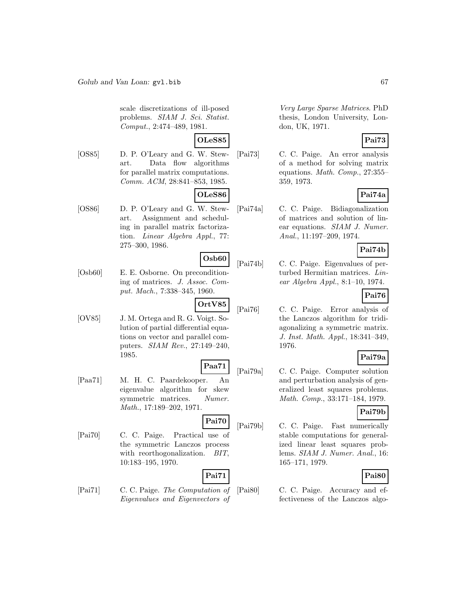scale discretizations of ill-posed problems. SIAM J. Sci. Statist. Comput., 2:474–489, 1981.

# **OLeS85**

[OS85] D. P. O'Leary and G. W. Stewart. Data flow algorithms for parallel matrix computations. Comm. ACM, 28:841–853, 1985.

# **OLeS86**

[OS86] D. P. O'Leary and G. W. Stewart. Assignment and scheduling in parallel matrix factorization. Linear Algebra Appl., 77: 275–300, 1986.

## **Osb60**

[Osb60] E. E. Osborne. On preconditioning of matrices. J. Assoc. Comput. Mach., 7:338–345, 1960.

# **OrtV85**

[OV85] J. M. Ortega and R. G. Voigt. Solution of partial differential equations on vector and parallel computers. SIAM Rev., 27:149–240, 1985.

# **Paa71**

[Paa71] M. H. C. Paardekooper. An eigenvalue algorithm for skew symmetric matrices. Numer. Math., 17:189–202, 1971.

## **Pai70**

[Pai70] C. C. Paige. Practical use of the symmetric Lanczos process with reorthogonalization. BIT, 10:183–195, 1970.

## **Pai71**

[Pai71] C. C. Paige. The Computation of Eigenvalues and Eigenvectors of

Very Large Sparse Matrices. PhD thesis, London University, London, UK, 1971.

# **Pai73**

[Pai73] C. C. Paige. An error analysis of a method for solving matrix equations. Math. Comp., 27:355– 359, 1973.

# **Pai74a**

[Pai74a] C. C. Paige. Bidiagonalization of matrices and solution of linear equations. SIAM J. Numer. Anal., 11:197–209, 1974.

#### **Pai74b**

[Pai74b] C. C. Paige. Eigenvalues of perturbed Hermitian matrices. Linear Algebra Appl., 8:1–10, 1974.

# **Pai76**

[Pai76] C. C. Paige. Error analysis of the Lanczos algorithm for tridiagonalizing a symmetric matrix. J. Inst. Math. Appl., 18:341–349, 1976.

## **Pai79a**

[Pai79a] C. C. Paige. Computer solution and perturbation analysis of generalized least squares problems. Math. Comp., 33:171–184, 1979.

## **Pai79b**

[Pai79b] C. C. Paige. Fast numerically stable computations for generalized linear least squares problems. SIAM J. Numer. Anal., 16: 165–171, 1979.

# **Pai80**

[Pai80] C. C. Paige. Accuracy and effectiveness of the Lanczos algo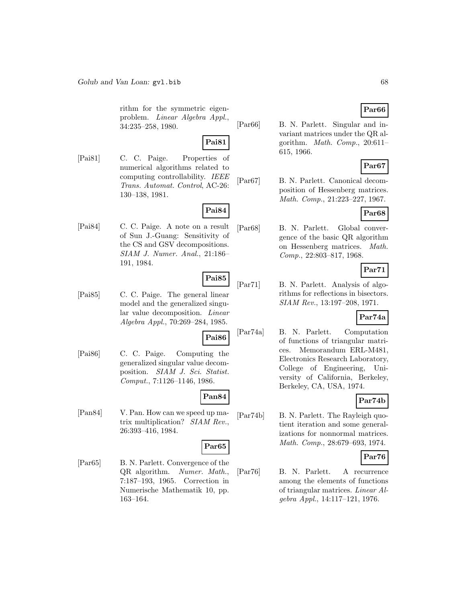rithm for the symmetric eigenproblem. Linear Algebra Appl., 34:235–258, 1980.

#### **Pai81**

[Pai81] C. C. Paige. Properties of numerical algorithms related to computing controllability. IEEE Trans. Automat. Control, AC-26: 130–138, 1981.

## **Pai84**

[Pai84] C. C. Paige. A note on a result of Sun J.-Guang: Sensitivity of the CS and GSV decompositions. SIAM J. Numer. Anal., 21:186– 191, 1984.

# **Pai85**

[Pai85] C. C. Paige. The general linear model and the generalized singular value decomposition. Linear Algebra Appl., 70:269–284, 1985.

#### **Pai86**

[Pai86] C. C. Paige. Computing the generalized singular value decomposition. SIAM J. Sci. Statist. Comput., 7:1126–1146, 1986.

## **Pan84**

[Pan84] V. Pan. How can we speed up matrix multiplication? SIAM Rev., 26:393–416, 1984.

## **Par65**

[Par65] B. N. Parlett. Convergence of the QR algorithm. Numer. Math., 7:187–193, 1965. Correction in Numerische Mathematik 10, pp. 163–164.

#### [Par66] B. N. Parlett. Singular and invariant matrices under the QR algorithm. Math. Comp., 20:611– 615, 1966.



**Par66**

[Par67] B. N. Parlett. Canonical decomposition of Hessenberg matrices. Math. Comp., 21:223–227, 1967.

**Par68**

[Par68] B. N. Parlett. Global convergence of the basic QR algorithm on Hessenberg matrices. Math. Comp., 22:803–817, 1968.



[Par71] B. N. Parlett. Analysis of algorithms for reflections in bisectors. SIAM Rev., 13:197–208, 1971.

**Par74a**

[Par74a] B. N. Parlett. Computation of functions of triangular matrices. Memorandum ERL-M481, Electronics Research Laboratory, College of Engineering, University of California, Berkeley, Berkeley, CA, USA, 1974.

# **Par74b**

[Par74b] B. N. Parlett. The Rayleigh quotient iteration and some generalizations for nonnormal matrices. Math. Comp., 28:679–693, 1974.

## **Par76**

[Par76] B. N. Parlett. A recurrence among the elements of functions of triangular matrices. Linear Algebra Appl., 14:117–121, 1976.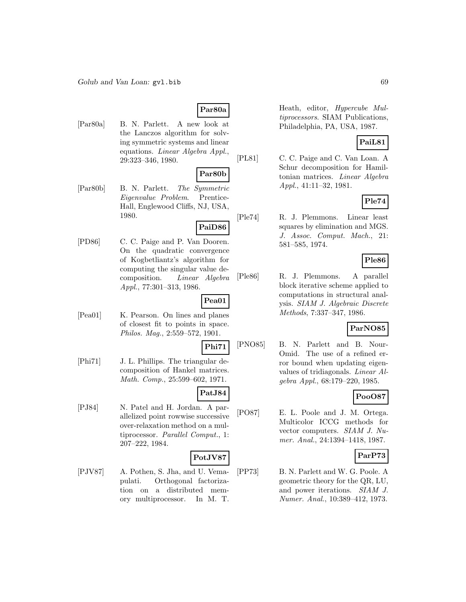## **Par80a**

[Par80a] B. N. Parlett. A new look at the Lanczos algorithm for solving symmetric systems and linear equations. Linear Algebra Appl., 29:323–346, 1980.

#### **Par80b**

**PaiD86**

- [Par80b] B. N. Parlett. The Symmetric Eigenvalue Problem. Prentice-Hall, Englewood Cliffs, NJ, USA, 1980.
- [PD86] C. C. Paige and P. Van Dooren. On the quadratic convergence of Kogbetliantz's algorithm for computing the singular value decomposition. Linear Algebra Appl., 77:301–313, 1986.

#### **Pea01**

[Pea01] K. Pearson. On lines and planes of closest fit to points in space. Philos. Mag., 2:559–572, 1901.

# **Phi71**

[Phi71] J. L. Phillips. The triangular decomposition of Hankel matrices. Math. Comp., 25:599–602, 1971.

## **PatJ84**

[PJ84] N. Patel and H. Jordan. A parallelized point rowwise successive over-relaxation method on a multiprocessor. Parallel Comput., 1: 207–222, 1984.

## **PotJV87**

[PJV87] A. Pothen, S. Jha, and U. Vemapulati. Orthogonal factorization on a distributed memory multiprocessor. In M. T. Heath, editor, Hypercube Multiprocessors. SIAM Publications, Philadelphia, PA, USA, 1987.

# **PaiL81**

[PL81] C. C. Paige and C. Van Loan. A Schur decomposition for Hamiltonian matrices. Linear Algebra Appl., 41:11–32, 1981.

# **Ple74**

[Ple74] R. J. Plemmons. Linear least squares by elimination and MGS. J. Assoc. Comput. Mach., 21: 581–585, 1974.

## **Ple86**

[Ple86] R. J. Plemmons. A parallel block iterative scheme applied to computations in structural analysis. SIAM J. Algebraic Discrete Methods, 7:337–347, 1986.

#### **ParNO85**

[PNO85] B. N. Parlett and B. Nour-Omid. The use of a refined error bound when updating eigenvalues of tridiagonals. Linear Algebra Appl., 68:179–220, 1985.

#### **PooO87**

[PO87] E. L. Poole and J. M. Ortega. Multicolor ICCG methods for vector computers. SIAM J. Numer. Anal., 24:1394–1418, 1987.

#### **ParP73**

[PP73] B. N. Parlett and W. G. Poole. A geometric theory for the QR, LU, and power iterations. SIAM J. Numer. Anal., 10:389–412, 1973.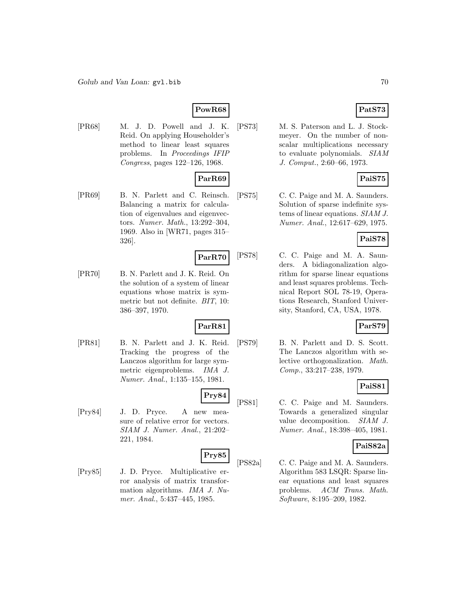## **PowR68**

[PR68] M. J. D. Powell and J. K. Reid. On applying Householder's method to linear least squares problems. In Proceedings IFIP Congress, pages 122–126, 1968.

## **ParR69**

[PR69] B. N. Parlett and C. Reinsch. Balancing a matrix for calculation of eigenvalues and eigenvectors. Numer. Math., 13:292–304, 1969. Also in [WR71, pages 315– 326].

## **ParR70**

[PR70] B. N. Parlett and J. K. Reid. On the solution of a system of linear equations whose matrix is symmetric but not definite. BIT, 10: 386–397, 1970.

#### **ParR81**

[PR81] B. N. Parlett and J. K. Reid. Tracking the progress of the Lanczos algorithm for large symmetric eigenproblems. IMA J. Numer. Anal., 1:135–155, 1981.

# **Pry84**

[Pry84] J. D. Pryce. A new measure of relative error for vectors. SIAM J. Numer. Anal., 21:202– 221, 1984.

# **Pry85**

[Pry85] J. D. Pryce. Multiplicative error analysis of matrix transformation algorithms. IMA J. Numer. Anal., 5:437–445, 1985.

## **PatS73**

[PS73] M. S. Paterson and L. J. Stockmeyer. On the number of nonscalar multiplications necessary to evaluate polynomials. SIAM J. Comput., 2:60–66, 1973.

## **PaiS75**

[PS75] C. C. Paige and M. A. Saunders. Solution of sparse indefinite systems of linear equations. SIAM J. Numer. Anal., 12:617–629, 1975.

# **PaiS78**

[PS78] C. C. Paige and M. A. Saunders. A bidiagonalization algorithm for sparse linear equations and least squares problems. Technical Report SOL 78-19, Operations Research, Stanford University, Stanford, CA, USA, 1978.

#### **ParS79**

[PS79] B. N. Parlett and D. S. Scott. The Lanczos algorithm with selective orthogonalization. Math. Comp., 33:217–238, 1979.

# **PaiS81**

[PS81] C. C. Paige and M. Saunders. Towards a generalized singular value decomposition. SIAM J. Numer. Anal., 18:398–405, 1981.

## **PaiS82a**

[PS82a] C. C. Paige and M. A. Saunders. Algorithm 583 LSQR: Sparse linear equations and least squares problems. ACM Trans. Math. Software, 8:195–209, 1982.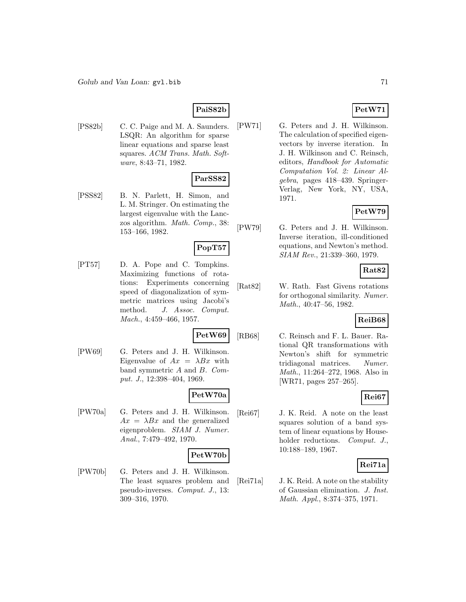## **PaiS82b**

[PS82b] C. C. Paige and M. A. Saunders. LSQR: An algorithm for sparse linear equations and sparse least squares. ACM Trans. Math. Software, 8:43–71, 1982.

#### **ParSS82**

[PSS82] B. N. Parlett, H. Simon, and L. M. Stringer. On estimating the largest eigenvalue with the Lanczos algorithm. Math. Comp., 38: 153–166, 1982.

#### **PopT57**

[PT57] D. A. Pope and C. Tompkins. Maximizing functions of rotations: Experiments concerning speed of diagonalization of symmetric matrices using Jacobi's method. J. Assoc. Comput. Mach., 4:459–466, 1957.

## **PetW69**

[PW69] G. Peters and J. H. Wilkinson. Eigenvalue of  $Ax = \lambda Bx$  with band symmetric A and B. Comput. J., 12:398–404, 1969.

## **PetW70a**

[PW70a] G. Peters and J. H. Wilkinson.  $Ax = \lambda Bx$  and the generalized eigenproblem. SIAM J. Numer. Anal., 7:479–492, 1970.

## **PetW70b**

[PW70b] G. Peters and J. H. Wilkinson. The least squares problem and pseudo-inverses. Comput. J., 13: 309–316, 1970.

# **PetW71**

[PW71] G. Peters and J. H. Wilkinson. The calculation of specified eigenvectors by inverse iteration. In J. H. Wilkinson and C. Reinsch, editors, Handbook for Automatic Computation Vol. 2: Linear Algebra, pages 418–439. Springer-Verlag, New York, NY, USA, 1971.

# **PetW79**

[PW79] G. Peters and J. H. Wilkinson. Inverse iteration, ill-conditioned equations, and Newton's method. SIAM Rev., 21:339–360, 1979.

## **Rat82**

[Rat82] W. Rath. Fast Givens rotations for orthogonal similarity. Numer. Math., 40:47–56, 1982.

#### **ReiB68**

[RB68] C. Reinsch and F. L. Bauer. Rational QR transformations with Newton's shift for symmetric tridiagonal matrices. Numer. Math., 11:264–272, 1968. Also in [WR71, pages 257–265].

# **Rei67**

[Rei67] J. K. Reid. A note on the least squares solution of a band system of linear equations by Householder reductions. *Comput. J.*, 10:188–189, 1967.

#### **Rei71a**

[Rei71a] J. K. Reid. A note on the stability of Gaussian elimination. J. Inst. Math. Appl., 8:374–375, 1971.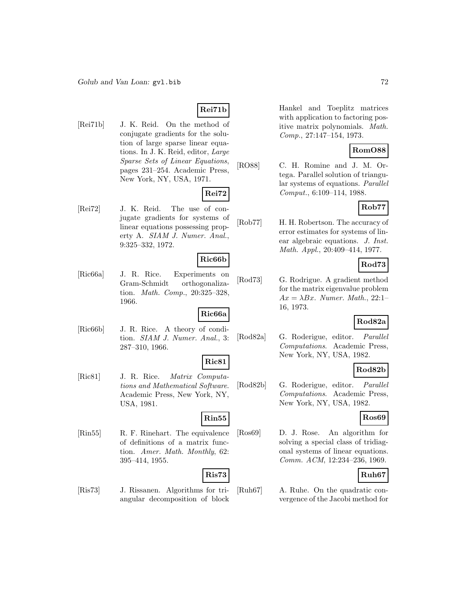## **Rei71b**

[Rei71b] J. K. Reid. On the method of conjugate gradients for the solution of large sparse linear equations. In J. K. Reid, editor, Large Sparse Sets of Linear Equations, pages 231–254. Academic Press, New York, NY, USA, 1971.

# **Rei72**

[Rei72] J. K. Reid. The use of conjugate gradients for systems of linear equations possessing property A. SIAM J. Numer. Anal., 9:325–332, 1972.

# **Ric66b**

[Ric66a] J. R. Rice. Experiments on Gram-Schmidt orthogonalization. Math. Comp., 20:325–328, 1966.

#### **Ric66a**

[Ric66b] J. R. Rice. A theory of condition. SIAM J. Numer. Anal., 3: 287–310, 1966.

## **Ric81**

[Ric81] J. R. Rice. Matrix Computations and Mathematical Software. Academic Press, New York, NY, USA, 1981.

**Rin55**

[Rin55] R. F. Rinehart. The equivalence of definitions of a matrix function. Amer. Math. Monthly, 62: 395–414, 1955.

#### **Ris73**

[Ris73] J. Rissanen. Algorithms for triangular decomposition of block

Hankel and Toeplitz matrices with application to factoring positive matrix polynomials. Math. Comp., 27:147–154, 1973.

#### **RomO88**

[RO88] C. H. Romine and J. M. Ortega. Parallel solution of triangular systems of equations. Parallel Comput., 6:109–114, 1988.

## **Rob77**

[Rob77] H. H. Robertson. The accuracy of error estimates for systems of linear algebraic equations. J. Inst. Math. Appl., 20:409–414, 1977.

#### **Rod73**

[Rod73] G. Rodrigue. A gradient method for the matrix eigenvalue problem  $Ax = \lambda Bx$ . Numer. Math., 22:1-16, 1973.

#### **Rod82a**

[Rod82a] G. Roderigue, editor. Parallel Computations. Academic Press, New York, NY, USA, 1982.

## **Rod82b**

[Rod82b] G. Roderigue, editor. Parallel Computations. Academic Press, New York, NY, USA, 1982.

#### **Ros69**

[Ros69] D. J. Rose. An algorithm for solving a special class of tridiagonal systems of linear equations. Comm. ACM, 12:234–236, 1969.



[Ruh67] A. Ruhe. On the quadratic convergence of the Jacobi method for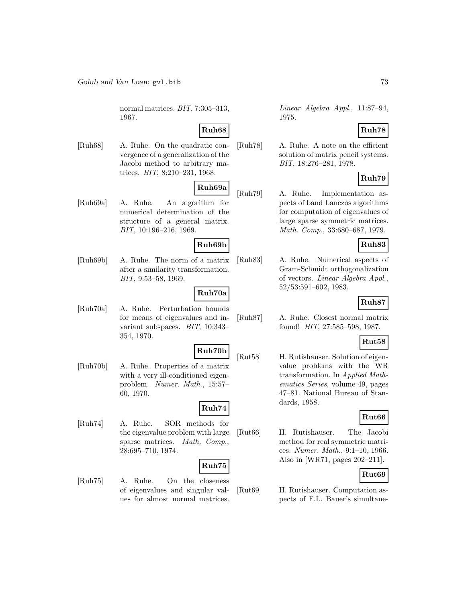normal matrices. BIT, 7:305–313, 1967.

### **Ruh68**

[Ruh68] A. Ruhe. On the quadratic convergence of a generalization of the Jacobi method to arbitrary matrices. BIT, 8:210–231, 1968.

## **Ruh69a**

[Ruh69a] A. Ruhe. An algorithm for numerical determination of the structure of a general matrix. BIT, 10:196–216, 1969.

#### **Ruh69b**

[Ruh69b] A. Ruhe. The norm of a matrix after a similarity transformation. BIT, 9:53–58, 1969.

#### **Ruh70a**

[Ruh70a] A. Ruhe. Perturbation bounds for means of eigenvalues and invariant subspaces. BIT, 10:343– 354, 1970.

#### **Ruh70b**

[Ruh70b] A. Ruhe. Properties of a matrix with a very ill-conditioned eigenproblem. Numer. Math., 15:57– 60, 1970.

#### **Ruh74**

[Ruh74] A. Ruhe. SOR methods for the eigenvalue problem with large sparse matrices. Math. Comp., 28:695–710, 1974.

#### **Ruh75**

[Ruh75] A. Ruhe. On the closeness of eigenvalues and singular values for almost normal matrices.

Linear Algebra Appl., 11:87–94, 1975.

#### **Ruh78**

[Ruh78] A. Ruhe. A note on the efficient solution of matrix pencil systems. BIT, 18:276–281, 1978.

#### **Ruh79**

[Ruh79] A. Ruhe. Implementation aspects of band Lanczos algorithms for computation of eigenvalues of large sparse symmetric matrices. Math. Comp., 33:680–687, 1979.

#### **Ruh83**

[Ruh83] A. Ruhe. Numerical aspects of Gram-Schmidt orthogonalization of vectors. Linear Algebra Appl., 52/53:591–602, 1983.

#### **Ruh87**

[Ruh87] A. Ruhe. Closest normal matrix found! BIT, 27:585–598, 1987.

#### **Rut58**

[Rut58] H. Rutishauser. Solution of eigenvalue problems with the WR transformation. In Applied Mathematics Series, volume 49, pages 47–81. National Bureau of Standards, 1958.

#### **Rut66**

[Rut66] H. Rutishauser. The Jacobi method for real symmetric matrices. Numer. Math., 9:1–10, 1966. Also in [WR71, pages 202–211].



[Rut69] H. Rutishauser. Computation aspects of F.L. Bauer's simultane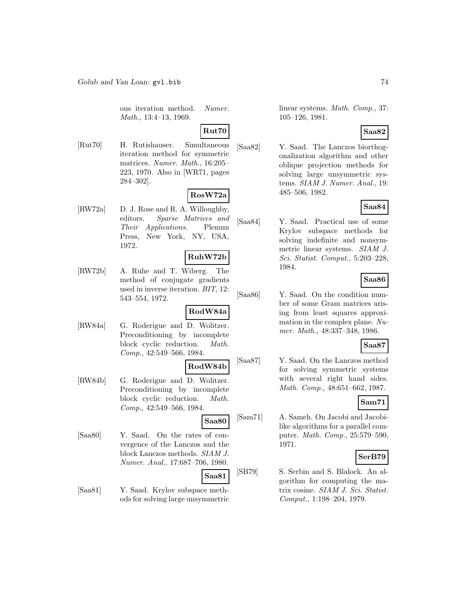*Golub and Van Loan:* gvl.bib 74

ous iteration method. Numer. Math., 13:4–13, 1969.

## **Rut70**

[Rut70] H. Rutishauser. Simultaneous iteration method for symmetric matrices. Numer. Math., 16:205– 223, 1970. Also in [WR71, pages 284–302].

## **RosW72a**

[RW72a] D. J. Rose and R. A. Willoughby, editors. Sparse Matrices and Their Applications. Plenum Press, New York, NY, USA, 1972.

#### **RuhW72b**

[RW72b] A. Ruhe and T. Wiberg. The method of conjugate gradients used in inverse iteration. BIT, 12: 543–554, 1972.

#### **RodW84a**

[RW84a] G. Roderigue and D. Wolitzer. Preconditioning by incomplete block cyclic reduction. Math. Comp., 42:549–566, 1984.

#### **RodW84b**

[RW84b] G. Roderigue and D. Wolitzer. Preconditioning by incomplete block cyclic reduction. Math. Comp., 42:549–566, 1984.

**Saa80**

[Saa80] Y. Saad. On the rates of convergence of the Lanczos and the block Lanczos methods. SIAM J. Numer. Anal., 17:687–706, 1980.

**Saa81**

[Saa81] Y. Saad. Krylov subspace methods for solving large unsymmetric linear systems. Math. Comp., 37: 105–126, 1981.

## **Saa82**

[Saa82] Y. Saad. The Lanczos biorthogonalization algorithm and other oblique projection methods for solving large unsymmetric systems. SIAM J. Numer. Anal., 19: 485–506, 1982.

#### **Saa84**

[Saa84] Y. Saad. Practical use of some Krylov subspace methods for solving indefinite and nonsymmetric linear systems. SIAM J. Sci. Statist. Comput., 5:203–228, 1984.

### **Saa86**

[Saa86] Y. Saad. On the condition number of some Gram matrices arising from least squares approximation in the complex plane. Numer. Math., 48:337–348, 1986.

#### **Saa87**

[Saa87] Y. Saad. On the Lanczos method for solving symmetric systems with several right hand sides. Math. Comp., 48:651–662, 1987.

#### **Sam71**

[Sam71] A. Sameh. On Jacobi and Jacobilike algorithms for a parallel computer. Math. Comp., 25:579–590, 1971.

#### **SerB79**

[SB79] S. Serbin and S. Blalock. An algorithm for computing the matrix cosine. SIAM J. Sci. Statist. Comput., 1:198–204, 1979.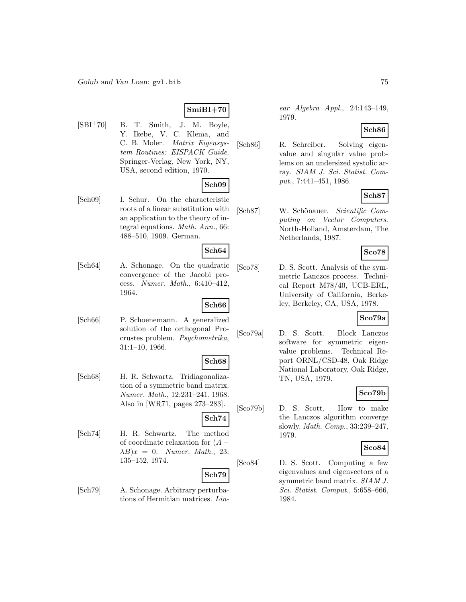### **SmiBI+70**

[SBI<sup>+</sup>70] B. T. Smith, J. M. Boyle, Y. Ikebe, V. C. Klema, and C. B. Moler. Matrix Eigensystem Routines: EISPACK Guide. Springer-Verlag, New York, NY, USA, second edition, 1970.

## **Sch09**

[Sch09] I. Schur. On the characteristic roots of a linear substitution with an application to the theory of integral equations. Math. Ann., 66: 488–510, 1909. German.

#### **Sch64**

[Sch64] A. Schonage. On the quadratic convergence of the Jacobi process. Numer. Math., 6:410–412, 1964.

#### **Sch66**

[Sch66] P. Schoenemann. A generalized solution of the orthogonal Procrustes problem. Psychometrika, 31:1–10, 1966.

#### **Sch68**

[Sch68] H. R. Schwartz. Tridiagonalization of a symmetric band matrix. Numer. Math., 12:231–241, 1968. Also in [WR71, pages 273–283].

#### **Sch74**

[Sch74] H. R. Schwartz. The method of coordinate relaxation for  $(A \lambda B)x = 0$ . Numer. Math., 23: 135–152, 1974.

#### **Sch79**

[Sch79] A. Schonage. Arbitrary perturbations of Hermitian matrices. Linear Algebra Appl., 24:143–149, 1979.

#### **Sch86**

[Sch86] R. Schreiber. Solving eigenvalue and singular value problems on an undersized systolic array. SIAM J. Sci. Statist. Comput., 7:441–451, 1986.

## **Sch87**

[Sch87] W. Schönauer. Scientific Computing on Vector Computers. North-Holland, Amsterdam, The Netherlands, 1987.

#### **Sco78**

[Sco78] D. S. Scott. Analysis of the symmetric Lanczos process. Technical Report M78/40, UCB-ERL, University of California, Berkeley, Berkeley, CA, USA, 1978.

#### **Sco79a**

[Sco79a] D. S. Scott. Block Lanczos software for symmetric eigenvalue problems. Technical Report ORNL/CSD-48, Oak Ridge National Laboratory, Oak Ridge, TN, USA, 1979.

#### **Sco79b**

[Sco79b] D. S. Scott. How to make the Lanczos algorithm converge slowly. Math. Comp., 33:239–247, 1979.

#### **Sco84**

[Sco84] D. S. Scott. Computing a few eigenvalues and eigenvectors of a symmetric band matrix. SIAM J. Sci. Statist. Comput., 5:658–666, 1984.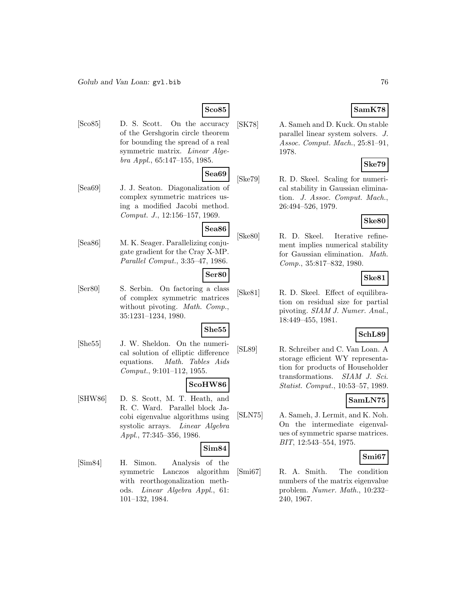## **Sco85**

[Sco85] D. S. Scott. On the accuracy of the Gershgorin circle theorem for bounding the spread of a real symmetric matrix. Linear Algebra Appl., 65:147–155, 1985.

## **Sea69**

[Sea69] J. J. Seaton. Diagonalization of complex symmetric matrices using a modified Jacobi method. Comput. J., 12:156–157, 1969.

#### **Sea86**

[Sea86] M. K. Seager. Parallelizing conjugate gradient for the Cray X-MP. Parallel Comput., 3:35–47, 1986.

### **Ser80**

[Ser80] S. Serbin. On factoring a class of complex symmetric matrices without pivoting. *Math. Comp.*, 35:1231–1234, 1980.

#### **She55**

[She55] J. W. Sheldon. On the numerical solution of elliptic difference equations. Math. Tables Aids Comput., 9:101–112, 1955.

## **ScoHW86**

[SHW86] D. S. Scott, M. T. Heath, and R. C. Ward. Parallel block Jacobi eigenvalue algorithms using systolic arrays. Linear Algebra Appl., 77:345–356, 1986.

#### **Sim84**

[Sim84] H. Simon. Analysis of the symmetric Lanczos algorithm with reorthogonalization methods. Linear Algebra Appl., 61: 101–132, 1984.

[SK78] A. Sameh and D. Kuck. On stable parallel linear system solvers. J. Assoc. Comput. Mach., 25:81–91, 1978.

## **Ske79**

**SamK78**

[Ske79] R. D. Skeel. Scaling for numerical stability in Gaussian elimination. J. Assoc. Comput. Mach., 26:494–526, 1979.

### **Ske80**

[Ske80] R. D. Skeel. Iterative refinement implies numerical stability for Gaussian elimination. Math. Comp., 35:817–832, 1980.

### **Ske81**

[Ske81] R. D. Skeel. Effect of equilibration on residual size for partial pivoting. SIAM J. Numer. Anal., 18:449–455, 1981.

#### **SchL89**

[SL89] R. Schreiber and C. Van Loan. A storage efficient WY representation for products of Householder transformations. SIAM J. Sci. Statist. Comput., 10:53–57, 1989.

## **SamLN75**

[SLN75] A. Sameh, J. Lermit, and K. Noh. On the intermediate eigenvalues of symmetric sparse matrices. BIT, 12:543–554, 1975.

#### **Smi67**

[Smi67] R. A. Smith. The condition numbers of the matrix eigenvalue problem. Numer. Math., 10:232– 240, 1967.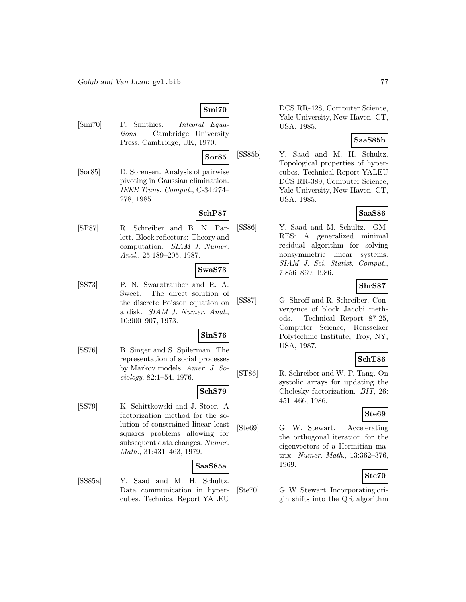## **Smi70**

- [Smi70] F. Smithies. Integral Equations. Cambridge University Press, Cambridge, UK, 1970.
	- **Sor85**
- [Sor85] D. Sorensen. Analysis of pairwise pivoting in Gaussian elimination. IEEE Trans. Comput., C-34:274– 278, 1985.

## **SchP87**

[SP87] R. Schreiber and B. N. Parlett. Block reflectors: Theory and computation. SIAM J. Numer. Anal., 25:189–205, 1987.

## **SwaS73**

[SS73] P. N. Swarztrauber and R. A. Sweet. The direct solution of the discrete Poisson equation on a disk. SIAM J. Numer. Anal., 10:900–907, 1973.

#### **SinS76**

[SS76] B. Singer and S. Spilerman. The representation of social processes by Markov models. Amer. J. Sociology, 82:1–54, 1976.

#### **SchS79**

[SS79] K. Schittkowski and J. Stoer. A factorization method for the solution of constrained linear least squares problems allowing for subsequent data changes. Numer. Math., 31:431–463, 1979.

#### **SaaS85a**

[SS85a] Y. Saad and M. H. Schultz. Data communication in hypercubes. Technical Report YALEU

DCS RR-428, Computer Science, Yale University, New Haven, CT, USA, 1985.

#### **SaaS85b**

[SS85b] Y. Saad and M. H. Schultz. Topological properties of hypercubes. Technical Report YALEU DCS RR-389, Computer Science, Yale University, New Haven, CT, USA, 1985.

### **SaaS86**

[SS86] Y. Saad and M. Schultz. GM-RES: A generalized minimal residual algorithm for solving nonsymmetric linear systems. SIAM J. Sci. Statist. Comput., 7:856–869, 1986.

## **ShrS87**

[SS87] G. Shroff and R. Schreiber. Convergence of block Jacobi methods. Technical Report 87-25, Computer Science, Rensselaer Polytechnic Institute, Troy, NY, USA, 1987.

#### **SchT86**

[ST86] R. Schreiber and W. P. Tang. On systolic arrays for updating the Cholesky factorization. BIT, 26: 451–466, 1986.

## **Ste69**

[Ste69] G. W. Stewart. Accelerating the orthogonal iteration for the eigenvectors of a Hermitian matrix. Numer. Math., 13:362–376, 1969.

## **Ste70**

[Ste70] G. W. Stewart. Incorporating origin shifts into the QR algorithm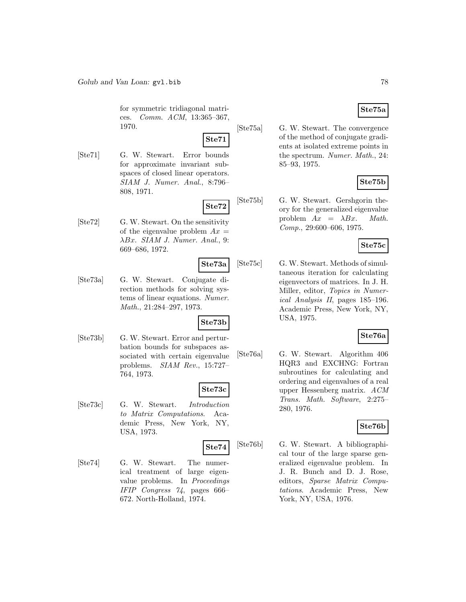for symmetric tridiagonal matrices. Comm. ACM, 13:365–367, 1970.

#### **Ste71**

[Ste71] G. W. Stewart. Error bounds for approximate invariant subspaces of closed linear operators. SIAM J. Numer. Anal., 8:796– 808, 1971.

## **Ste72**

[Ste72] G. W. Stewart. On the sensitivity of the eigenvalue problem  $Ax =$  $\lambda Bx$ . SIAM J. Numer. Anal., 9: 669–686, 1972.

#### **Ste73a**

[Ste73a] G. W. Stewart. Conjugate direction methods for solving systems of linear equations. Numer. Math., 21:284–297, 1973.

#### **Ste73b**

[Ste73b] G. W. Stewart. Error and perturbation bounds for subspaces associated with certain eigenvalue problems. SIAM Rev., 15:727– 764, 1973.

#### **Ste73c**

[Ste73c] G. W. Stewart. Introduction to Matrix Computations. Academic Press, New York, NY, USA, 1973.

#### **Ste74**

[Ste74] G. W. Stewart. The numerical treatment of large eigenvalue problems. In Proceedings IFIP Congress 74, pages 666– 672. North-Holland, 1974.

### **Ste75a**

[Ste75a] G. W. Stewart. The convergence of the method of conjugate gradients at isolated extreme points in the spectrum. Numer. Math., 24: 85–93, 1975.

### **Ste75b**

[Ste75b] G. W. Stewart. Gershgorin theory for the generalized eigenvalue problem  $Ax = \lambda Bx$ . Math. Comp., 29:600–606, 1975.

#### **Ste75c**

[Ste75c] G. W. Stewart. Methods of simultaneous iteration for calculating eigenvectors of matrices. In J. H. Miller, editor, Topics in Numerical Analysis II, pages 185–196. Academic Press, New York, NY, USA, 1975.

#### **Ste76a**

[Ste76a] G. W. Stewart. Algorithm 406 HQR3 and EXCHNG: Fortran subroutines for calculating and ordering and eigenvalues of a real upper Hessenberg matrix. ACM Trans. Math. Software, 2:275– 280, 1976.

#### **Ste76b**

[Ste76b] G. W. Stewart. A bibliographical tour of the large sparse generalized eigenvalue problem. In J. R. Bunch and D. J. Rose, editors, Sparse Matrix Computations. Academic Press, New York, NY, USA, 1976.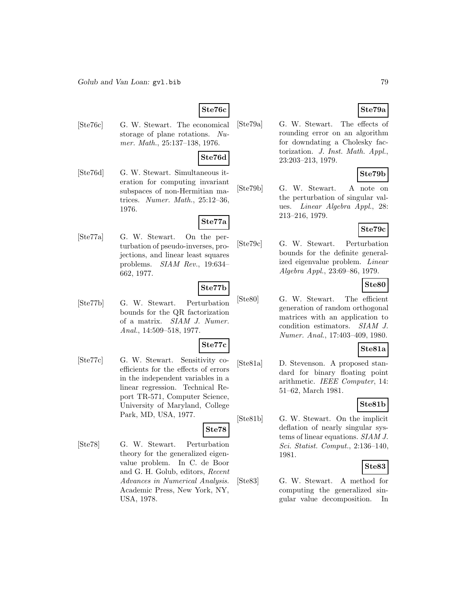## **Ste76c**

[Ste76c] G. W. Stewart. The economical storage of plane rotations. Numer. Math., 25:137–138, 1976.

## **Ste76d**

[Ste76d] G. W. Stewart. Simultaneous iteration for computing invariant subspaces of non-Hermitian matrices. Numer. Math., 25:12–36, 1976.

## **Ste77a**

[Ste77a] G. W. Stewart. On the perturbation of pseudo-inverses, projections, and linear least squares problems. SIAM Rev., 19:634– 662, 1977.

#### **Ste77b**

[Ste77b] G. W. Stewart. Perturbation bounds for the QR factorization of a matrix. SIAM J. Numer. Anal., 14:509–518, 1977.

#### **Ste77c**

[Ste77c] G. W. Stewart. Sensitivity coefficients for the effects of errors in the independent variables in a linear regression. Technical Report TR-571, Computer Science, University of Maryland, College Park, MD, USA, 1977.

#### **Ste78**

[Ste78] G. W. Stewart. Perturbation theory for the generalized eigenvalue problem. In C. de Boor and G. H. Golub, editors, Recent Advances in Numerical Analysis. Academic Press, New York, NY, USA, 1978.

#### [Ste79a] G. W. Stewart. The effects of rounding error on an algorithm for downdating a Cholesky factorization. J. Inst. Math. Appl., 23:203–213, 1979.

## **Ste79b**

**Ste79a**

[Ste79b] G. W. Stewart. A note on the perturbation of singular values. Linear Algebra Appl., 28: 213–216, 1979.

#### **Ste79c**

[Ste79c] G. W. Stewart. Perturbation bounds for the definite generalized eigenvalue problem. Linear Algebra Appl., 23:69–86, 1979.

## **Ste80**

[Ste80] G. W. Stewart. The efficient generation of random orthogonal matrices with an application to condition estimators. SIAM J. Numer. Anal., 17:403–409, 1980.

#### [Ste81a] D. Stevenson. A proposed standard for binary floating point arithmetic. IEEE Computer, 14: 51–62, March 1981.

#### **Ste81b**

**Ste81a**

[Ste81b] G. W. Stewart. On the implicit deflation of nearly singular systems of linear equations. SIAM J. Sci. Statist. Comput., 2:136–140, 1981.

#### **Ste83**

[Ste83] G. W. Stewart. A method for computing the generalized singular value decomposition. In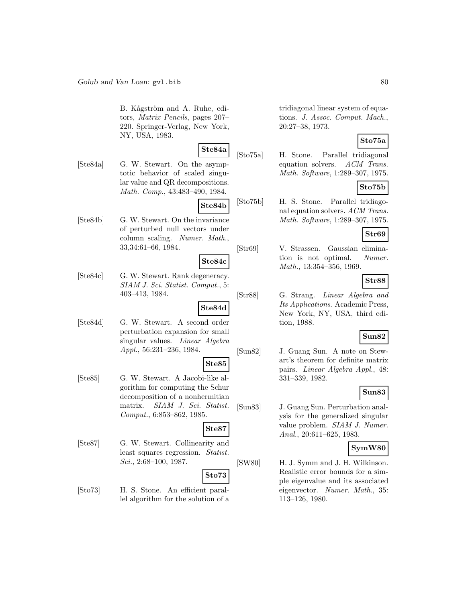B. Kågström and A. Ruhe, editors, Matrix Pencils, pages 207– 220. Springer-Verlag, New York, NY, USA, 1983.

#### **Ste84a**

[Ste84a] G. W. Stewart. On the asymptotic behavior of scaled singular value and QR decompositions. Math. Comp., 43:483–490, 1984.

**Ste84b**

[Ste84b] G. W. Stewart. On the invariance of perturbed null vectors under column scaling. Numer. Math., 33,34:61–66, 1984.

### **Ste84c**

[Ste84c] G. W. Stewart. Rank degeneracy. SIAM J. Sci. Statist. Comput., 5: 403–413, 1984.

#### **Ste84d**

[Ste84d] G. W. Stewart. A second order perturbation expansion for small singular values. Linear Algebra Appl., 56:231–236, 1984.

#### **Ste85**

[Ste85] G. W. Stewart. A Jacobi-like algorithm for computing the Schur decomposition of a nonhermitian matrix. SIAM J. Sci. Statist. Comput., 6:853–862, 1985.

#### **Ste87**

[Ste87] G. W. Stewart. Collinearity and least squares regression. Statist. Sci., 2:68–100, 1987.

#### **Sto73**

[Sto73] H. S. Stone. An efficient parallel algorithm for the solution of a tridiagonal linear system of equations. J. Assoc. Comput. Mach., 20:27–38, 1973.

### **Sto75a**

[Sto75a] H. Stone. Parallel tridiagonal equation solvers. ACM Trans. Math. Software, 1:289–307, 1975.

#### **Sto75b**

[Sto75b] H. S. Stone. Parallel tridiagonal equation solvers. ACM Trans. Math. Software, 1:289–307, 1975.

#### **Str69**

[Str69] V. Strassen. Gaussian elimination is not optimal. Numer. Math., 13:354–356, 1969.

## **Str88**

[Str88] G. Strang. Linear Algebra and Its Applications. Academic Press, New York, NY, USA, third edition, 1988.

#### **Sun82**

[Sun82] J. Guang Sun. A note on Stewart's theorem for definite matrix pairs. Linear Algebra Appl., 48: 331–339, 1982.

#### **Sun83**

[Sun83] J. Guang Sun. Perturbation analysis for the generalized singular value problem. SIAM J. Numer. Anal., 20:611–625, 1983.

#### **SymW80**

[SW80] H. J. Symm and J. H. Wilkinson. Realistic error bounds for a simple eigenvalue and its associated eigenvector. Numer. Math., 35: 113–126, 1980.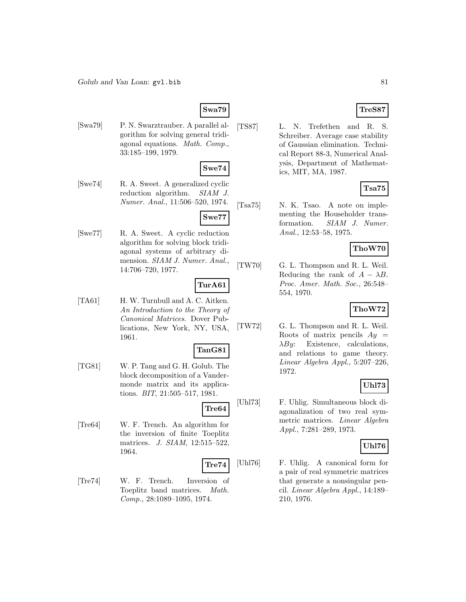## **Swa79**

[Swa79] P. N. Swarztrauber. A parallel algorithm for solving general tridiagonal equations. Math. Comp., 33:185–199, 1979.

## **Swe74**

[Swe74] R. A. Sweet. A generalized cyclic reduction algorithm. SIAM J. Numer. Anal., 11:506–520, 1974.

## **Swe77**

[Swe77] R. A. Sweet. A cyclic reduction algorithm for solving block tridiagonal systems of arbitrary dimension. SIAM J. Numer. Anal., 14:706–720, 1977.

## **TurA61**

[TA61] H. W. Turnbull and A. C. Aitken. An Introduction to the Theory of Canonical Matrices. Dover Publications, New York, NY, USA, 1961.

#### **TanG81**

[TG81] W. P. Tang and G. H. Golub. The block decomposition of a Vandermonde matrix and its applications. BIT, 21:505–517, 1981.

**Tre64**

[Tre64] W. F. Trench. An algorithm for the inversion of finite Toeplitz matrices. J. SIAM, 12:515–522, 1964.

**Tre74**

[Tre74] W. F. Trench. Inversion of Toeplitz band matrices. Math. Comp., 28:1089–1095, 1974.

### **TreS87**

[TS87] L. N. Trefethen and R. S. Schreiber. Average case stability of Gaussian elimination. Technical Report 88-3, Numerical Analysis, Department of Mathematics, MIT, MA, 1987.

## **Tsa75**

[Tsa75] N. K. Tsao. A note on implementing the Householder transformation. SIAM J. Numer. Anal., 12:53–58, 1975.

#### **ThoW70**

[TW70] G. L. Thompson and R. L. Weil. Reducing the rank of  $A - \lambda B$ . Proc. Amer. Math. Soc., 26:548– 554, 1970.

#### **ThoW72**

[TW72] G. L. Thompson and R. L. Weil. Roots of matrix pencils  $Ay =$  $\lambda By:$  Existence, calculations, and relations to game theory. Linear Algebra Appl., 5:207–226, 1972.

## **Uhl73**

[Uhl73] F. Uhlig. Simultaneous block diagonalization of two real symmetric matrices. Linear Algebra Appl., 7:281–289, 1973.

## **Uhl76**

[Uhl76] F. Uhlig. A canonical form for a pair of real symmetric matrices that generate a nonsingular pencil. Linear Algebra Appl., 14:189– 210, 1976.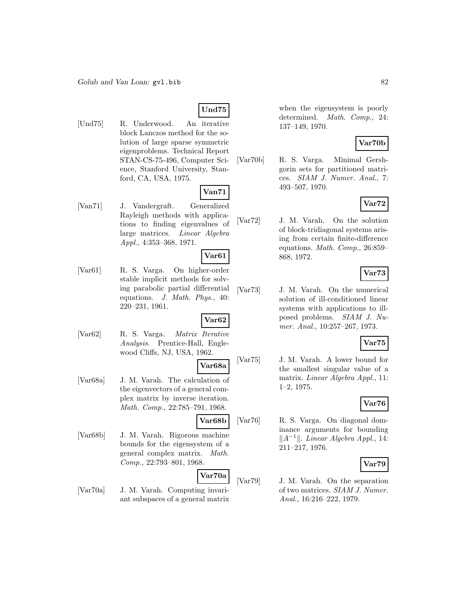## **Und75**

[Und75] R. Underwood. An iterative block Lanczos method for the solution of large sparse symmetric eigenproblems. Technical Report STAN-CS-75-496, Computer Science, Stanford University, Stanford, CA, USA, 1975.

## **Van71**

[Van71] J. Vandergraft. Generalized Rayleigh methods with applications to finding eigenvalues of large matrices. Linear Algebra Appl., 4:353–368, 1971.

#### **Var61**

[Var61] R. S. Varga. On higher-order stable implicit methods for solving parabolic partial differential equations. J. Math. Phys., 40: 220–231, 1961.

#### **Var62**

[Var62] R. S. Varga. Matrix Iterative Analysis. Prentice-Hall, Englewood Cliffs, NJ, USA, 1962.

#### **Var68a**

[Var68a] J. M. Varah. The calculation of the eigenvectors of a general complex matrix by inverse iteration. Math. Comp., 22:785–791, 1968.

## **Var68b**

[Var68b] J. M. Varah. Rigorous machine bounds for the eigensystem of a general complex matrix. Math. Comp., 22:793–801, 1968.

## **Var70a**

[Var70a] J. M. Varah. Computing invariant subspaces of a general matrix when the eigensystem is poorly determined. Math. Comp., 24: 137–149, 1970.

## **Var70b**

[Var70b] R. S. Varga. Minimal Gershgorin sets for partitioned matrices. SIAM J. Numer. Anal., 7: 493–507, 1970.

**Var72**

[Var72] J. M. Varah. On the solution of block-tridiagonal systems arising from certain finite-difference equations. Math. Comp., 26:859– 868, 1972.



[Var73] J. M. Varah. On the numerical solution of ill-conditioned linear systems with applications to illposed problems. SIAM J. Numer. Anal., 10:257–267, 1973.

**Var75**

[Var75] J. M. Varah. A lower bound for the smallest singular value of a matrix. Linear Algebra Appl., 11: 1–2, 1975.

#### **Var76**

[Var76] R. S. Varga. On diagonal dominance arguments for bounding  $||A^{-1}||$ . Linear Algebra Appl., 14: 211–217, 1976.

**Var79**

[Var79] J. M. Varah. On the separation of two matrices. SIAM J. Numer. Anal., 16:216–222, 1979.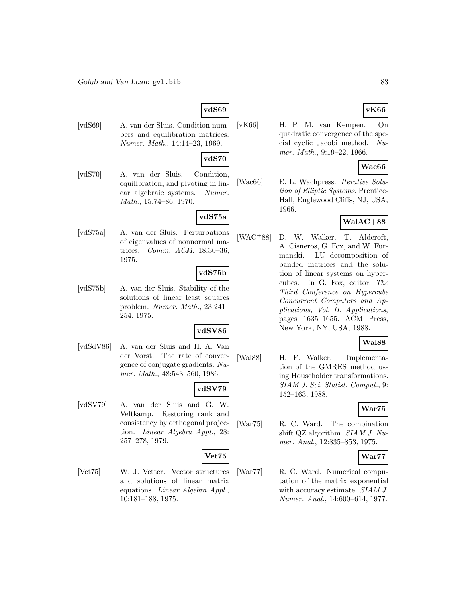## **vdS69**

[vdS69] A. van der Sluis. Condition numbers and equilibration matrices. Numer. Math., 14:14–23, 1969.

# **vdS70**

[vdS70] A. van der Sluis. Condition, equilibration, and pivoting in linear algebraic systems. Numer. Math., 15:74–86, 1970.

## **vdS75a**

[vdS75a] A. van der Sluis. Perturbations of eigenvalues of nonnormal matrices. Comm. ACM, 18:30–36, 1975.

## **vdS75b**

[vdS75b] A. van der Sluis. Stability of the solutions of linear least squares problem. Numer. Math., 23:241– 254, 1975.

#### **vdSV86**

[vdSdV86] A. van der Sluis and H. A. Van der Vorst. The rate of convergence of conjugate gradients. Numer. Math., 48:543–560, 1986.

#### **vdSV79**

[vdSV79] A. van der Sluis and G. W. Veltkamp. Restoring rank and consistency by orthogonal projection. Linear Algebra Appl., 28: 257–278, 1979.

#### **Vet75**

[Vet75] W. J. Vetter. Vector structures and solutions of linear matrix equations. Linear Algebra Appl., 10:181–188, 1975.

[vK66] H. P. M. van Kempen. On quadratic convergence of the special cyclic Jacobi method. Numer. Math., 9:19–22, 1966.

## **Wac66**

**vK66**

[Wac66] E. L. Wachpress. Iterative Solution of Elliptic Systems. Prentice-Hall, Englewood Cliffs, NJ, USA, 1966.

#### **WalAC+88**

[WAC<sup>+</sup>88] D. W. Walker, T. Aldcroft, A. Cisneros, G. Fox, and W. Furmanski. LU decomposition of banded matrices and the solution of linear systems on hypercubes. In G. Fox, editor, The Third Conference on Hypercube Concurrent Computers and Applications, Vol. II, Applications, pages 1635–1655. ACM Press, New York, NY, USA, 1988.

#### **Wal88**

[Wal88] H. F. Walker. Implementation of the GMRES method using Householder transformations. SIAM J. Sci. Statist. Comput., 9: 152–163, 1988.

#### **War75**

[War75] R. C. Ward. The combination shift QZ algorithm. SIAM J. Numer. Anal., 12:835–853, 1975.

#### **War77**

[War77] R. C. Ward. Numerical computation of the matrix exponential with accuracy estimate. SIAM J. Numer. Anal., 14:600–614, 1977.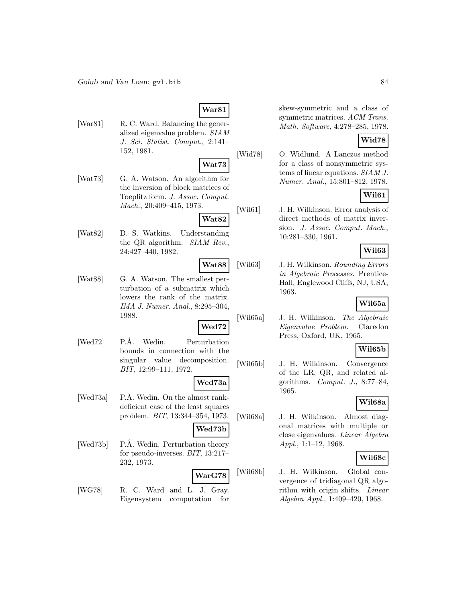## **War81**

[War81] R. C. Ward. Balancing the generalized eigenvalue problem. SIAM J. Sci. Statist. Comput., 2:141– 152, 1981.

## **Wat73**

[Wat73] G. A. Watson. An algorithm for the inversion of block matrices of Toeplitz form. J. Assoc. Comput. Mach., 20:409–415, 1973.

#### **Wat82**

[Wat82] D. S. Watkins. Understanding the QR algorithm. SIAM Rev., 24:427–440, 1982.

## **Wat88**

[Wat88] G. A. Watson. The smallest perturbation of a submatrix which lowers the rank of the matrix. IMA J. Numer. Anal., 8:295–304, 1988.

#### **Wed72**

[Wed72] P.Å. Wedin. Perturbation bounds in connection with the singular value decomposition. BIT, 12:99–111, 1972.

#### **Wed73a**

[Wed73a] P.Å. Wedin. On the almost rankdeficient case of the least squares problem. BIT, 13:344–354, 1973.

#### **Wed73b**

[Wed73b] P.A. Wedin. Perturbation theory for pseudo-inverses. BIT, 13:217– 232, 1973.

#### **WarG78**

[WG78] R. C. Ward and L. J. Gray. Eigensystem computation for skew-symmetric and a class of symmetric matrices. ACM Trans. Math. Software, 4:278–285, 1978.

#### **Wid78**

[Wid78] O. Widlund. A Lanczos method for a class of nonsymmetric systems of linear equations. SIAM J. Numer. Anal., 15:801–812, 1978.



[Wil61] J. H. Wilkinson. Error analysis of direct methods of matrix inversion. J. Assoc. Comput. Mach., 10:281–330, 1961.

### **Wil63**

[Wil63] J. H. Wilkinson. Rounding Errors in Algebraic Processes. Prentice-Hall, Englewood Cliffs, NJ, USA, 1963.

#### **Wil65a**

[Wil65a] J. H. Wilkinson. The Algebraic Eigenvalue Problem. Claredon Press, Oxford, UK, 1965.

#### **Wil65b**

[Wil65b] J. H. Wilkinson. Convergence of the LR, QR, and related algorithms. Comput. J., 8:77–84, 1965.

#### **Wil68a**

[Wil68a] J. H. Wilkinson. Almost diagonal matrices with multiple or close eigenvalues. Linear Algebra Appl., 1:1–12, 1968.

#### **Wil68c**

[Wil68b] J. H. Wilkinson. Global convergence of tridiagonal QR algorithm with origin shifts. Linear Algebra Appl., 1:409–420, 1968.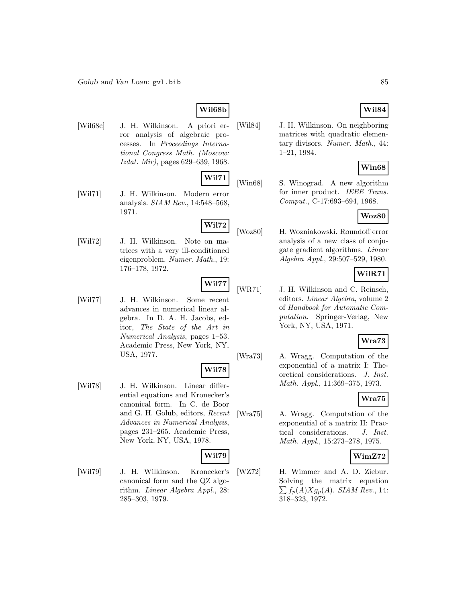## **Wil68b**

[Wil68c] J. H. Wilkinson. A priori error analysis of algebraic processes. In Proceedings International Congress Math. (Moscow: Izdat. Mir), pages 629–639, 1968.

# **Wil71**

[Wil71] J. H. Wilkinson. Modern error analysis. SIAM Rev., 14:548–568, 1971.

## **Wil72**

[Wil72] J. H. Wilkinson. Note on matrices with a very ill-conditioned eigenproblem. Numer. Math., 19: 176–178, 1972.

# **Wil77**

[Wil77] J. H. Wilkinson. Some recent advances in numerical linear algebra. In D. A. H. Jacobs, editor, The State of the Art in Numerical Analysis, pages 1–53. Academic Press, New York, NY, USA, 1977.

#### **Wil78**

[Wil78] J. H. Wilkinson. Linear differential equations and Kronecker's canonical form. In C. de Boor and G. H. Golub, editors, Recent Advances in Numerical Analysis, pages 231–265. Academic Press, New York, NY, USA, 1978.

#### **Wil79**

[Wil79] J. H. Wilkinson. Kronecker's canonical form and the QZ algorithm. Linear Algebra Appl., 28: 285–303, 1979.

[Wil84] J. H. Wilkinson. On neighboring matrices with quadratic elementary divisors. Numer. Math., 44: 1–21, 1984.

## **Win68**

**Wil84**

[Win68] S. Winograd. A new algorithm for inner product. IEEE Trans. Comput., C-17:693–694, 1968.

#### **Woz80**

[Woz80] H. Wozniakowski. Roundoff error analysis of a new class of conjugate gradient algorithms. Linear Algebra Appl., 29:507–529, 1980.

## **WilR71**

[WR71] J. H. Wilkinson and C. Reinsch, editors. Linear Algebra, volume 2 of Handbook for Automatic Computation. Springer-Verlag, New York, NY, USA, 1971.

#### **Wra73**

[Wra73] A. Wragg. Computation of the exponential of a matrix I: Theoretical considerations. J. Inst. Math. Appl., 11:369–375, 1973.

## **Wra75**

[Wra75] A. Wragg. Computation of the exponential of a matrix II: Practical considerations. J. Inst. Math. Appl., 15:273–278, 1975.

#### **WimZ72**

[WZ72] H. Wimmer and A. D. Ziebur. Solving the matrix equation  $\sum f_p(A)Xg_p(A)$ . SIAM Rev., 14: 318–323, 1972.